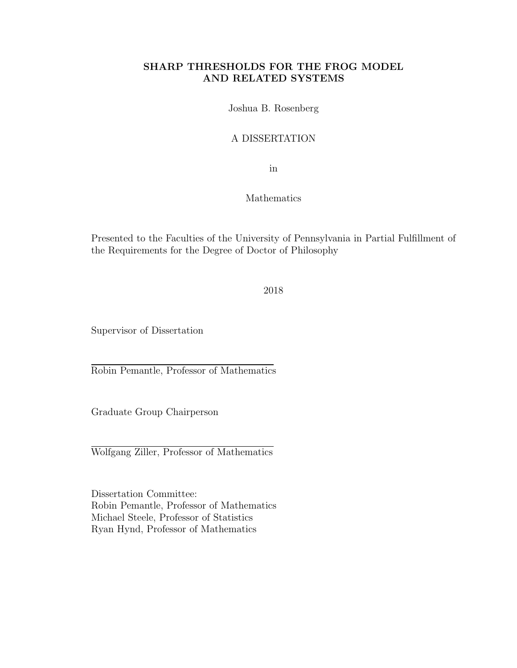#### SHARP THRESHOLDS FOR THE FROG MODEL AND RELATED SYSTEMS

Joshua B. Rosenberg

#### A DISSERTATION

in

#### Mathematics

Presented to the Faculties of the University of Pennsylvania in Partial Fulfillment of the Requirements for the Degree of Doctor of Philosophy

2018

Supervisor of Dissertation

Robin Pemantle, Professor of Mathematics

Graduate Group Chairperson

Wolfgang Ziller, Professor of Mathematics

Dissertation Committee: Robin Pemantle, Professor of Mathematics Michael Steele, Professor of Statistics Ryan Hynd, Professor of Mathematics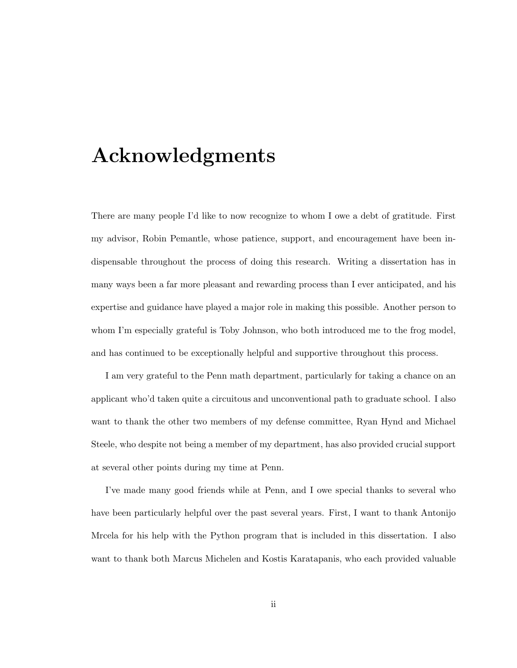# Acknowledgments

There are many people I'd like to now recognize to whom I owe a debt of gratitude. First my advisor, Robin Pemantle, whose patience, support, and encouragement have been indispensable throughout the process of doing this research. Writing a dissertation has in many ways been a far more pleasant and rewarding process than I ever anticipated, and his expertise and guidance have played a major role in making this possible. Another person to whom I'm especially grateful is Toby Johnson, who both introduced me to the frog model, and has continued to be exceptionally helpful and supportive throughout this process.

I am very grateful to the Penn math department, particularly for taking a chance on an applicant who'd taken quite a circuitous and unconventional path to graduate school. I also want to thank the other two members of my defense committee, Ryan Hynd and Michael Steele, who despite not being a member of my department, has also provided crucial support at several other points during my time at Penn.

I've made many good friends while at Penn, and I owe special thanks to several who have been particularly helpful over the past several years. First, I want to thank Antonijo Mrcela for his help with the Python program that is included in this dissertation. I also want to thank both Marcus Michelen and Kostis Karatapanis, who each provided valuable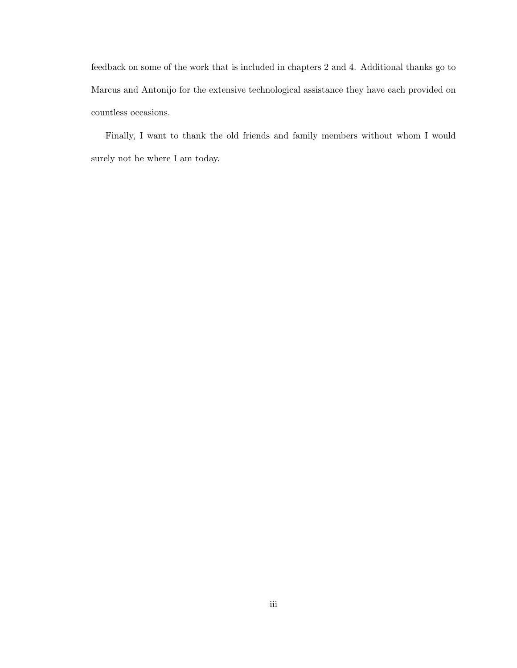feedback on some of the work that is included in chapters 2 and 4. Additional thanks go to Marcus and Antonijo for the extensive technological assistance they have each provided on countless occasions.

Finally, I want to thank the old friends and family members without whom I would surely not be where I am today.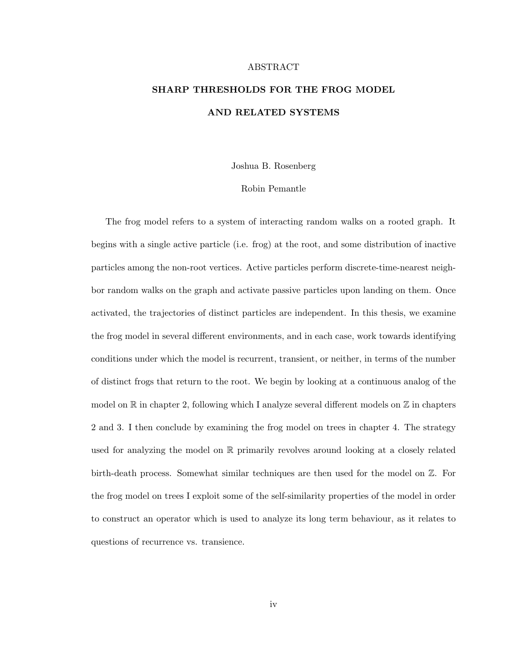#### ABSTRACT

### SHARP THRESHOLDS FOR THE FROG MODEL AND RELATED SYSTEMS

Joshua B. Rosenberg

#### Robin Pemantle

The frog model refers to a system of interacting random walks on a rooted graph. It begins with a single active particle (i.e. frog) at the root, and some distribution of inactive particles among the non-root vertices. Active particles perform discrete-time-nearest neighbor random walks on the graph and activate passive particles upon landing on them. Once activated, the trajectories of distinct particles are independent. In this thesis, we examine the frog model in several different environments, and in each case, work towards identifying conditions under which the model is recurrent, transient, or neither, in terms of the number of distinct frogs that return to the root. We begin by looking at a continuous analog of the model on  $\mathbb R$  in chapter 2, following which I analyze several different models on  $\mathbb Z$  in chapters 2 and 3. I then conclude by examining the frog model on trees in chapter 4. The strategy used for analyzing the model on R primarily revolves around looking at a closely related birth-death process. Somewhat similar techniques are then used for the model on Z. For the frog model on trees I exploit some of the self-similarity properties of the model in order to construct an operator which is used to analyze its long term behaviour, as it relates to questions of recurrence vs. transience.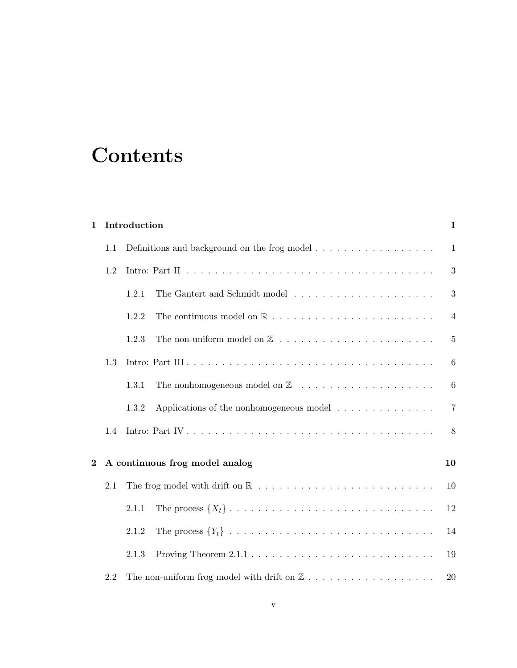# **Contents**

| $\mathbf{1}$     |     | Introduction                                                                                                                               | $\mathbf{1}$    |
|------------------|-----|--------------------------------------------------------------------------------------------------------------------------------------------|-----------------|
|                  | 1.1 |                                                                                                                                            | $\mathbf{1}$    |
|                  | 1.2 |                                                                                                                                            | 3               |
|                  |     | The Gantert and Schmidt model $\ldots \ldots \ldots \ldots \ldots \ldots \ldots$<br>1.2.1                                                  | 3               |
|                  |     | 1.2.2                                                                                                                                      | $\overline{4}$  |
|                  |     | 1.2.3                                                                                                                                      | 5               |
|                  | 1.3 |                                                                                                                                            | 6               |
|                  |     | The nonhomogeneous model on $\mathbb Z$ $\hfill\ldots$ $\hfill\ldots$ $\hfill\ldots$ $\hfill\ldots$ $\hfill\ldots$ $\hfill\ldots$<br>1.3.1 | $6\phantom{.}6$ |
|                  |     | Applications of the nonhomogeneous model $\ldots \ldots \ldots \ldots$<br>1.3.2                                                            | $\overline{7}$  |
|                  | 1.4 |                                                                                                                                            | 8               |
| $\boldsymbol{2}$ |     | A continuous frog model analog                                                                                                             | 10              |
|                  | 2.1 |                                                                                                                                            | 10              |
|                  |     | 2.1.1                                                                                                                                      | 12              |
|                  |     | 2.1.2                                                                                                                                      | 14              |
|                  |     | Proving Theorem $2.1.1 \ldots \ldots \ldots \ldots \ldots \ldots \ldots \ldots \ldots$<br>2.1.3                                            | 19              |
|                  | 2.2 | The non-uniform frog model with drift on $\mathbb Z$                                                                                       | 20              |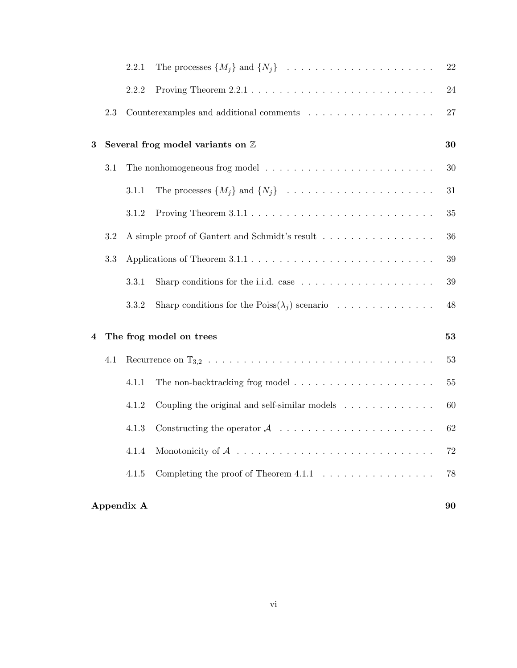|            |     | 2.2.1 | The processes $\{M_j\}$ and $\{N_j\}$                                            | 22     |  |
|------------|-----|-------|----------------------------------------------------------------------------------|--------|--|
|            |     | 2.2.2 |                                                                                  | 24     |  |
|            | 2.3 |       |                                                                                  | 27     |  |
| 3          |     |       | Several frog model variants on $\mathbb Z$                                       | 30     |  |
|            | 3.1 |       |                                                                                  | 30     |  |
|            |     | 3.1.1 | The processes $\{M_j\}$ and $\{N_j\}$                                            | 31     |  |
|            |     | 3.1.2 |                                                                                  | 35     |  |
|            | 3.2 |       | A simple proof of Gantert and Schmidt's result                                   | 36     |  |
|            | 3.3 |       |                                                                                  | 39     |  |
|            |     | 3.3.1 | Sharp conditions for the i.i.d. case $\dots \dots \dots \dots \dots \dots \dots$ | $39\,$ |  |
|            |     | 3.3.2 | Sharp conditions for the Poiss $(\lambda_i)$ scenario                            | 48     |  |
| 4          |     |       | The frog model on trees                                                          | 53     |  |
|            | 4.1 |       |                                                                                  | 53     |  |
|            |     | 4.1.1 |                                                                                  | $55\,$ |  |
|            |     | 4.1.2 | Coupling the original and self-similar models $\ldots \ldots \ldots \ldots$      | 60     |  |
|            |     | 4.1.3 |                                                                                  | 62     |  |
|            |     | 4.1.4 |                                                                                  | $72\,$ |  |
|            |     | 4.1.5 | Completing the proof of Theorem $4.1.1 \ldots \ldots \ldots \ldots \ldots$       | 78     |  |
| Appendix A |     |       |                                                                                  |        |  |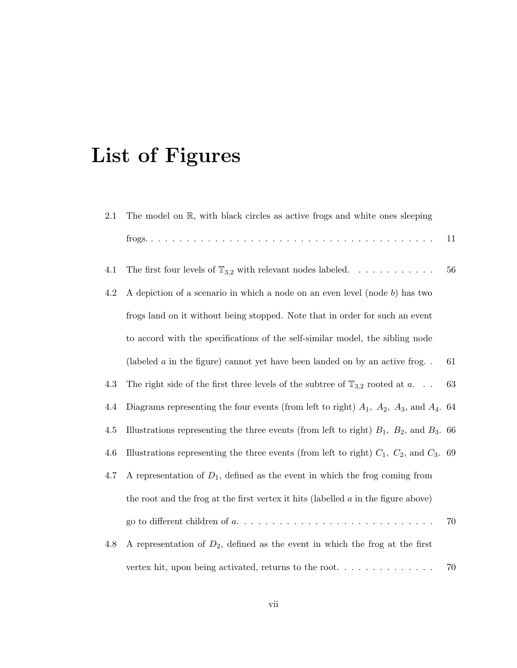# List of Figures

| 2.1 | The model on $\mathbb{R}$ , with black circles as active frogs and white ones sleeping            |    |
|-----|---------------------------------------------------------------------------------------------------|----|
|     |                                                                                                   | 11 |
| 4.1 | The first four levels of $\mathbb{T}_{3,2}$ with relevant nodes labeled.                          | 56 |
| 4.2 | A depiction of a scenario in which a node on an even level (node $b$ ) has two                    |    |
|     | frogs land on it without being stopped. Note that in order for such an event                      |    |
|     | to accord with the specifications of the self-similar model, the sibling node                     |    |
|     | (labeled $a$ in the figure) cannot yet have been landed on by an active frog                      | 61 |
| 4.3 | The right side of the first three levels of the subtree of $\mathbb{T}_{3,2}$ rooted at a         | 63 |
| 4.4 | Diagrams representing the four events (from left to right) $A_1$ , $A_2$ , $A_3$ , and $A_4$ . 64 |    |
| 4.5 | Illustrations representing the three events (from left to right) $B_1$ , $B_2$ , and $B_3$ . 66   |    |
| 4.6 | Illustrations representing the three events (from left to right) $C_1$ , $C_2$ , and $C_3$ . 69   |    |
| 4.7 | A representation of $D_1$ , defined as the event in which the frog coming from                    |    |
|     | the root and the frog at the first vertex it hits (labelled $a$ in the figure above)              |    |
|     |                                                                                                   | 70 |
| 4.8 | A representation of $D_2$ , defined as the event in which the frog at the first                   |    |
|     |                                                                                                   | 70 |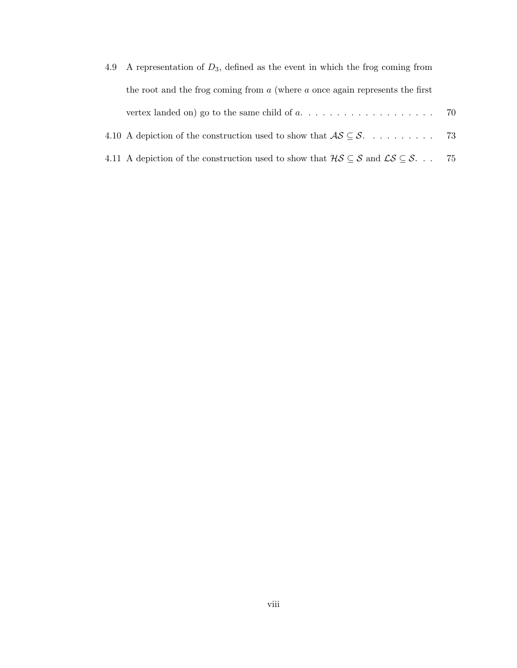| 4.9 | A representation of $D_3$ , defined as the event in which the frog coming from                                                                             |     |
|-----|------------------------------------------------------------------------------------------------------------------------------------------------------------|-----|
|     | the root and the frog coming from $a$ (where $a$ once again represents the first                                                                           |     |
|     | vertex landed on) go to the same child of $a, \ldots, \ldots, \ldots, \ldots, \ldots, \ldots$ 70                                                           |     |
|     |                                                                                                                                                            |     |
|     | 4.11 A depiction of the construction used to show that $\mathcal{H} \mathcal{S} \subseteq \mathcal{S}$ and $\mathcal{L} \mathcal{S} \subseteq \mathcal{S}$ | -75 |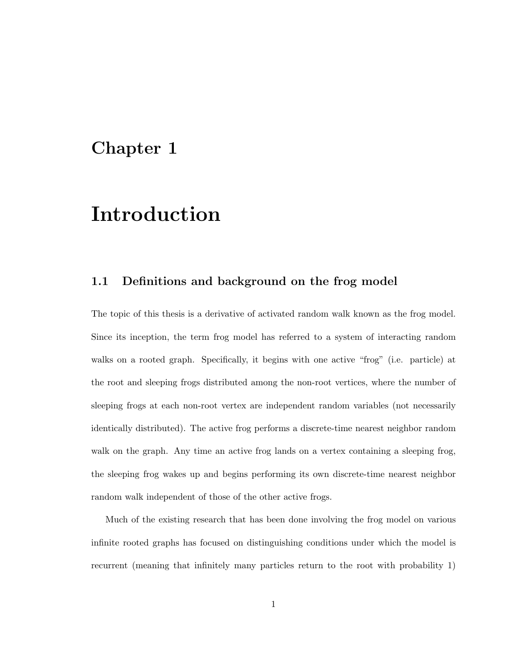### Chapter 1

# Introduction

#### 1.1 Definitions and background on the frog model

The topic of this thesis is a derivative of activated random walk known as the frog model. Since its inception, the term frog model has referred to a system of interacting random walks on a rooted graph. Specifically, it begins with one active "frog" (i.e. particle) at the root and sleeping frogs distributed among the non-root vertices, where the number of sleeping frogs at each non-root vertex are independent random variables (not necessarily identically distributed). The active frog performs a discrete-time nearest neighbor random walk on the graph. Any time an active frog lands on a vertex containing a sleeping frog, the sleeping frog wakes up and begins performing its own discrete-time nearest neighbor random walk independent of those of the other active frogs.

Much of the existing research that has been done involving the frog model on various infinite rooted graphs has focused on distinguishing conditions under which the model is recurrent (meaning that infinitely many particles return to the root with probability 1)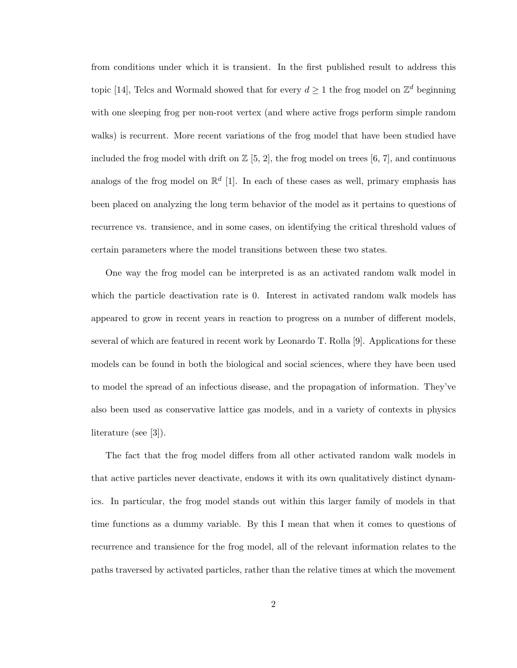from conditions under which it is transient. In the first published result to address this topic [14], Telcs and Wormald showed that for every  $d \geq 1$  the frog model on  $\mathbb{Z}^d$  beginning with one sleeping frog per non-root vertex (and where active frogs perform simple random walks) is recurrent. More recent variations of the frog model that have been studied have included the frog model with drift on  $\mathbb{Z}$  [5, 2], the frog model on trees [6, 7], and continuous analogs of the frog model on  $\mathbb{R}^d$  [1]. In each of these cases as well, primary emphasis has been placed on analyzing the long term behavior of the model as it pertains to questions of recurrence vs. transience, and in some cases, on identifying the critical threshold values of certain parameters where the model transitions between these two states.

One way the frog model can be interpreted is as an activated random walk model in which the particle deactivation rate is 0. Interest in activated random walk models has appeared to grow in recent years in reaction to progress on a number of different models, several of which are featured in recent work by Leonardo T. Rolla [9]. Applications for these models can be found in both the biological and social sciences, where they have been used to model the spread of an infectious disease, and the propagation of information. They've also been used as conservative lattice gas models, and in a variety of contexts in physics literature (see [3]).

The fact that the frog model differs from all other activated random walk models in that active particles never deactivate, endows it with its own qualitatively distinct dynamics. In particular, the frog model stands out within this larger family of models in that time functions as a dummy variable. By this I mean that when it comes to questions of recurrence and transience for the frog model, all of the relevant information relates to the paths traversed by activated particles, rather than the relative times at which the movement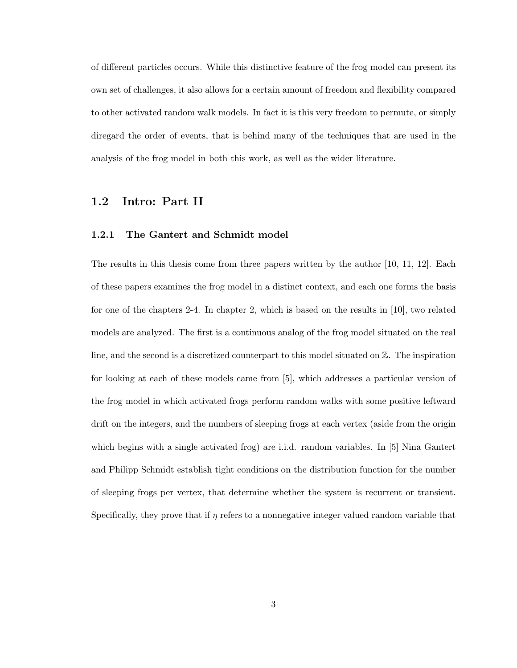of different particles occurs. While this distinctive feature of the frog model can present its own set of challenges, it also allows for a certain amount of freedom and flexibility compared to other activated random walk models. In fact it is this very freedom to permute, or simply diregard the order of events, that is behind many of the techniques that are used in the analysis of the frog model in both this work, as well as the wider literature.

#### 1.2 Intro: Part II

#### 1.2.1 The Gantert and Schmidt model

The results in this thesis come from three papers written by the author [10, 11, 12]. Each of these papers examines the frog model in a distinct context, and each one forms the basis for one of the chapters 2-4. In chapter 2, which is based on the results in [10], two related models are analyzed. The first is a continuous analog of the frog model situated on the real line, and the second is a discretized counterpart to this model situated on Z. The inspiration for looking at each of these models came from [5], which addresses a particular version of the frog model in which activated frogs perform random walks with some positive leftward drift on the integers, and the numbers of sleeping frogs at each vertex (aside from the origin which begins with a single activated frog) are i.i.d. random variables. In [5] Nina Gantert and Philipp Schmidt establish tight conditions on the distribution function for the number of sleeping frogs per vertex, that determine whether the system is recurrent or transient. Specifically, they prove that if  $\eta$  refers to a nonnegative integer valued random variable that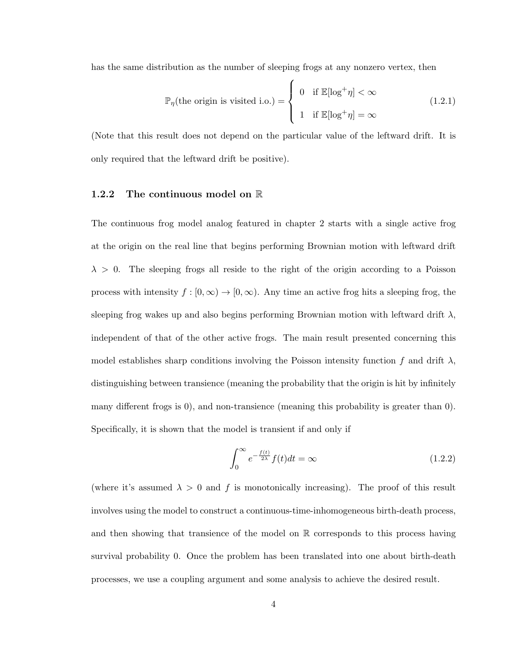has the same distribution as the number of sleeping frogs at any nonzero vertex, then

$$
\mathbb{P}_{\eta}(\text{the origin is visited i.o.}) = \begin{cases} 0 & \text{if } \mathbb{E}[\log^{+}\eta] < \infty \\ 1 & \text{if } \mathbb{E}[\log^{+}\eta] = \infty \end{cases}
$$
(1.2.1)

(Note that this result does not depend on the particular value of the leftward drift. It is only required that the leftward drift be positive).

#### 1.2.2 The continuous model on R

The continuous frog model analog featured in chapter 2 starts with a single active frog at the origin on the real line that begins performing Brownian motion with leftward drift  $\lambda > 0$ . The sleeping frogs all reside to the right of the origin according to a Poisson process with intensity  $f : [0, \infty) \to [0, \infty)$ . Any time an active frog hits a sleeping frog, the sleeping frog wakes up and also begins performing Brownian motion with leftward drift  $\lambda$ , independent of that of the other active frogs. The main result presented concerning this model establishes sharp conditions involving the Poisson intensity function f and drift  $\lambda$ , distinguishing between transience (meaning the probability that the origin is hit by infinitely many different frogs is 0), and non-transience (meaning this probability is greater than 0). Specifically, it is shown that the model is transient if and only if

$$
\int_0^\infty e^{-\frac{f(t)}{2\lambda}} f(t)dt = \infty \tag{1.2.2}
$$

(where it's assumed  $\lambda > 0$  and f is monotonically increasing). The proof of this result involves using the model to construct a continuous-time-inhomogeneous birth-death process, and then showing that transience of the model on  $\mathbb R$  corresponds to this process having survival probability 0. Once the problem has been translated into one about birth-death processes, we use a coupling argument and some analysis to achieve the desired result.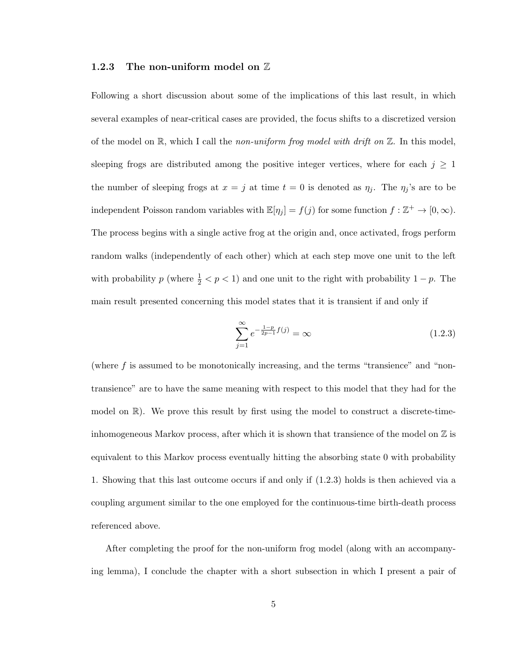#### 1.2.3 The non-uniform model on  $\mathbb Z$

Following a short discussion about some of the implications of this last result, in which several examples of near-critical cases are provided, the focus shifts to a discretized version of the model on  $\mathbb{R}$ , which I call the non-uniform frog model with drift on  $\mathbb{Z}$ . In this model, sleeping frogs are distributed among the positive integer vertices, where for each  $j \geq 1$ the number of sleeping frogs at  $x = j$  at time  $t = 0$  is denoted as  $\eta_j$ . The  $\eta_j$ 's are to be independent Poisson random variables with  $\mathbb{E}[\eta_j] = f(j)$  for some function  $f : \mathbb{Z}^+ \to [0, \infty)$ . The process begins with a single active frog at the origin and, once activated, frogs perform random walks (independently of each other) which at each step move one unit to the left with probability p (where  $\frac{1}{2} < p < 1$ ) and one unit to the right with probability  $1 - p$ . The main result presented concerning this model states that it is transient if and only if

$$
\sum_{j=1}^{\infty} e^{-\frac{1-p}{2p-1}f(j)} = \infty
$$
\n(1.2.3)

(where  $f$  is assumed to be monotonically increasing, and the terms "transience" and "nontransience" are to have the same meaning with respect to this model that they had for the model on  $\mathbb{R}$ ). We prove this result by first using the model to construct a discrete-timeinhomogeneous Markov process, after which it is shown that transience of the model on  $\mathbb Z$  is equivalent to this Markov process eventually hitting the absorbing state 0 with probability 1. Showing that this last outcome occurs if and only if (1.2.3) holds is then achieved via a coupling argument similar to the one employed for the continuous-time birth-death process referenced above.

After completing the proof for the non-uniform frog model (along with an accompanying lemma), I conclude the chapter with a short subsection in which I present a pair of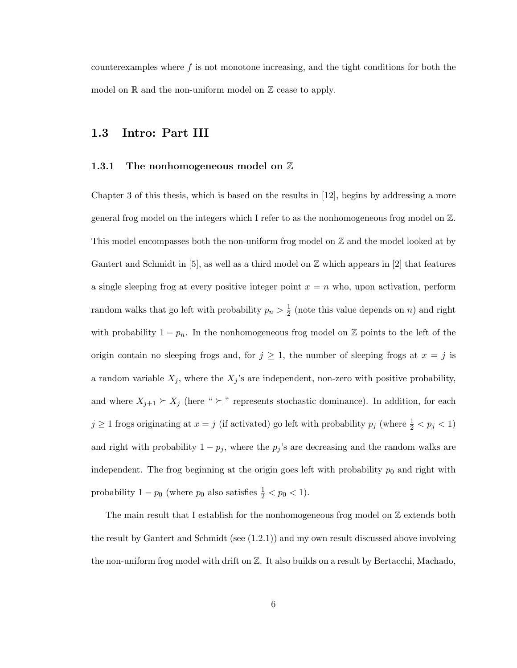counterexamples where  $f$  is not monotone increasing, and the tight conditions for both the model on  $\mathbb R$  and the non-uniform model on  $\mathbb Z$  cease to apply.

#### 1.3 Intro: Part III

#### 1.3.1 The nonhomogeneous model on  $\mathbb Z$

Chapter 3 of this thesis, which is based on the results in [12], begins by addressing a more general frog model on the integers which I refer to as the nonhomogeneous frog model on Z. This model encompasses both the non-uniform frog model on  $\mathbb Z$  and the model looked at by Gantert and Schmidt in  $[5]$ , as well as a third model on  $\mathbb Z$  which appears in  $[2]$  that features a single sleeping frog at every positive integer point  $x = n$  who, upon activation, perform random walks that go left with probability  $p_n > \frac{1}{2}$  $\frac{1}{2}$  (note this value depends on *n*) and right with probability  $1 - p_n$ . In the nonhomogeneous frog model on Z points to the left of the origin contain no sleeping frogs and, for  $j \geq 1$ , the number of sleeping frogs at  $x = j$  is a random variable  $X_j$ , where the  $X_j$ 's are independent, non-zero with positive probability, and where  $X_{j+1} \succeq X_j$  (here "  $\succeq$  " represents stochastic dominance). In addition, for each  $j \geq 1$  frogs originating at  $x = j$  (if activated) go left with probability  $p_j$  (where  $\frac{1}{2} < p_j < 1$ ) and right with probability  $1 - p_j$ , where the  $p_j$ 's are decreasing and the random walks are independent. The frog beginning at the origin goes left with probability  $p_0$  and right with probability  $1 - p_0$  (where  $p_0$  also satisfies  $\frac{1}{2} < p_0 < 1$ ).

The main result that I establish for the nonhomogeneous frog model on  $\mathbb Z$  extends both the result by Gantert and Schmidt (see (1.2.1)) and my own result discussed above involving the non-uniform frog model with drift on Z. It also builds on a result by Bertacchi, Machado,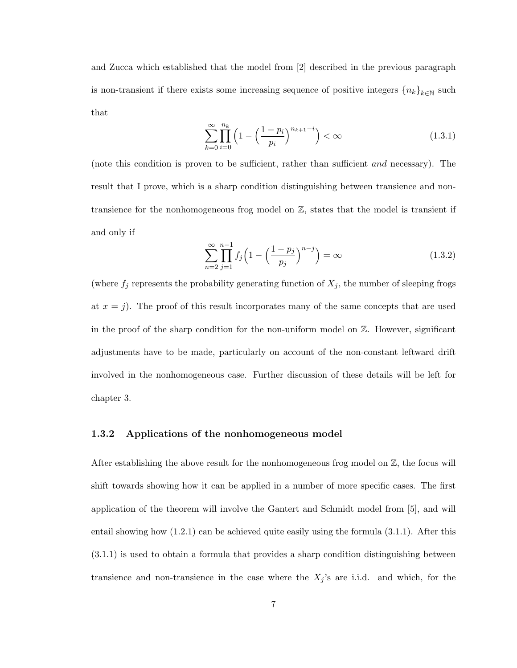and Zucca which established that the model from [2] described in the previous paragraph is non-transient if there exists some increasing sequence of positive integers  ${n_k}_{k\in\mathbb{N}}$  such that

$$
\sum_{k=0}^{\infty} \prod_{i=0}^{n_k} \left( 1 - \left( \frac{1 - p_i}{p_i} \right)^{n_{k+1} - i} \right) < \infty \tag{1.3.1}
$$

(note this condition is proven to be sufficient, rather than sufficient and necessary). The result that I prove, which is a sharp condition distinguishing between transience and nontransience for the nonhomogeneous frog model on Z, states that the model is transient if and only if

$$
\sum_{n=2}^{\infty} \prod_{j=1}^{n-1} f_j \left( 1 - \left( \frac{1 - p_j}{p_j} \right)^{n-j} \right) = \infty \tag{1.3.2}
$$

(where  $f_j$  represents the probability generating function of  $X_j$ , the number of sleeping frogs at  $x = j$ ). The proof of this result incorporates many of the same concepts that are used in the proof of the sharp condition for the non-uniform model on  $\mathbb{Z}$ . However, significant adjustments have to be made, particularly on account of the non-constant leftward drift involved in the nonhomogeneous case. Further discussion of these details will be left for chapter 3.

#### 1.3.2 Applications of the nonhomogeneous model

After establishing the above result for the nonhomogeneous frog model on  $\mathbb{Z}$ , the focus will shift towards showing how it can be applied in a number of more specific cases. The first application of the theorem will involve the Gantert and Schmidt model from [5], and will entail showing how (1.2.1) can be achieved quite easily using the formula (3.1.1). After this (3.1.1) is used to obtain a formula that provides a sharp condition distinguishing between transience and non-transience in the case where the  $X_j$ 's are i.i.d. and which, for the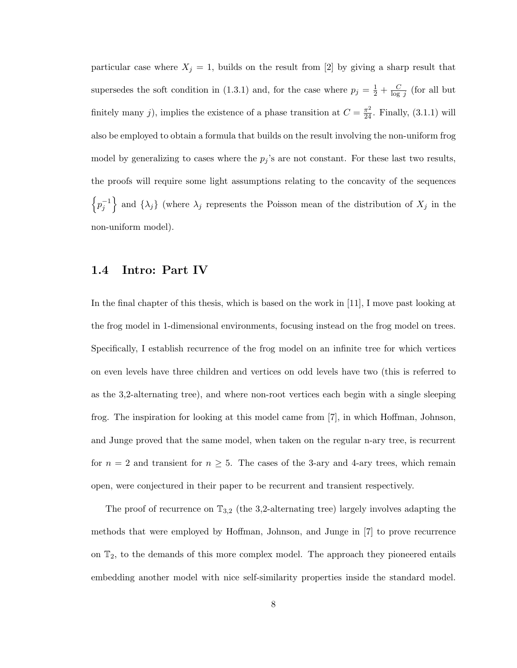particular case where  $X_j = 1$ , builds on the result from [2] by giving a sharp result that supersedes the soft condition in (1.3.1) and, for the case where  $p_j = \frac{1}{2} + \frac{C}{\log n}$  $\frac{C}{\log j}$  (for all but finitely many j), implies the existence of a phase transition at  $C = \frac{\pi^2}{24}$ . Finally, (3.1.1) will also be employed to obtain a formula that builds on the result involving the non-uniform frog model by generalizing to cases where the  $p_j$ 's are not constant. For these last two results, the proofs will require some light assumptions relating to the concavity of the sequences  $\left\{p_j^{-1}\right\}$  and  $\{\lambda_j\}$  (where  $\lambda_j$  represents the Poisson mean of the distribution of  $X_j$  in the non-uniform model).

#### 1.4 Intro: Part IV

In the final chapter of this thesis, which is based on the work in [11], I move past looking at the frog model in 1-dimensional environments, focusing instead on the frog model on trees. Specifically, I establish recurrence of the frog model on an infinite tree for which vertices on even levels have three children and vertices on odd levels have two (this is referred to as the 3,2-alternating tree), and where non-root vertices each begin with a single sleeping frog. The inspiration for looking at this model came from [7], in which Hoffman, Johnson, and Junge proved that the same model, when taken on the regular n-ary tree, is recurrent for  $n = 2$  and transient for  $n \geq 5$ . The cases of the 3-ary and 4-ary trees, which remain open, were conjectured in their paper to be recurrent and transient respectively.

The proof of recurrence on  $\mathbb{T}_{3,2}$  (the 3,2-alternating tree) largely involves adapting the methods that were employed by Hoffman, Johnson, and Junge in [7] to prove recurrence on  $\mathbb{T}_2$ , to the demands of this more complex model. The approach they pioneered entails embedding another model with nice self-similarity properties inside the standard model.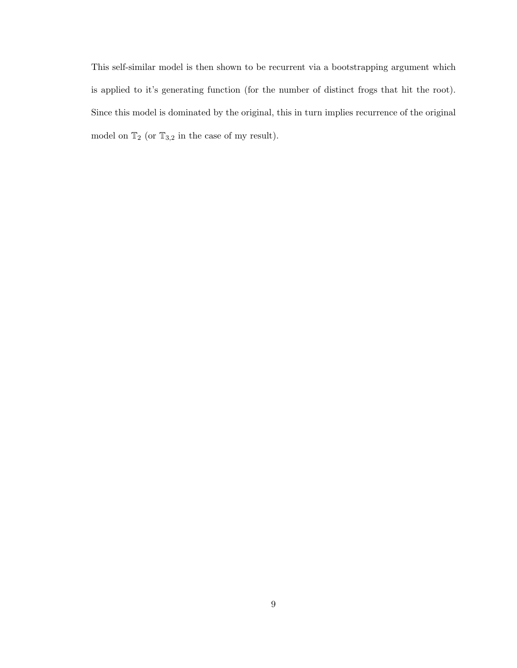This self-similar model is then shown to be recurrent via a bootstrapping argument which is applied to it's generating function (for the number of distinct frogs that hit the root). Since this model is dominated by the original, this in turn implies recurrence of the original model on  $\mathbb{T}_2$  (or  $\mathbb{T}_{3,2}$  in the case of my result).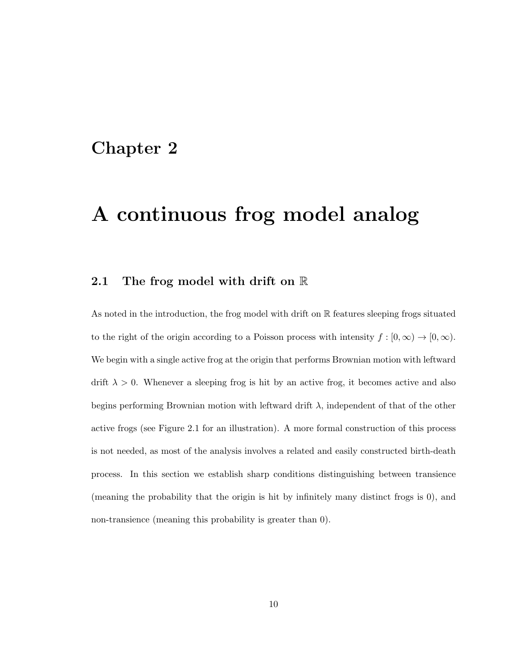### Chapter 2

## A continuous frog model analog

#### 2.1 The frog model with drift on R

As noted in the introduction, the frog model with drift on R features sleeping frogs situated to the right of the origin according to a Poisson process with intensity  $f : [0, \infty) \to [0, \infty)$ . We begin with a single active frog at the origin that performs Brownian motion with leftward drift  $\lambda > 0$ . Whenever a sleeping frog is hit by an active frog, it becomes active and also begins performing Brownian motion with leftward drift  $\lambda$ , independent of that of the other active frogs (see Figure 2.1 for an illustration). A more formal construction of this process is not needed, as most of the analysis involves a related and easily constructed birth-death process. In this section we establish sharp conditions distinguishing between transience (meaning the probability that the origin is hit by infinitely many distinct frogs is 0), and non-transience (meaning this probability is greater than 0).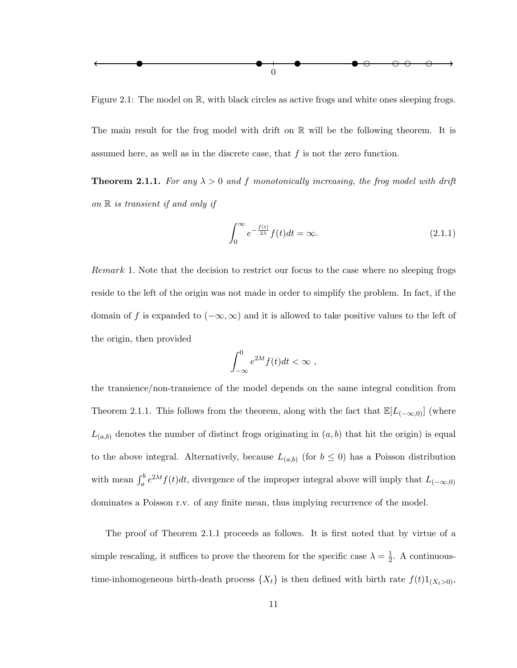

Figure 2.1: The model on  $\mathbb R$ , with black circles as active frogs and white ones sleeping frogs.

The main result for the frog model with drift on  $\mathbb R$  will be the following theorem. It is assumed here, as well as in the discrete case, that  $f$  is not the zero function.

**Theorem 2.1.1.** For any  $\lambda > 0$  and f monotonically increasing, the frog model with drift on  $\mathbb R$  is transient if and only if

$$
\int_0^\infty e^{-\frac{f(t)}{2\lambda}} f(t)dt = \infty.
$$
\n(2.1.1)

Remark 1. Note that the decision to restrict our focus to the case where no sleeping frogs reside to the left of the origin was not made in order to simplify the problem. In fact, if the domain of f is expanded to  $(-\infty, \infty)$  and it is allowed to take positive values to the left of the origin, then provided

$$
\int_{-\infty}^{0} e^{2\lambda t} f(t) dt < \infty ,
$$

the transience/non-transience of the model depends on the same integral condition from Theorem 2.1.1. This follows from the theorem, along with the fact that  $\mathbb{E}[L_{(-\infty,0)}]$  (where  $L_{(a,b)}$  denotes the number of distinct frogs originating in  $(a, b)$  that hit the origin) is equal to the above integral. Alternatively, because  $L_{(a,b)}$  (for  $b \leq 0$ ) has a Poisson distribution with mean  $\int_a^b e^{2\lambda t} f(t) dt$ , divergence of the improper integral above will imply that  $L_{(-\infty,0)}$ dominates a Poisson r.v. of any finite mean, thus implying recurrence of the model.

The proof of Theorem 2.1.1 proceeds as follows. It is first noted that by virtue of a simple rescaling, it suffices to prove the theorem for the specific case  $\lambda = \frac{1}{2}$  $\frac{1}{2}$ . A continuoustime-inhomogeneous birth-death process  $\{X_t\}$  is then defined with birth rate  $f(t)1_{(X_t>0)}$ ,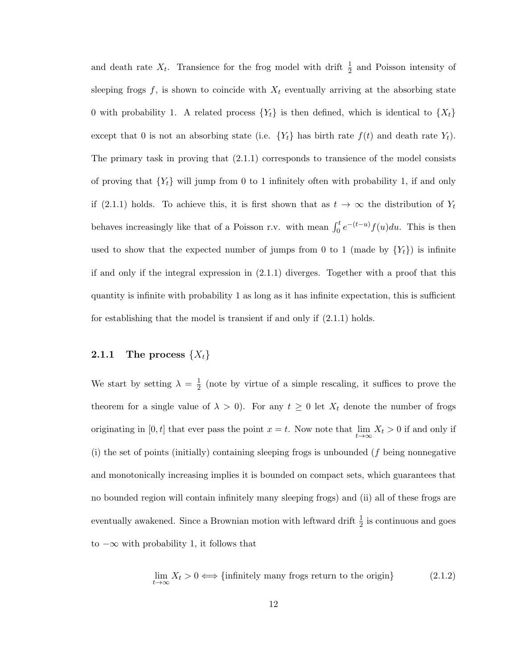and death rate  $X_t$ . Transience for the frog model with drift  $\frac{1}{2}$  and Poisson intensity of sleeping frogs  $f$ , is shown to coincide with  $X_t$  eventually arriving at the absorbing state 0 with probability 1. A related process  $\{Y_t\}$  is then defined, which is identical to  $\{X_t\}$ except that 0 is not an absorbing state (i.e.  $\{Y_t\}$  has birth rate  $f(t)$  and death rate  $Y_t$ ). The primary task in proving that  $(2.1.1)$  corresponds to transience of the model consists of proving that  ${Y_t}$  will jump from 0 to 1 infinitely often with probability 1, if and only if (2.1.1) holds. To achieve this, it is first shown that as  $t \to \infty$  the distribution of  $Y_t$ behaves increasingly like that of a Poisson r.v. with mean  $\int_0^t e^{-(t-u)} f(u) du$ . This is then used to show that the expected number of jumps from 0 to 1 (made by  ${Y_t}$ ) is infinite if and only if the integral expression in (2.1.1) diverges. Together with a proof that this quantity is infinite with probability 1 as long as it has infinite expectation, this is sufficient for establishing that the model is transient if and only if (2.1.1) holds.

#### 2.1.1 The process  $\{X_t\}$

We start by setting  $\lambda = \frac{1}{2}$  $\frac{1}{2}$  (note by virtue of a simple rescaling, it suffices to prove the theorem for a single value of  $\lambda > 0$ . For any  $t \geq 0$  let  $X_t$  denote the number of frogs originating in  $[0, t]$  that ever pass the point  $x = t$ . Now note that  $\lim_{t \to \infty} X_t > 0$  if and only if (i) the set of points (initially) containing sleeping frogs is unbounded (f being nonnegative and monotonically increasing implies it is bounded on compact sets, which guarantees that no bounded region will contain infinitely many sleeping frogs) and (ii) all of these frogs are eventually awakened. Since a Brownian motion with leftward drift  $\frac{1}{2}$  is continuous and goes to  $-\infty$  with probability 1, it follows that

$$
\lim_{t \to \infty} X_t > 0 \iff \{\text{infinitely many frogs return to the origin}\}\tag{2.1.2}
$$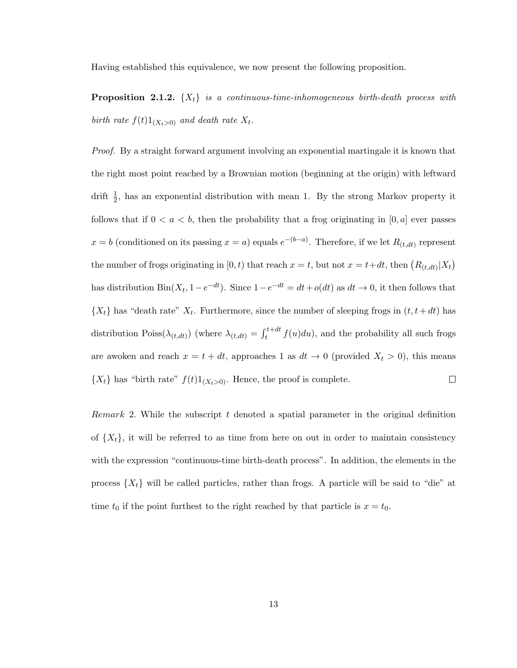Having established this equivalence, we now present the following proposition.

**Proposition 2.1.2.**  $\{X_t\}$  is a continuous-time-inhomogeneous birth-death process with birth rate  $f(t)1_{(X_t>0)}$  and death rate  $X_t$ .

Proof. By a straight forward argument involving an exponential martingale it is known that the right most point reached by a Brownian motion (beginning at the origin) with leftward drift  $\frac{1}{2}$ , has an exponential distribution with mean 1. By the strong Markov property it follows that if  $0 < a < b$ , then the probability that a frog originating in [0, a] ever passes  $x = b$  (conditioned on its passing  $x = a$ ) equals  $e^{-(b-a)}$ . Therefore, if we let  $R_{(t,dt)}$  represent the number of frogs originating in [0, t) that reach  $x = t$ , but not  $x = t + dt$ , then  $(R_{(t, dt)} | X_t)$ has distribution  $\text{Bin}(X_t, 1-e^{-dt})$ . Since  $1-e^{-dt} = dt + o(dt)$  as  $dt \to 0$ , it then follows that  $\{X_t\}$  has "death rate"  $X_t$ . Furthermore, since the number of sleeping frogs in  $(t, t+dt)$  has distribution Poiss $(\lambda_{(t,dt)})$  (where  $\lambda_{(t,dt)} = \int_{t}^{t+dt} f(u)du$ ), and the probability all such frogs are awoken and reach  $x = t + dt$ , approaches 1 as  $dt \to 0$  (provided  $X_t > 0$ ), this means  $\{X_t\}$  has "birth rate"  $f(t)1_{(X_t>0)}$ . Hence, the proof is complete.  $\Box$ 

Remark 2. While the subscript  $t$  denoted a spatial parameter in the original definition of  $\{X_t\}$ , it will be referred to as time from here on out in order to maintain consistency with the expression "continuous-time birth-death process". In addition, the elements in the process  $\{X_t\}$  will be called particles, rather than frogs. A particle will be said to "die" at time  $t_0$  if the point furthest to the right reached by that particle is  $x = t_0$ .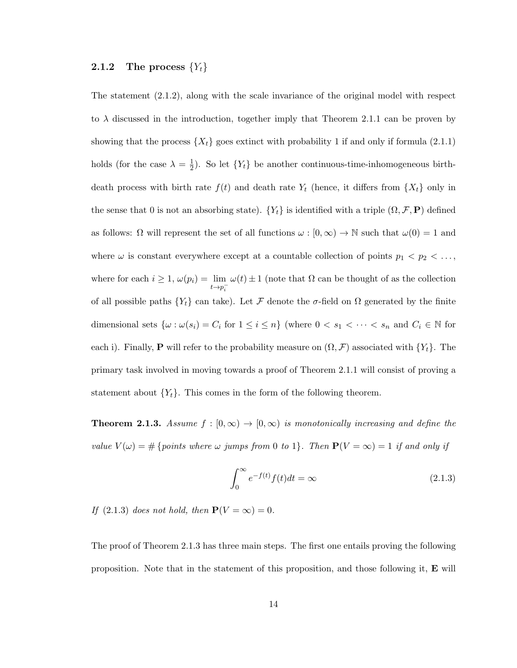#### 2.1.2 The process  ${Y_t}$

The statement (2.1.2), along with the scale invariance of the original model with respect to  $\lambda$  discussed in the introduction, together imply that Theorem 2.1.1 can be proven by showing that the process  $\{X_t\}$  goes extinct with probability 1 if and only if formula (2.1.1) holds (for the case  $\lambda = \frac{1}{2}$  $\frac{1}{2}$ ). So let  $\{Y_t\}$  be another continuous-time-inhomogeneous birthdeath process with birth rate  $f(t)$  and death rate  $Y_t$  (hence, it differs from  $\{X_t\}$  only in the sense that 0 is not an absorbing state).  $\{Y_t\}$  is identified with a triple  $(\Omega, \mathcal{F}, \mathbf{P})$  defined as follows:  $\Omega$  will represent the set of all functions  $\omega : [0, \infty) \to \mathbb{N}$  such that  $\omega(0) = 1$  and where  $\omega$  is constant everywhere except at a countable collection of points  $p_1 < p_2 < \ldots$ , where for each  $i \geq 1$ ,  $\omega(p_i) = \lim_{t \to p_i^-}$  $\omega(t) \pm 1$  (note that  $\Omega$  can be thought of as the collection of all possible paths  ${Y_t}$  can take). Let F denote the  $\sigma$ -field on  $\Omega$  generated by the finite dimensional sets  $\{\omega : \omega(s_i) = C_i \text{ for } 1 \le i \le n\}$  (where  $0 < s_1 < \cdots < s_n$  and  $C_i \in \mathbb{N}$  for each i). Finally, **P** will refer to the probability measure on  $(\Omega, \mathcal{F})$  associated with  $\{Y_t\}$ . The primary task involved in moving towards a proof of Theorem 2.1.1 will consist of proving a statement about  ${Y_t}$ . This comes in the form of the following theorem.

**Theorem 2.1.3.** Assume  $f : [0, \infty) \to [0, \infty)$  is monotonically increasing and define the value  $V(\omega) = \#$  {points where  $\omega$  jumps from 0 to 1}. Then  $P(V = \infty) = 1$  if and only if

$$
\int_0^\infty e^{-f(t)} f(t)dt = \infty \tag{2.1.3}
$$

If (2.1.3) does not hold, then  $\mathbf{P}(V = \infty) = 0$ .

The proof of Theorem 2.1.3 has three main steps. The first one entails proving the following proposition. Note that in the statement of this proposition, and those following it, E will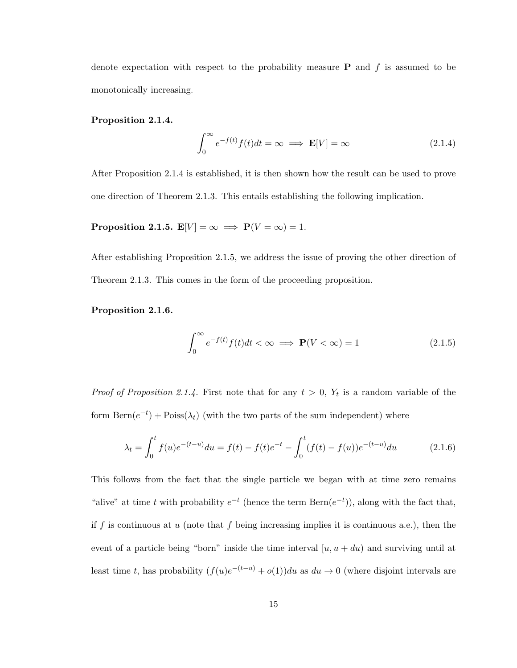denote expectation with respect to the probability measure **P** and f is assumed to be monotonically increasing.

#### Proposition 2.1.4.

$$
\int_0^\infty e^{-f(t)} f(t) dt = \infty \implies \mathbf{E}[V] = \infty \tag{2.1.4}
$$

After Proposition 2.1.4 is established, it is then shown how the result can be used to prove one direction of Theorem 2.1.3. This entails establishing the following implication.

**Proposition 2.1.5.**  $\mathbf{E}[V] = \infty \implies \mathbf{P}(V = \infty) = 1.$ 

After establishing Proposition 2.1.5, we address the issue of proving the other direction of Theorem 2.1.3. This comes in the form of the proceeding proposition.

Proposition 2.1.6.

$$
\int_0^\infty e^{-f(t)} f(t) dt < \infty \implies \mathbf{P}(V < \infty) = 1 \tag{2.1.5}
$$

*Proof of Proposition 2.1.4.* First note that for any  $t > 0$ ,  $Y_t$  is a random variable of the form  $\text{Bern}(e^{-t}) + \text{Poiss}(\lambda_t)$  (with the two parts of the sum independent) where

$$
\lambda_t = \int_0^t f(u)e^{-(t-u)} du = f(t) - f(t)e^{-t} - \int_0^t (f(t) - f(u))e^{-(t-u)} du \tag{2.1.6}
$$

This follows from the fact that the single particle we began with at time zero remains "alive" at time t with probability  $e^{-t}$  (hence the term  $\text{Bern}(e^{-t})$ ), along with the fact that, if f is continuous at  $u$  (note that  $f$  being increasing implies it is continuous a.e.), then the event of a particle being "born" inside the time interval  $[u, u + du]$  and surviving until at least time t, has probability  $(f(u)e^{-(t-u)} + o(1))du$  as  $du \to 0$  (where disjoint intervals are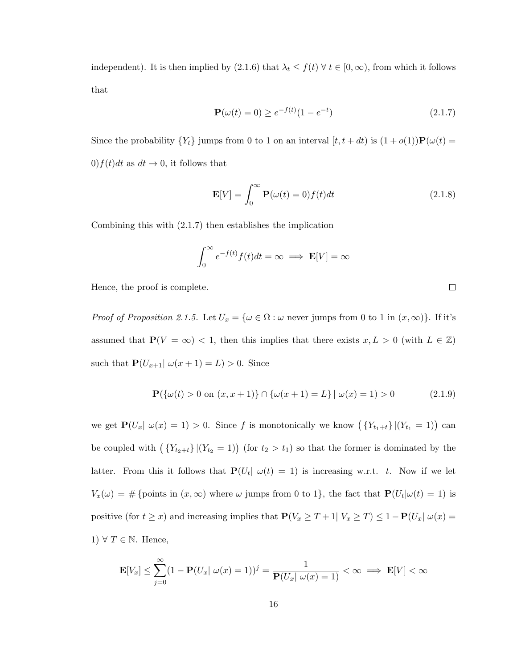independent). It is then implied by  $(2.1.6)$  that  $\lambda_t \leq f(t) \,\forall \, t \in [0, \infty)$ , from which it follows that

$$
\mathbf{P}(\omega(t) = 0) \ge e^{-f(t)}(1 - e^{-t})
$$
\n(2.1.7)

Since the probability  ${Y_t}$  jumps from 0 to 1 on an interval  $[t, t + dt)$  is  $(1 + o(1))\mathbf{P}(\omega(t))$ 0) $f(t)dt$  as  $dt \rightarrow 0$ , it follows that

$$
\mathbf{E}[V] = \int_0^\infty \mathbf{P}(\omega(t) = 0) f(t) dt
$$
\n(2.1.8)

Combining this with (2.1.7) then establishes the implication

$$
\int_0^\infty e^{-f(t)} f(t) dt = \infty \implies \mathbf{E}[V] = \infty
$$

Hence, the proof is complete.

*Proof of Proposition 2.1.5.* Let  $U_x = \{ \omega \in \Omega : \omega \text{ never jumps from } 0 \text{ to } 1 \text{ in } (x, \infty) \}.$  If it's assumed that  $P(V = \infty) < 1$ , then this implies that there exists  $x, L > 0$  (with  $L \in \mathbb{Z}$ ) such that  $P(U_{x+1} | \omega(x+1) = L) > 0$ . Since

$$
\mathbf{P}(\{\omega(t) > 0 \text{ on } (x, x+1)\} \cap \{\omega(x+1) = L\} \mid \omega(x) = 1) > 0 \tag{2.1.9}
$$

we get  $\mathbf{P}(U_x | \omega(x) = 1) > 0$ . Since f is monotonically we know  $(\{Y_{t_1+t}\}|(Y_{t_1} = 1))$  can be coupled with  $( Y_{t_2+t} | (Y_{t_2} = 1))$  (for  $t_2 > t_1$ ) so that the former is dominated by the latter. From this it follows that  $P(U_t | \omega(t) = 1)$  is increasing w.r.t. t. Now if we let  $V_x(\omega) = \#\{\text{points in } (x,\infty) \text{ where } \omega \text{ jumps from 0 to 1}\},\text{ the fact that } \mathbf{P}(U_t|\omega(t) = 1) \text{ is }$ positive (for  $t \ge x$ ) and increasing implies that  $P(V_x \ge T + 1 | V_x \ge T) \le 1 - P(U_x | \omega(x) =$ 1)  $\forall T \in \mathbb{N}$ . Hence,

$$
\mathbf{E}[V_x] \le \sum_{j=0}^{\infty} (1 - \mathbf{P}(U_x | \omega(x) = 1))^j = \frac{1}{\mathbf{P}(U_x | \omega(x) = 1)} < \infty \implies \mathbf{E}[V] < \infty
$$

 $\Box$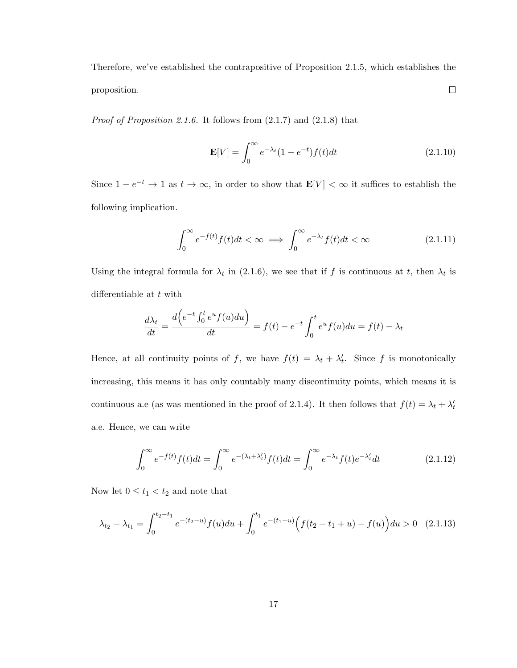Therefore, we've established the contrapositive of Proposition 2.1.5, which establishes the  $\Box$ proposition.

*Proof of Proposition 2.1.6.* It follows from  $(2.1.7)$  and  $(2.1.8)$  that

$$
\mathbf{E}[V] = \int_0^\infty e^{-\lambda_t} (1 - e^{-t}) f(t) dt \qquad (2.1.10)
$$

Since  $1 - e^{-t} \to 1$  as  $t \to \infty$ , in order to show that  $\mathbf{E}[V] < \infty$  it suffices to establish the following implication.

$$
\int_0^\infty e^{-f(t)} f(t)dt < \infty \implies \int_0^\infty e^{-\lambda_t} f(t)dt < \infty \tag{2.1.11}
$$

Using the integral formula for  $\lambda_t$  in (2.1.6), we see that if f is continuous at t, then  $\lambda_t$  is differentiable at  $t$  with

$$
\frac{d\lambda_t}{dt} = \frac{d\left(e^{-t}\int_0^t e^u f(u)du\right)}{dt} = f(t) - e^{-t}\int_0^t e^u f(u)du = f(t) - \lambda_t
$$

Hence, at all continuity points of f, we have  $f(t) = \lambda_t + \lambda'_t$ . Since f is monotonically increasing, this means it has only countably many discontinuity points, which means it is continuous a.e (as was mentioned in the proof of 2.1.4). It then follows that  $f(t) = \lambda_t + \lambda'_t$ a.e. Hence, we can write

$$
\int_0^\infty e^{-f(t)} f(t)dt = \int_0^\infty e^{-(\lambda_t + \lambda'_t)} f(t)dt = \int_0^\infty e^{-\lambda_t} f(t)e^{-\lambda'_t}dt
$$
\n(2.1.12)

Now let  $0\leq t_1< t_2$  and note that

$$
\lambda_{t_2} - \lambda_{t_1} = \int_0^{t_2 - t_1} e^{-(t_2 - u)} f(u) du + \int_0^{t_1} e^{-(t_1 - u)} \Big( f(t_2 - t_1 + u) - f(u) \Big) du > 0 \quad (2.1.13)
$$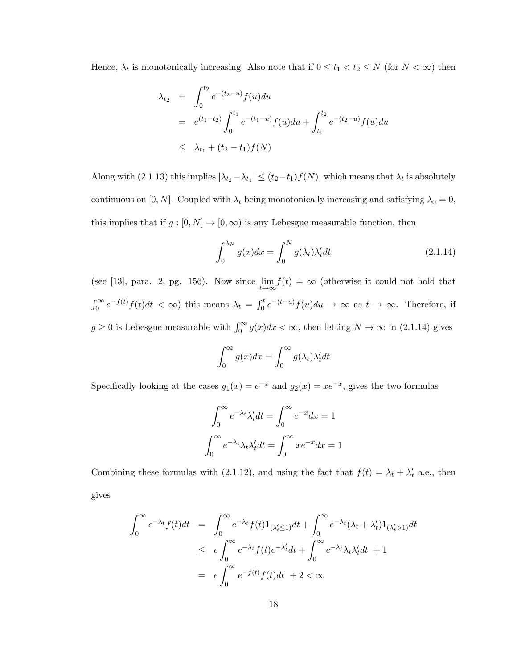Hence,  $\lambda_t$  is monotonically increasing. Also note that if  $0 \le t_1 < t_2 \le N$  (for  $N < \infty$ ) then

$$
\lambda_{t_2} = \int_0^{t_2} e^{-(t_2 - u)} f(u) du
$$
  
\n
$$
= e^{(t_1 - t_2)} \int_0^{t_1} e^{-(t_1 - u)} f(u) du + \int_{t_1}^{t_2} e^{-(t_2 - u)} f(u) du
$$
  
\n
$$
\leq \lambda_{t_1} + (t_2 - t_1) f(N)
$$

Along with (2.1.13) this implies  $|\lambda_{t_2} - \lambda_{t_1}| \le (t_2 - t_1) f(N)$ , which means that  $\lambda_t$  is absolutely continuous on [0, N]. Coupled with  $\lambda_t$  being monotonically increasing and satisfying  $\lambda_0 = 0$ , this implies that if  $g : [0, N] \to [0, \infty)$  is any Lebesgue measurable function, then

$$
\int_0^{\lambda_N} g(x)dx = \int_0^N g(\lambda_t)\lambda'_t dt
$$
\n(2.1.14)

(see [13], para. 2, pg. 156). Now since  $\lim_{t\to\infty} f(t) = \infty$  (otherwise it could not hold that  $\int_0^\infty e^{-f(t)} f(t) dt < \infty$ ) this means  $\lambda_t = \int_0^t e^{-(t-u)} f(u) du \to \infty$  as  $t \to \infty$ . Therefore, if  $g \ge 0$  is Lebesgue measurable with  $\int_0^\infty g(x)dx < \infty$ , then letting  $N \to \infty$  in (2.1.14) gives

$$
\int_0^\infty g(x)dx = \int_0^\infty g(\lambda_t)\lambda_t'dt
$$

Specifically looking at the cases  $g_1(x) = e^{-x}$  and  $g_2(x) = xe^{-x}$ , gives the two formulas

$$
\int_0^\infty e^{-\lambda_t} \lambda'_t dt = \int_0^\infty e^{-x} dx = 1
$$

$$
\int_0^\infty e^{-\lambda_t} \lambda_t \lambda'_t dt = \int_0^\infty x e^{-x} dx = 1
$$

Combining these formulas with (2.1.12), and using the fact that  $f(t) = \lambda_t + \lambda'_t$  a.e., then gives

$$
\int_0^\infty e^{-\lambda_t} f(t)dt = \int_0^\infty e^{-\lambda_t} f(t) 1_{(\lambda'_t \le 1)} dt + \int_0^\infty e^{-\lambda_t} (\lambda_t + \lambda'_t) 1_{(\lambda'_t > 1)} dt
$$
  
\n
$$
\le e \int_0^\infty e^{-\lambda_t} f(t) e^{-\lambda'_t} dt + \int_0^\infty e^{-\lambda_t} \lambda_t \lambda'_t dt + 1
$$
  
\n
$$
= e \int_0^\infty e^{-f(t)} f(t) dt + 2 < \infty
$$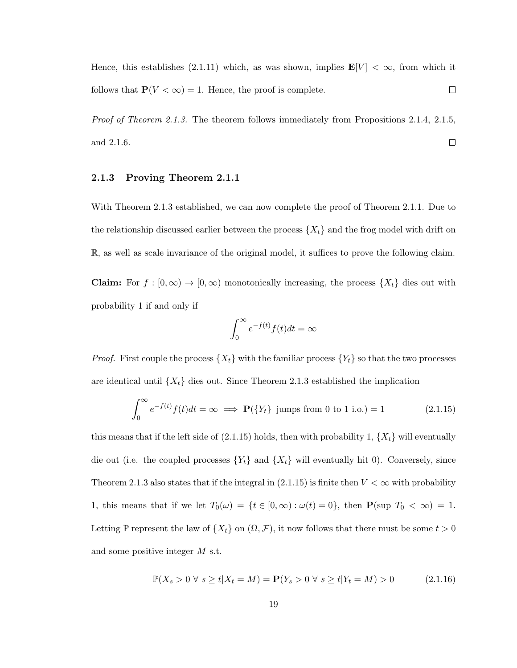Hence, this establishes (2.1.11) which, as was shown, implies  $\mathbf{E}[V] < \infty$ , from which it follows that  $P(V < \infty) = 1$ . Hence, the proof is complete.  $\Box$ 

Proof of Theorem 2.1.3. The theorem follows immediately from Propositions 2.1.4, 2.1.5, and 2.1.6.  $\Box$ 

#### 2.1.3 Proving Theorem 2.1.1

With Theorem 2.1.3 established, we can now complete the proof of Theorem 2.1.1. Due to the relationship discussed earlier between the process  $\{X_t\}$  and the frog model with drift on R, as well as scale invariance of the original model, it suffices to prove the following claim.

**Claim:** For  $f : [0, \infty) \to [0, \infty)$  monotonically increasing, the process  $\{X_t\}$  dies out with probability 1 if and only if

$$
\int_0^\infty e^{-f(t)}f(t)dt = \infty
$$

*Proof.* First couple the process  $\{X_t\}$  with the familiar process  $\{Y_t\}$  so that the two processes are identical until  $\{X_t\}$  dies out. Since Theorem 2.1.3 established the implication

$$
\int_0^\infty e^{-f(t)} f(t) dt = \infty \implies \mathbf{P}(\{Y_t\} \text{ jumps from 0 to 1 i.o.}) = 1
$$
\n(2.1.15)

this means that if the left side of  $(2.1.15)$  holds, then with probability 1,  $\{X_t\}$  will eventually die out (i.e. the coupled processes  $\{Y_t\}$  and  $\{X_t\}$  will eventually hit 0). Conversely, since Theorem 2.1.3 also states that if the integral in  $(2.1.15)$  is finite then  $V < \infty$  with probability 1, this means that if we let  $T_0(\omega) = \{t \in [0, \infty) : \omega(t) = 0\}$ , then  $\mathbf{P}(\sup T_0 < \infty) = 1$ . Letting P represent the law of  $\{X_t\}$  on  $(\Omega, \mathcal{F})$ , it now follows that there must be some  $t > 0$ and some positive integer M s.t.

$$
\mathbb{P}(X_s > 0 \ \forall \ s \ge t | X_t = M) = \mathbf{P}(Y_s > 0 \ \forall \ s \ge t | Y_t = M) > 0 \tag{2.1.16}
$$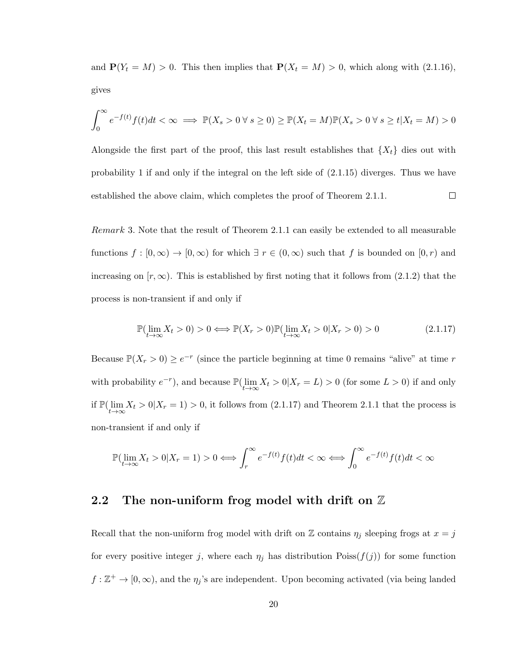and  $P(Y_t = M) > 0$ . This then implies that  $P(X_t = M) > 0$ , which along with (2.1.16), gives

$$
\int_0^\infty e^{-f(t)}f(t)dt < \infty \implies \mathbb{P}(X_s > 0 \,\forall\, s \ge 0) \ge \mathbb{P}(X_t = M)\mathbb{P}(X_s > 0 \,\forall\, s \ge t | X_t = M) > 0
$$

Alongside the first part of the proof, this last result establishes that  $\{X_t\}$  dies out with probability 1 if and only if the integral on the left side of (2.1.15) diverges. Thus we have established the above claim, which completes the proof of Theorem 2.1.1.  $\Box$ 

Remark 3. Note that the result of Theorem 2.1.1 can easily be extended to all measurable functions  $f : [0, \infty) \to [0, \infty)$  for which  $\exists r \in (0, \infty)$  such that f is bounded on  $[0, r)$  and increasing on  $[r, \infty)$ . This is established by first noting that it follows from (2.1.2) that the process is non-transient if and only if

$$
\mathbb{P}(\lim_{t \to \infty} X_t > 0) > 0 \Longleftrightarrow \mathbb{P}(X_r > 0)\mathbb{P}(\lim_{t \to \infty} X_t > 0|X_r > 0) > 0 \tag{2.1.17}
$$

Because  $\mathbb{P}(X_r > 0) \ge e^{-r}$  (since the particle beginning at time 0 remains "alive" at time r with probability  $e^{-r}$ ), and because  $\mathbb{P}(\lim_{t\to\infty} X_t > 0 | X_r = L) > 0$  (for some  $L > 0$ ) if and only if  $\mathbb{P}(\lim_{t\to\infty} X_t > 0 | X_r = 1) > 0$ , it follows from (2.1.17) and Theorem 2.1.1 that the process is non-transient if and only if

$$
\mathbb{P}(\lim_{t\to\infty}X_t>0|X_r=1)>0\Longleftrightarrow \int_r^{\infty}e^{-f(t)}f(t)dt<\infty\Longleftrightarrow \int_0^{\infty}e^{-f(t)}f(t)dt<\infty
$$

### 2.2 The non-uniform frog model with drift on  $\mathbb Z$

Recall that the non-uniform frog model with drift on Z contains  $\eta_j$  sleeping frogs at  $x = j$ for every positive integer j, where each  $\eta_j$  has distribution  $\text{Poiss}(f(j))$  for some function  $f : \mathbb{Z}^+ \to [0, \infty)$ , and the  $\eta_j$ 's are independent. Upon becoming activated (via being landed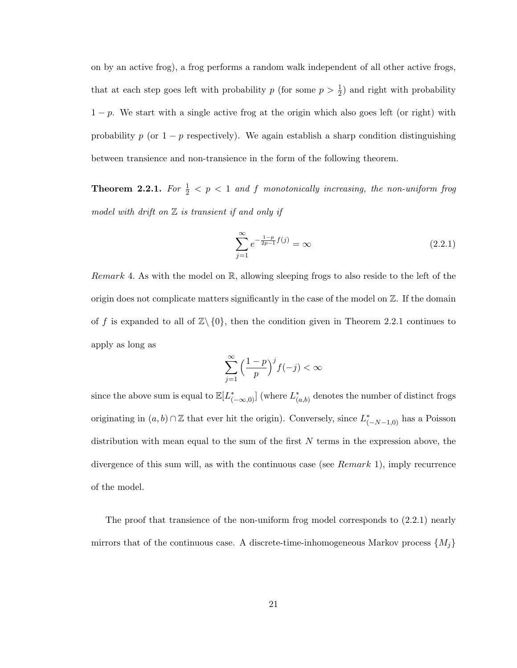on by an active frog), a frog performs a random walk independent of all other active frogs, that at each step goes left with probability  $p$  (for some  $p > \frac{1}{2}$ ) and right with probability  $1-p$ . We start with a single active frog at the origin which also goes left (or right) with probability p (or  $1 - p$  respectively). We again establish a sharp condition distinguishing between transience and non-transience in the form of the following theorem.

**Theorem 2.2.1.** For  $\frac{1}{2} < p < 1$  and f monotonically increasing, the non-uniform frog model with drift on  $Z$  is transient if and only if

$$
\sum_{j=1}^{\infty} e^{-\frac{1-p}{2p-1}f(j)} = \infty
$$
\n(2.2.1)

*Remark* 4. As with the model on  $\mathbb{R}$ , allowing sleeping frogs to also reside to the left of the origin does not complicate matters significantly in the case of the model on Z. If the domain of f is expanded to all of  $\mathbb{Z}\setminus\{0\}$ , then the condition given in Theorem 2.2.1 continues to apply as long as

$$
\sum_{j=1}^{\infty} \left(\frac{1-p}{p}\right)^j f(-j) < \infty
$$

since the above sum is equal to  $\mathbb{E}[L^*_{(-\infty,0)}]$  (where  $L^*_{(a,b)}$  denotes the number of distinct frogs originating in  $(a, b) \cap \mathbb{Z}$  that ever hit the origin). Conversely, since  $L^*_{(-N-1,0)}$  has a Poisson distribution with mean equal to the sum of the first  $N$  terms in the expression above, the divergence of this sum will, as with the continuous case (see Remark 1), imply recurrence of the model.

The proof that transience of the non-uniform frog model corresponds to (2.2.1) nearly mirrors that of the continuous case. A discrete-time-inhomogeneous Markov process  $\{M_i\}$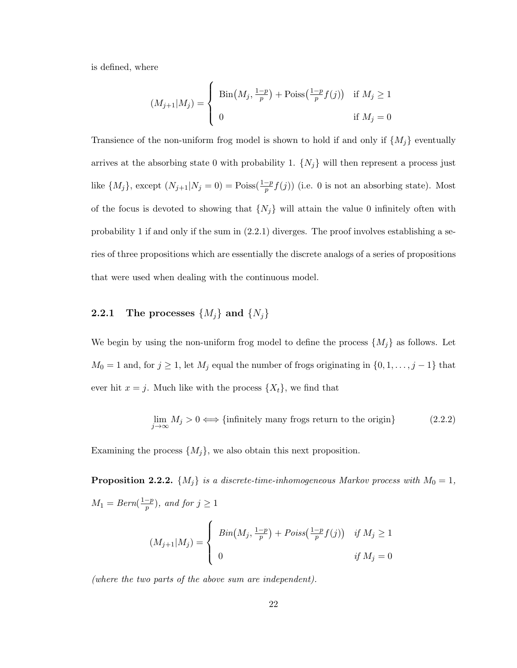is defined, where

$$
(M_{j+1}|M_j) = \begin{cases} \text{Bin}(M_j, \frac{1-p}{p}) + \text{Poiss}(\frac{1-p}{p}f(j)) & \text{if } M_j \ge 1 \\ 0 & \text{if } M_j = 0 \end{cases}
$$

Transience of the non-uniform frog model is shown to hold if and only if  $\{M_j\}$  eventually arrives at the absorbing state 0 with probability 1.  $\{N_j\}$  will then represent a process just like  $\{M_j\}$ , except  $(N_{j+1}|N_j=0) = \text{Poiss}(\frac{1-p}{p}f(j))$  (i.e. 0 is not an absorbing state). Most of the focus is devoted to showing that  $\{N_j\}$  will attain the value 0 infinitely often with probability 1 if and only if the sum in (2.2.1) diverges. The proof involves establishing a series of three propositions which are essentially the discrete analogs of a series of propositions that were used when dealing with the continuous model.

### **2.2.1** The processes  $\{M_j\}$  and  $\{N_j\}$

We begin by using the non-uniform frog model to define the process  $\{M_j\}$  as follows. Let  $M_0 = 1$  and, for  $j \ge 1$ , let  $M_j$  equal the number of frogs originating in  $\{0, 1, \ldots, j-1\}$  that ever hit  $x = j$ . Much like with the process  $\{X_t\}$ , we find that

$$
\lim_{j \to \infty} M_j > 0 \iff \{\text{infinitely many frogs return to the origin}\}\tag{2.2.2}
$$

Examining the process  $\{M_j\}$ , we also obtain this next proposition.

**Proposition 2.2.2.**  $\{M_j\}$  is a discrete-time-inhomogeneous Markov process with  $M_0 = 1$ ,  $M_1 = Bern(\frac{1-p}{n})$  $(\frac{-p}{p})$ , and for  $j \geq 1$ 

$$
(M_{j+1}|M_j) = \begin{cases} Bin(M_j, \frac{1-p}{p}) + Poiss(\frac{1-p}{p}f(j)) & \text{if } M_j \ge 1 \\ 0 & \text{if } M_j = 0 \end{cases}
$$

(where the two parts of the above sum are independent).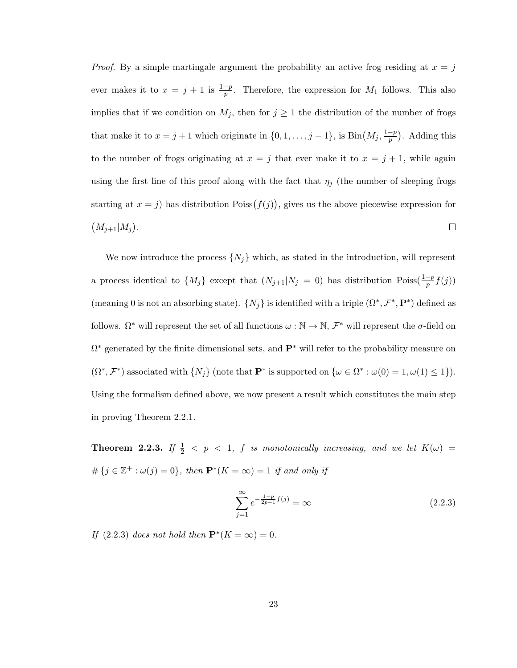*Proof.* By a simple martingale argument the probability an active frog residing at  $x = j$ ever makes it to  $x = j + 1$  is  $\frac{1-p}{p}$ . Therefore, the expression for  $M_1$  follows. This also implies that if we condition on  $M_j$ , then for  $j \geq 1$  the distribution of the number of frogs that make it to  $x = j + 1$  which originate in  $\{0, 1, \ldots, j - 1\}$ , is  $\text{Bin}(M_j, \frac{1-p}{p})$  $\frac{-p}{p}$ ). Adding this to the number of frogs originating at  $x = j$  that ever make it to  $x = j + 1$ , while again using the first line of this proof along with the fact that  $\eta_i$  (the number of sleeping frogs starting at  $x = j$ ) has distribution Poiss $(f(j))$ , gives us the above piecewise expression for  $(M_{j+1}|M_j).$  $\Box$ 

We now introduce the process  $\{N_i\}$  which, as stated in the introduction, will represent a process identical to  $\{M_j\}$  except that  $(N_{j+1}|N_j = 0)$  has distribution Poiss $(\frac{1-p}{p}f(j))$ (meaning 0 is not an absorbing state).  $\{N_j\}$  is identified with a triple  $(\Omega^*, \mathcal{F}^*, \mathbf{P}^*)$  defined as follows.  $\Omega^*$  will represent the set of all functions  $\omega : \mathbb{N} \to \mathbb{N}, \mathcal{F}^*$  will represent the  $\sigma$ -field on  $\Omega^*$  generated by the finite dimensional sets, and  $\mathbf{P}^*$  will refer to the probability measure on  $(\Omega^*, \mathcal{F}^*)$  associated with  $\{N_j\}$  (note that  $\mathbf{P}^*$  is supported on  $\{\omega \in \Omega^* : \omega(0) = 1, \omega(1) \leq 1\}$ ). Using the formalism defined above, we now present a result which constitutes the main step in proving Theorem 2.2.1.

**Theorem 2.2.3.** If  $\frac{1}{2}$  < p < 1, f is monotonically increasing, and we let  $K(\omega)$  =  $\#\{j \in \mathbb{Z}^+ : \omega(j) = 0\},\$  then  $\mathbf{P}^*(K = \infty) = 1$  if and only if

$$
\sum_{j=1}^{\infty} e^{-\frac{1-p}{2p-1}f(j)} = \infty
$$
\n(2.2.3)

If  $(2.2.3)$  does not hold then  $\mathbf{P}^*(K = \infty) = 0$ .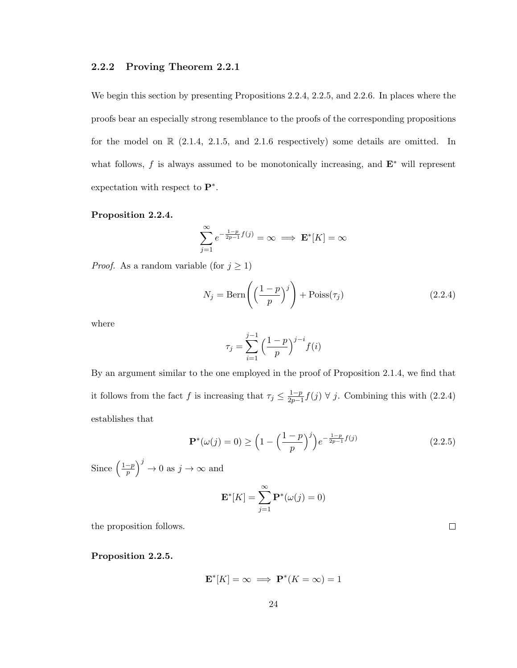#### 2.2.2 Proving Theorem 2.2.1

We begin this section by presenting Propositions 2.2.4, 2.2.5, and 2.2.6. In places where the proofs bear an especially strong resemblance to the proofs of the corresponding propositions for the model on  $\mathbb{R}$  (2.1.4, 2.1.5, and 2.1.6 respectively) some details are omitted. In what follows, f is always assumed to be monotonically increasing, and  $\mathbf{E}^*$  will represent expectation with respect to  $\mathbf{P}^*$ .

#### Proposition 2.2.4.

$$
\sum_{j=1}^{\infty} e^{-\frac{1-p}{2p-1}f(j)} = \infty \implies \mathbf{E}^*[K] = \infty
$$

*Proof.* As a random variable (for  $j \ge 1$ )

$$
N_j = \text{Bern}\left(\left(\frac{1-p}{p}\right)^j\right) + \text{Poiss}(\tau_j)
$$
\n(2.2.4)

where

$$
\tau_j = \sum_{i=1}^{j-1} \Big(\frac{1-p}{p}\Big)^{j-i} f(i)
$$

By an argument similar to the one employed in the proof of Proposition 2.1.4, we find that it follows from the fact f is increasing that  $\tau_j \leq \frac{1-p}{2p-1}$  $\frac{1-p}{2p-1}f(j)$  ∀ j. Combining this with  $(2.2.4)$ establishes that

$$
\mathbf{P}^*(\omega(j) = 0) \ge \left(1 - \left(\frac{1-p}{p}\right)^j\right) e^{-\frac{1-p}{2p-1}f(j)}\tag{2.2.5}
$$

Since  $\left(\frac{1-p}{p}\right)$  $\left(\frac{-p}{p}\right)^j \to 0$  as  $j \to \infty$  and

$$
\mathbf{E}^*[K] = \sum_{j=1}^{\infty} \mathbf{P}^*(\omega(j) = 0)
$$

the proposition follows.

Proposition 2.2.5.

$$
\mathbf{E}^*[K] = \infty \implies \mathbf{P}^*(K = \infty) = 1
$$

 $\Box$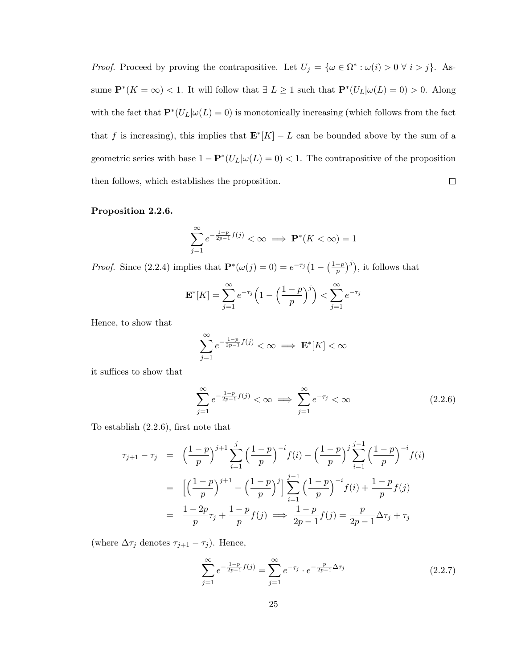*Proof.* Proceed by proving the contrapositive. Let  $U_j = {\omega \in \Omega^* : \omega(i) > 0 \forall i > j}.$  Assume  $\mathbf{P}^*(K = \infty) < 1$ . It will follow that  $\exists L \geq 1$  such that  $\mathbf{P}^*(U_L|\omega(L) = 0) > 0$ . Along with the fact that  $\mathbf{P}^*(U_L|\omega(L) = 0)$  is monotonically increasing (which follows from the fact that f is increasing), this implies that  $\mathbf{E}^* [K] - L$  can be bounded above by the sum of a geometric series with base  $1 - \mathbf{P}^*(U_L|\omega(L) = 0) < 1$ . The contrapositive of the proposition then follows, which establishes the proposition.  $\Box$ 

#### Proposition 2.2.6.

$$
\sum_{j=1}^{\infty} e^{-\frac{1-p}{2p-1}f(j)} < \infty \implies \mathbf{P}^*(K < \infty) = 1
$$

*Proof.* Since (2.2.4) implies that  $P^*(\omega(j) = 0) = e^{-\tau_j} (1 - (\frac{1-p}{n})$  $\left(\frac{-p}{p}\right)^j$ ), it follows that

$$
\mathbf{E}^*[K] = \sum_{j=1}^{\infty} e^{-\tau_j} \left( 1 - \left( \frac{1-p}{p} \right)^j \right) < \sum_{j=1}^{\infty} e^{-\tau_j}
$$

Hence, to show that

$$
\sum_{j=1}^{\infty} e^{-\frac{1-p}{2p-1}f(j)} < \infty \implies \mathbf{E}^*[K] < \infty
$$

it suffices to show that

$$
\sum_{j=1}^{\infty} e^{-\frac{1-p}{2p-1}f(j)} < \infty \implies \sum_{j=1}^{\infty} e^{-\tau_j} < \infty \tag{2.2.6}
$$

To establish (2.2.6), first note that

$$
\tau_{j+1} - \tau_j = \left(\frac{1-p}{p}\right)^{j+1} \sum_{i=1}^j \left(\frac{1-p}{p}\right)^{-i} f(i) - \left(\frac{1-p}{p}\right)^j \sum_{i=1}^{j-1} \left(\frac{1-p}{p}\right)^{-i} f(i)
$$

$$
= \left[\left(\frac{1-p}{p}\right)^{j+1} - \left(\frac{1-p}{p}\right)^j\right] \sum_{i=1}^{j-1} \left(\frac{1-p}{p}\right)^{-i} f(i) + \frac{1-p}{p} f(j)
$$

$$
= \frac{1-2p}{p}\tau_j + \frac{1-p}{p} f(j) \implies \frac{1-p}{2p-1} f(j) = \frac{p}{2p-1} \Delta \tau_j + \tau_j
$$

(where  $\Delta \tau_j$  denotes  $\tau_{j+1} - \tau_j$ ). Hence,

$$
\sum_{j=1}^{\infty} e^{-\frac{1-p}{2p-1}f(j)} = \sum_{j=1}^{\infty} e^{-\tau_j} \cdot e^{-\frac{p}{2p-1}\Delta\tau_j}
$$
 (2.2.7)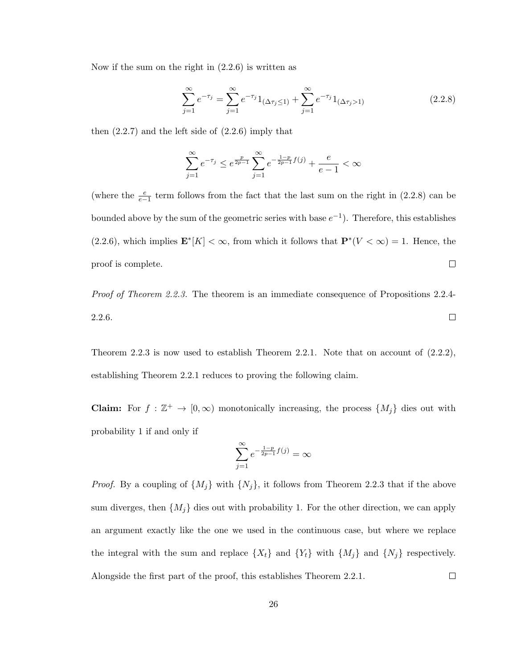Now if the sum on the right in (2.2.6) is written as

$$
\sum_{j=1}^{\infty} e^{-\tau_j} = \sum_{j=1}^{\infty} e^{-\tau_j} 1_{(\Delta \tau_j \le 1)} + \sum_{j=1}^{\infty} e^{-\tau_j} 1_{(\Delta \tau_j > 1)}
$$
(2.2.8)

then  $(2.2.7)$  and the left side of  $(2.2.6)$  imply that

$$
\sum_{j=1}^{\infty}e^{-\tau_j}\leq e^{\frac{p}{2p-1}}\sum_{j=1}^{\infty}e^{-\frac{1-p}{2p-1}f(j)}+\frac{e}{e-1}<\infty
$$

(where the  $\frac{e}{e-1}$  term follows from the fact that the last sum on the right in (2.2.8) can be bounded above by the sum of the geometric series with base  $e^{-1}$ ). Therefore, this establishes  $(2.2.6)$ , which implies  $\mathbf{E}^*[K] < \infty$ , from which it follows that  $\mathbf{P}^*(V < \infty) = 1$ . Hence, the  $\Box$ proof is complete.

*Proof of Theorem 2.2.3.* The theorem is an immediate consequence of Propositions 2.2.4-2.2.6.  $\Box$ 

Theorem 2.2.3 is now used to establish Theorem 2.2.1. Note that on account of  $(2.2.2)$ , establishing Theorem 2.2.1 reduces to proving the following claim.

**Claim:** For  $f : \mathbb{Z}^+ \to [0, \infty)$  monotonically increasing, the process  $\{M_j\}$  dies out with probability 1 if and only if

$$
\sum_{j=1}^{\infty} e^{-\frac{1-p}{2p-1}f(j)} = \infty
$$

*Proof.* By a coupling of  $\{M_j\}$  with  $\{N_j\}$ , it follows from Theorem 2.2.3 that if the above sum diverges, then  $\{M_j\}$  dies out with probability 1. For the other direction, we can apply an argument exactly like the one we used in the continuous case, but where we replace the integral with the sum and replace  $\{X_t\}$  and  $\{Y_t\}$  with  $\{M_j\}$  and  $\{N_j\}$  respectively.  $\Box$ Alongside the first part of the proof, this establishes Theorem 2.2.1.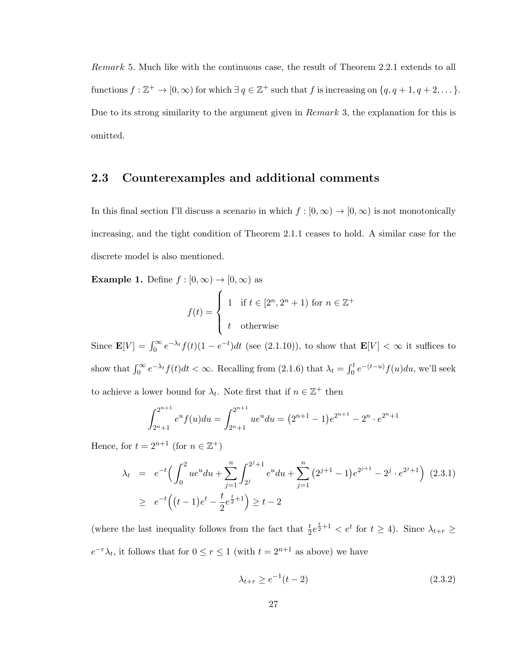Remark 5. Much like with the continuous case, the result of Theorem 2.2.1 extends to all functions  $f : \mathbb{Z}^+ \to [0, \infty)$  for which  $\exists q \in \mathbb{Z}^+$  such that f is increasing on  $\{q, q+1, q+2, \dots\}$ . Due to its strong similarity to the argument given in Remark 3, the explanation for this is omitted.

#### 2.3 Counterexamples and additional comments

In this final section I'll discuss a scenario in which  $f : [0, \infty) \to [0, \infty)$  is not monotonically increasing, and the tight condition of Theorem 2.1.1 ceases to hold. A similar case for the discrete model is also mentioned.

**Example 1.** Define  $f : [0, \infty) \to [0, \infty)$  as

$$
f(t) = \begin{cases} 1 & \text{if } t \in [2^n, 2^n + 1) \text{ for } n \in \mathbb{Z}^+ \\ t & \text{otherwise} \end{cases}
$$

Since  $\mathbf{E}[V] = \int_0^\infty e^{-\lambda_t} f(t) (1 - e^{-t}) dt$  (see (2.1.10)), to show that  $\mathbf{E}[V] < \infty$  it suffices to show that  $\int_0^\infty e^{-\lambda t} f(t) dt < \infty$ . Recalling from (2.1.6) that  $\lambda_t = \int_0^t e^{-(t-u)} f(u) du$ , we'll seek to achieve a lower bound for  $\lambda_t$ . Note first that if  $n \in \mathbb{Z}^+$  then

$$
\int_{2^n+1}^{2^{n+1}} e^u f(u) du = \int_{2^n+1}^{2^{n+1}} u e^u du = (2^{n+1} - 1) e^{2^{n+1}} - 2^n \cdot e^{2^n+1}
$$

Hence, for  $t = 2^{n+1}$  (for  $n \in \mathbb{Z}^+$ )

$$
\lambda_t = e^{-t} \Big( \int_0^2 u e^u du + \sum_{j=1}^n \int_{2^j}^{2^j + 1} e^u du + \sum_{j=1}^n (2^{j+1} - 1) e^{2^{j+1}} - 2^j \cdot e^{2^j + 1} \Big) (2.3.1)
$$
  
 
$$
\geq e^{-t} \Big( (t-1) e^t - \frac{t}{2} e^{\frac{t}{2} + 1} \Big) \geq t - 2
$$

(where the last inequality follows from the fact that  $\frac{t}{2}e^{\frac{t}{2}+1} < e^t$  for  $t \geq 4$ ). Since  $\lambda_{t+r} \geq$  $e^{-r}\lambda_t$ , it follows that for  $0 \le r \le 1$  (with  $t = 2^{n+1}$  as above) we have

$$
\lambda_{t+r} \ge e^{-1}(t-2) \tag{2.3.2}
$$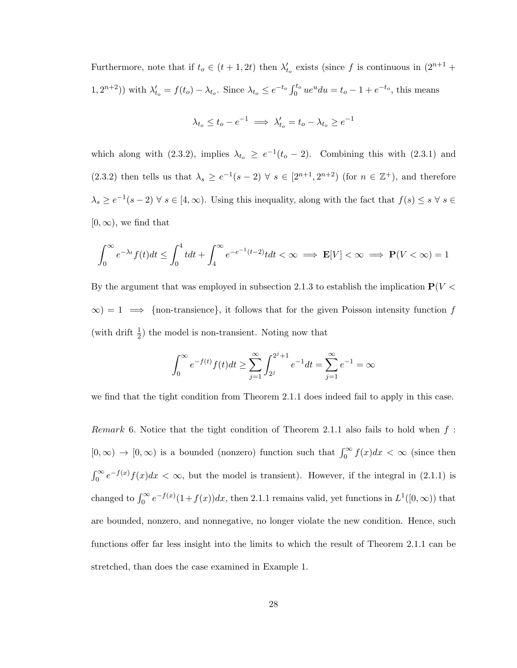Furthermore, note that if  $t_o \in (t + 1, 2t)$  then  $\lambda'_{t_o}$  exists (since f is continuous in  $(2^{n+1} +$ 1,  $2^{n+2}$ )) with  $\lambda'_{t_o} = f(t_o) - \lambda_{t_o}$ . Since  $\lambda_{t_o} \le e^{-t_o} \int_0^{t_o} ue^u du = t_o - 1 + e^{-t_o}$ , this means

$$
\lambda_{t_o} \leq t_o - e^{-1} \implies \lambda_{t_o}' = t_o - \lambda_{t_o} \geq e^{-1}
$$

which along with (2.3.2), implies  $\lambda_{t_o} \geq e^{-1}(t_o - 2)$ . Combining this with (2.3.1) and (2.3.2) then tells us that  $\lambda_s \geq e^{-1}(s-2)$   $\forall s \in [2^{n+1}, 2^{n+2})$  (for  $n \in \mathbb{Z}^+$ ), and therefore  $\lambda_s \geq e^{-1}(s-2)$   $\forall s \in [4,\infty)$ . Using this inequality, along with the fact that  $f(s) \leq s$   $\forall s \in \mathbb{R}$  $[0, \infty)$ , we find that

$$
\int_0^\infty e^{-\lambda t} f(t) dt \le \int_0^4 t dt + \int_4^\infty e^{-e^{-1}(t-2)} t dt < \infty \implies \mathbf{E}[V] < \infty \implies \mathbf{P}(V < \infty) = 1
$$

By the argument that was employed in subsection 2.1.3 to establish the implication  $P(V <$  $\infty$ ) = 1  $\implies$  {non-transience}, it follows that for the given Poisson intensity function f (with drift  $\frac{1}{2}$ ) the model is non-transient. Noting now that

$$
\int_0^{\infty} e^{-f(t)} f(t) dt \ge \sum_{j=1}^{\infty} \int_{2^j}^{2^j + 1} e^{-1} dt = \sum_{j=1}^{\infty} e^{-1} = \infty
$$

we find that the tight condition from Theorem 2.1.1 does indeed fail to apply in this case.

*Remark* 6. Notice that the tight condition of Theorem 2.1.1 also fails to hold when  $f$ :  $[0, \infty) \to [0, \infty)$  is a bounded (nonzero) function such that  $\int_0^\infty f(x) dx < \infty$  (since then  $\int_0^\infty e^{-f(x)}f(x)dx < \infty$ , but the model is transient). However, if the integral in (2.1.1) is changed to  $\int_0^\infty e^{-f(x)}(1+f(x))dx$ , then 2.1.1 remains valid, yet functions in  $L^1([0,\infty))$  that are bounded, nonzero, and nonnegative, no longer violate the new condition. Hence, such functions offer far less insight into the limits to which the result of Theorem 2.1.1 can be stretched, than does the case examined in Example 1.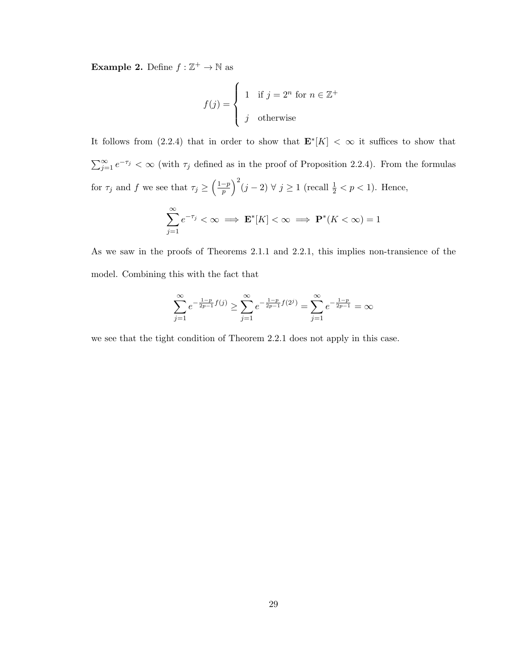**Example 2.** Define  $f : \mathbb{Z}^+ \to \mathbb{N}$  as

$$
f(j) = \begin{cases} 1 & \text{if } j = 2^n \text{ for } n \in \mathbb{Z}^+ \\ j & \text{otherwise} \end{cases}
$$

It follows from (2.2.4) that in order to show that  $\mathbf{E}^*[K] < \infty$  it suffices to show that  $\sum_{j=1}^{\infty} e^{-\tau_j} < \infty$  (with  $\tau_j$  defined as in the proof of Proposition 2.2.4). From the formulas for  $\tau_j$  and f we see that  $\tau_j \geq \left(\frac{1-p}{n}\right)$  $\left(\frac{-p}{p}\right)^2 (j-2) \ \forall \ j \geq 1 \text{ (recall } \frac{1}{2} < p < 1). \text{ Hence,}$  $\sum_{k=0}^{\infty} e^{-\tau_{j}} < \infty \implies \mathbf{E}^{*}[K] < \infty \implies \mathbf{P}^{*}(K < \infty) = 1$ 

$$
\frac{1}{j=1}
$$
in the proofs of Theorems 2.1.1 and 2.2.1 this implies non-transi-  
tion.

As we saw in the proofs of Theorems 2.1.1 and 2.2.1, this implies non-transience of the model. Combining this with the fact that

$$
\sum_{j=1}^{\infty} e^{-\frac{1-p}{2p-1}f(j)} \ge \sum_{j=1}^{\infty} e^{-\frac{1-p}{2p-1}f(2^j)} = \sum_{j=1}^{\infty} e^{-\frac{1-p}{2p-1}} = \infty
$$

we see that the tight condition of Theorem 2.2.1 does not apply in this case.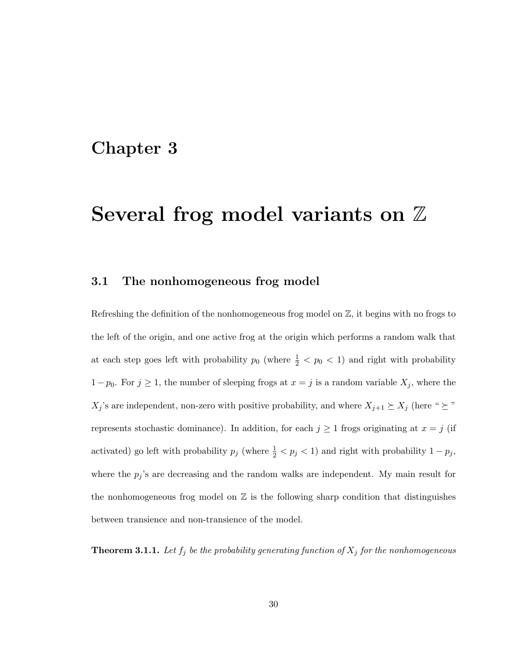# Chapter 3

# Several frog model variants on  $\mathbb Z$

### 3.1 The nonhomogeneous frog model

Refreshing the definition of the nonhomogeneous frog model on  $\mathbb{Z}$ , it begins with no frogs to the left of the origin, and one active frog at the origin which performs a random walk that at each step goes left with probability  $p_0$  (where  $\frac{1}{2}$  <  $p_0$  < 1) and right with probability  $1 - p_0$ . For  $j \ge 1$ , the number of sleeping frogs at  $x = j$  is a random variable  $X_j$ , where the  $X_j$ 's are independent, non-zero with positive probability, and where  $X_{j+1} \succeq X_j$  (here "  $\succeq$  " represents stochastic dominance). In addition, for each  $j \geq 1$  frogs originating at  $x = j$  (if activated) go left with probability  $p_j$  (where  $\frac{1}{2} < p_j < 1$ ) and right with probability  $1 - p_j$ , where the  $p_j$ 's are decreasing and the random walks are independent. My main result for the nonhomogeneous frog model on  $\mathbb Z$  is the following sharp condition that distinguishes between transience and non-transience of the model.

**Theorem 3.1.1.** Let  $f_j$  be the probability generating function of  $X_j$  for the nonhomogeneous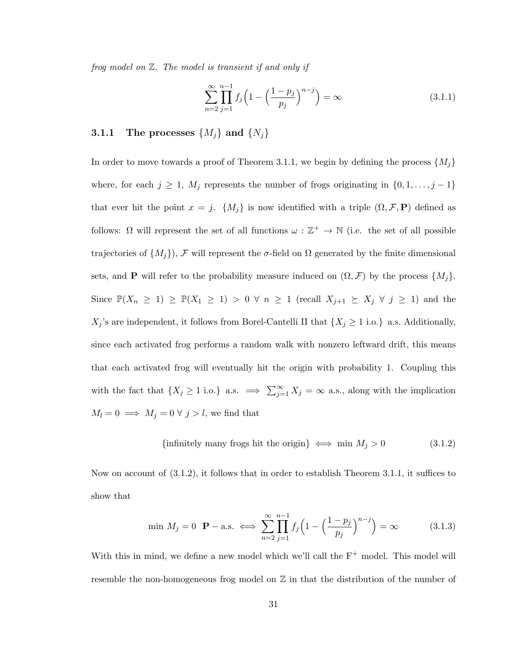frog model on Z. The model is transient if and only if

$$
\sum_{n=2}^{\infty} \prod_{j=1}^{n-1} f_j \left( 1 - \left( \frac{1 - p_j}{p_j} \right)^{n-j} \right) = \infty \tag{3.1.1}
$$

## **3.1.1** The processes  $\{M_j\}$  and  $\{N_j\}$

In order to move towards a proof of Theorem 3.1.1, we begin by defining the process  $\{M_i\}$ where, for each  $j \geq 1$ ,  $M_j$  represents the number of frogs originating in  $\{0, 1, \ldots, j-1\}$ that ever hit the point  $x = j$ .  ${M<sub>j</sub>}$  is now identified with a triple  $(\Omega, \mathcal{F}, \mathbf{P})$  defined as follows:  $\Omega$  will represent the set of all functions  $\omega : \mathbb{Z}^+ \to \mathbb{N}$  (i.e. the set of all possible trajectories of  $\{M_j\}$ , F will represent the σ-field on  $\Omega$  generated by the finite dimensional sets, and **P** will refer to the probability measure induced on  $(\Omega, \mathcal{F})$  by the process  $\{M_j\}.$ Since  $\mathbb{P}(X_n \geq 1) \geq \mathbb{P}(X_1 \geq 1) > 0 \ \forall n \geq 1$  (recall  $X_{j+1} \succeq X_j \ \forall j \geq 1$ ) and the  $X_j$ 's are independent, it follows from Borel-Cantelli II that  $\{X_j \geq 1 \text{ i.o.}\}\;$  a.s. Additionally, since each activated frog performs a random walk with nonzero leftward drift, this means that each activated frog will eventually hit the origin with probability 1. Coupling this with the fact that  $\{X_j \geq 1 \text{ i.o.}\}\$  a.s.  $\implies \sum_{j=1}^{\infty} X_j = \infty$  a.s., along with the implication  $M_l = 0 \implies M_j = 0 \forall j > l$ , we find that

{infinitely many frogs hit the origin} 
$$
\iff
$$
 min  $M_j > 0$  (3.1.2)

Now on account of (3.1.2), it follows that in order to establish Theorem 3.1.1, it suffices to show that

$$
\min M_j = 0 \quad \mathbf{P} - \text{a.s.} \iff \sum_{n=2}^{\infty} \prod_{j=1}^{n-1} f_j \left( 1 - \left( \frac{1 - p_j}{p_j} \right)^{n-j} \right) = \infty \tag{3.1.3}
$$

With this in mind, we define a new model which we'll call the  $F^+$  model. This model will resemble the non-homogeneous frog model on  $\mathbb Z$  in that the distribution of the number of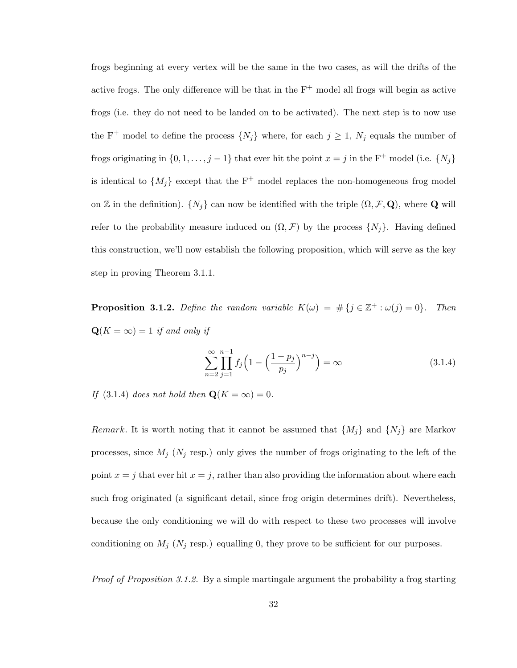frogs beginning at every vertex will be the same in the two cases, as will the drifts of the active frogs. The only difference will be that in the  $F^+$  model all frogs will begin as active frogs (i.e. they do not need to be landed on to be activated). The next step is to now use the F<sup>+</sup> model to define the process  $\{N_j\}$  where, for each  $j \geq 1$ ,  $N_j$  equals the number of frogs originating in  $\{0, 1, \ldots, j - 1\}$  that ever hit the point  $x = j$  in the F<sup>+</sup> model (i.e.  $\{N_j\}$ ) is identical to  $\{M_j\}$  except that the F<sup>+</sup> model replaces the non-homogeneous frog model on Z in the definition).  $\{N_j\}$  can now be identified with the triple  $(\Omega, \mathcal{F}, \mathbf{Q})$ , where **Q** will refer to the probability measure induced on  $(\Omega, \mathcal{F})$  by the process  $\{N_j\}$ . Having defined this construction, we'll now establish the following proposition, which will serve as the key step in proving Theorem 3.1.1.

**Proposition 3.1.2.** Define the random variable  $K(\omega) = # \{j \in \mathbb{Z}^+ : \omega(j) = 0\}$ . Then  $\mathbf{Q}(K = \infty) = 1$  if and only if

$$
\sum_{n=2}^{\infty} \prod_{j=1}^{n-1} f_j \left( 1 - \left( \frac{1 - p_j}{p_j} \right)^{n-j} \right) = \infty \tag{3.1.4}
$$

If (3.1.4) does not hold then  $\mathbf{Q}(K = \infty) = 0$ .

*Remark*. It is worth noting that it cannot be assumed that  $\{M_j\}$  and  $\{N_j\}$  are Markov processes, since  $M_j$  ( $N_j$  resp.) only gives the number of frogs originating to the left of the point  $x = j$  that ever hit  $x = j$ , rather than also providing the information about where each such frog originated (a significant detail, since frog origin determines drift). Nevertheless, because the only conditioning we will do with respect to these two processes will involve conditioning on  $M_j$  ( $N_j$  resp.) equalling 0, they prove to be sufficient for our purposes.

Proof of Proposition 3.1.2. By a simple martingale argument the probability a frog starting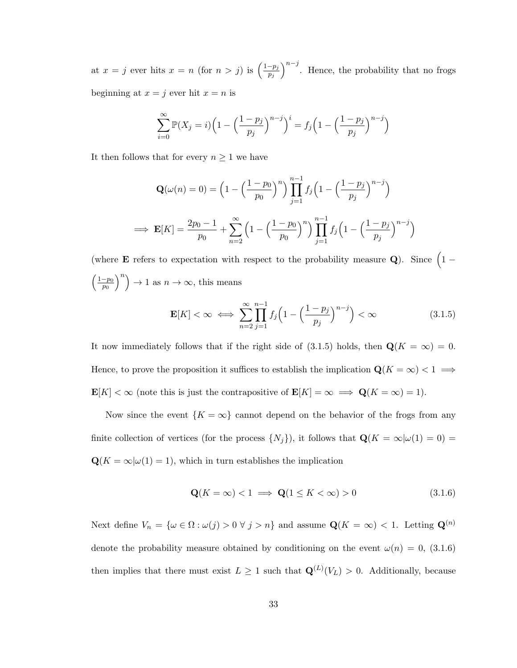at  $x = j$  ever hits  $x = n$  (for  $n > j$ ) is  $\left(\frac{1-p_j}{n}\right)$  $\overline{p_j}$  $\int^{n-j}$ . Hence, the probability that no frogs beginning at  $x = j$  ever hit  $x = n$  is

$$
\sum_{i=0}^{\infty} \mathbb{P}(X_j = i) \left( 1 - \left( \frac{1 - p_j}{p_j} \right)^{n-j} \right)^i = f_j \left( 1 - \left( \frac{1 - p_j}{p_j} \right)^{n-j} \right)
$$

It then follows that for every  $n \geq 1$  we have

$$
\mathbf{Q}(\omega(n) = 0) = \left(1 - \left(\frac{1 - p_0}{p_0}\right)^n\right) \prod_{j=1}^{n-1} f_j \left(1 - \left(\frac{1 - p_j}{p_j}\right)^{n-j}\right)
$$
  
\n
$$
\implies \mathbf{E}[K] = \frac{2p_0 - 1}{p_0} + \sum_{n=2}^{\infty} \left(1 - \left(\frac{1 - p_0}{p_0}\right)^n\right) \prod_{j=1}^{n-1} f_j \left(1 - \left(\frac{1 - p_j}{p_j}\right)^{n-j}\right)
$$

(where **E** refers to expectation with respect to the probability measure Q). Since  $(1 \left( \frac{1-p_0}{p_0} \right)$  $\overline{p_0}$  $\binom{n}{n} \rightarrow 1$  as  $n \rightarrow \infty$ , this means

$$
\mathbf{E}[K] < \infty \iff \sum_{n=2}^{\infty} \prod_{j=1}^{n-1} f_j \left( 1 - \left( \frac{1 - p_j}{p_j} \right)^{n-j} \right) < \infty \tag{3.1.5}
$$

It now immediately follows that if the right side of (3.1.5) holds, then  $\mathbf{Q}(K = \infty) = 0$ . Hence, to prove the proposition it suffices to establish the implication  $\mathbf{Q}(K = \infty) < 1 \implies$  $\mathbf{E}[K] < \infty$  (note this is just the contrapositive of  $\mathbf{E}[K] = \infty \implies \mathbf{Q}(K = \infty) = 1$ ).

Now since the event  $\{K = \infty\}$  cannot depend on the behavior of the frogs from any finite collection of vertices (for the process  $\{N_j\}$ ), it follows that  $\mathbf{Q}(K = \infty | \omega(1) = 0)$  $\mathbf{Q}(K=\infty|\omega(1)=1),$  which in turn establishes the implication

$$
\mathbf{Q}(K=\infty) < 1 \implies \mathbf{Q}(1 \le K < \infty) > 0 \tag{3.1.6}
$$

Next define  $V_n = \{ \omega \in \Omega : \omega(j) > 0 \ \forall \ j > n \}$  and assume  $\mathbf{Q}(K = \infty) < 1$ . Letting  $\mathbf{Q}^{(n)}$ denote the probability measure obtained by conditioning on the event  $\omega(n) = 0$ , (3.1.6) then implies that there must exist  $L \geq 1$  such that  $\mathbf{Q}^{(L)}(V_L) > 0$ . Additionally, because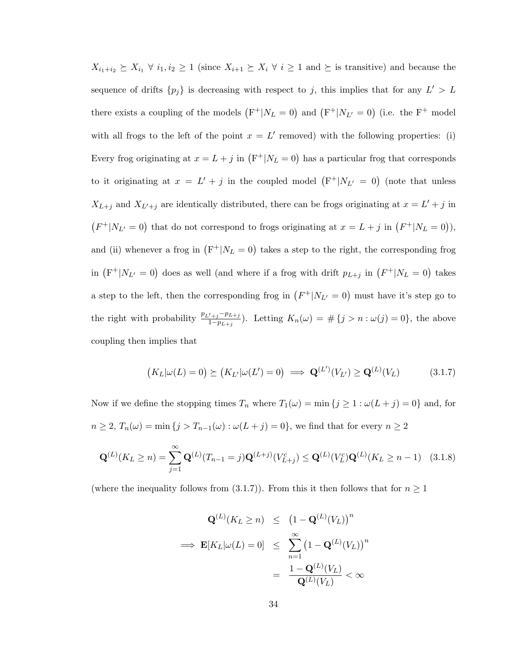$X_{i_1+i_2} \succeq X_{i_1} \ \forall \ i_1, i_2 \geq 1$  (since  $X_{i+1} \succeq X_i \ \forall \ i \geq 1$  and  $\succeq$  is transitive) and because the sequence of drifts  $\{p_j\}$  is decreasing with respect to j, this implies that for any  $L' > L$ there exists a coupling of the models  $(F^+|N_L=0)$  and  $(F^+|N_{L'}=0)$  (i.e. the  $F^+$  model with all frogs to the left of the point  $x = L'$  removed) with the following properties: (i) Every frog originating at  $x = L + j$  in  $(F^+|N_L = 0)$  has a particular frog that corresponds to it originating at  $x = L' + j$  in the coupled model  $(F^+|N_{L'}=0)$  (note that unless  $X_{L+j}$  and  $X_{L'+j}$  are identically distributed, there can be frogs originating at  $x = L' + j$  in  $(F^+|N_{L'}=0)$  that do not correspond to frogs originating at  $x=L+j$  in  $(F^+|N_L=0)$ ), and (ii) whenever a frog in  $(F^+|N_L=0)$  takes a step to the right, the corresponding frog in  $(F^+|N_{L'}=0)$  does as well (and where if a frog with drift  $p_{L+j}$  in  $(F^+|N_L=0)$  takes a step to the left, then the corresponding frog in  $(F^+|N_{L'}=0)$  must have it's step go to the right with probability  $\frac{p_{L'+j}-p_{L+j}}{1-p_{L+j}}$ . Letting  $K_n(\omega) = \#\{j > n : \omega(j) = 0\}$ , the above coupling then implies that

$$
(K_L|\omega(L) = 0) \succeq (K_{L'}|\omega(L') = 0) \implies \mathbf{Q}^{(L')}(V_{L'}) \ge \mathbf{Q}^{(L)}(V_L) \tag{3.1.7}
$$

Now if we define the stopping times  $T_n$  where  $T_1(\omega) = \min\{j \geq 1 : \omega(L+j) = 0\}$  and, for  $n \geq 2$ ,  $T_n(\omega) = \min\{j > T_{n-1}(\omega) : \omega(L+j) = 0\}$ , we find that for every  $n \geq 2$ 

$$
\mathbf{Q}^{(L)}(K_L \ge n) = \sum_{j=1}^{\infty} \mathbf{Q}^{(L)}(T_{n-1} = j) \mathbf{Q}^{(L+j)}(V_{L+j}^c) \le \mathbf{Q}^{(L)}(V_L^c) \mathbf{Q}^{(L)}(K_L \ge n-1) \quad (3.1.8)
$$

(where the inequality follows from (3.1.7)). From this it then follows that for  $n \geq 1$ 

$$
\mathbf{Q}^{(L)}(K_L \ge n) \le \left(1 - \mathbf{Q}^{(L)}(V_L)\right)^n
$$
  
\n
$$
\implies \mathbf{E}[K_L|\omega(L) = 0] \le \sum_{n=1}^{\infty} \left(1 - \mathbf{Q}^{(L)}(V_L)\right)^n
$$
  
\n
$$
= \frac{1 - \mathbf{Q}^{(L)}(V_L)}{\mathbf{Q}^{(L)}(V_L)} < \infty
$$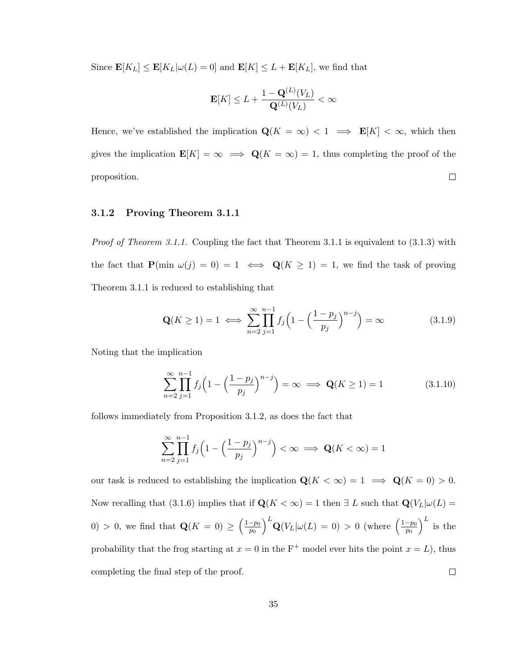Since  $\mathbf{E}[K_L] \leq \mathbf{E}[K_L | \omega(L) = 0]$  and  $\mathbf{E}[K] \leq L + \mathbf{E}[K_L]$ , we find that

$$
\mathbf{E}[K] \leq L + \frac{1 - \mathbf{Q}^{(L)}(V_L)}{\mathbf{Q}^{(L)}(V_L)} < \infty
$$

Hence, we've established the implication  $\mathbf{Q}(K = \infty) < 1 \implies \mathbf{E}[K] < \infty$ , which then gives the implication  $\mathbf{E}[K] = \infty \implies \mathbf{Q}(K = \infty) = 1$ , thus completing the proof of the  $\Box$ proposition.

#### 3.1.2 Proving Theorem 3.1.1

*Proof of Theorem 3.1.1.* Coupling the fact that Theorem 3.1.1 is equivalent to  $(3.1.3)$  with the fact that  $P(\min \omega(j) = 0) = 1 \iff Q(K \ge 1) = 1$ , we find the task of proving Theorem 3.1.1 is reduced to establishing that

$$
\mathbf{Q}(K \ge 1) = 1 \iff \sum_{n=2}^{\infty} \prod_{j=1}^{n-1} f_j \left( 1 - \left( \frac{1 - p_j}{p_j} \right)^{n-j} \right) = \infty \tag{3.1.9}
$$

Noting that the implication

$$
\sum_{n=2}^{\infty} \prod_{j=1}^{n-1} f_j \left( 1 - \left( \frac{1 - p_j}{p_j} \right)^{n-j} \right) = \infty \implies \mathbf{Q}(K \ge 1) = 1 \tag{3.1.10}
$$

follows immediately from Proposition 3.1.2, as does the fact that

$$
\sum_{n=2}^{\infty} \prod_{j=1}^{n-1} f_j \left( 1 - \left( \frac{1 - p_j}{p_j} \right)^{n-j} \right) < \infty \implies \mathbf{Q}(K < \infty) = 1
$$

our task is reduced to establishing the implication  $\mathbf{Q}(K < \infty) = 1 \implies \mathbf{Q}(K = 0) > 0$ . Now recalling that (3.1.6) implies that if  $\mathbf{Q}(K < \infty) = 1$  then  $\exists L$  such that  $\mathbf{Q}(V_L | \omega(L) =$  $\int_{-L}^{L} \mathbf{Q}(V_L | \omega(L) = 0) > 0 \text{ (where } \left( \frac{1-p_0}{p_0} \right)$  $\Big)^L$  is the 0) > 0, we find that  $\mathbf{Q}(K=0) \geq \left(\frac{1-p_0}{p_0}\right)$  $\overline{p}_0$  $\overline{p}_0$ probability that the frog starting at  $x = 0$  in the F<sup>+</sup> model ever hits the point  $x = L$ ), thus  $\Box$ completing the final step of the proof.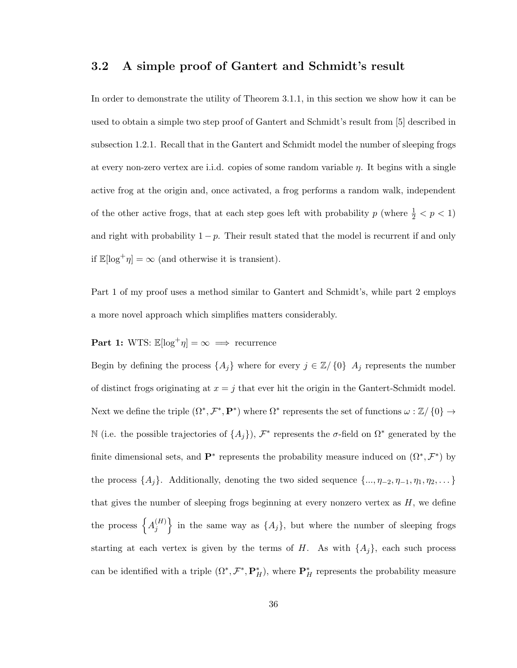### 3.2 A simple proof of Gantert and Schmidt's result

In order to demonstrate the utility of Theorem 3.1.1, in this section we show how it can be used to obtain a simple two step proof of Gantert and Schmidt's result from [5] described in subsection 1.2.1. Recall that in the Gantert and Schmidt model the number of sleeping frogs at every non-zero vertex are i.i.d. copies of some random variable  $\eta$ . It begins with a single active frog at the origin and, once activated, a frog performs a random walk, independent of the other active frogs, that at each step goes left with probability  $p$  (where  $\frac{1}{2} < p < 1$ ) and right with probability  $1 - p$ . Their result stated that the model is recurrent if and only if  $\mathbb{E}[\log^+ \eta] = \infty$  (and otherwise it is transient).

Part 1 of my proof uses a method similar to Gantert and Schmidt's, while part 2 employs a more novel approach which simplifies matters considerably.

# **Part 1:** WTS:  $\mathbb{E}[\log^+ \eta] = \infty \implies$  recurrence

Begin by defining the process  $\{A_j\}$  where for every  $j \in \mathbb{Z}/\{0\}$   $A_j$  represents the number of distinct frogs originating at  $x = j$  that ever hit the origin in the Gantert-Schmidt model. Next we define the triple  $(\Omega^*, \mathcal{F}^*, \mathbf{P}^*)$  where  $\Omega^*$  represents the set of functions  $\omega : \mathbb{Z}/\{0\} \to$ N (i.e. the possible trajectories of  $\{A_j\}$ ),  $\mathcal{F}^*$  represents the  $\sigma$ -field on  $\Omega^*$  generated by the finite dimensional sets, and  $\mathbf{P}^*$  represents the probability measure induced on  $(\Omega^*, \mathcal{F}^*)$  by the process  $\{A_j\}$ . Additionally, denoting the two sided sequence  $\{\ldots, \eta_{-2}, \eta_{-1}, \eta_1, \eta_2, \ldots\}$ that gives the number of sleeping frogs beginning at every nonzero vertex as  $H$ , we define the process  $\{A_i^{(H)}\}$  $\{H_j\}$  in the same way as  $\{A_j\}$ , but where the number of sleeping frogs starting at each vertex is given by the terms of H. As with  $\{A_i\}$ , each such process can be identified with a triple  $(\Omega^*, \mathcal{F}^*, \mathbf{P}_H^*)$ , where  $\mathbf{P}_H^*$  represents the probability measure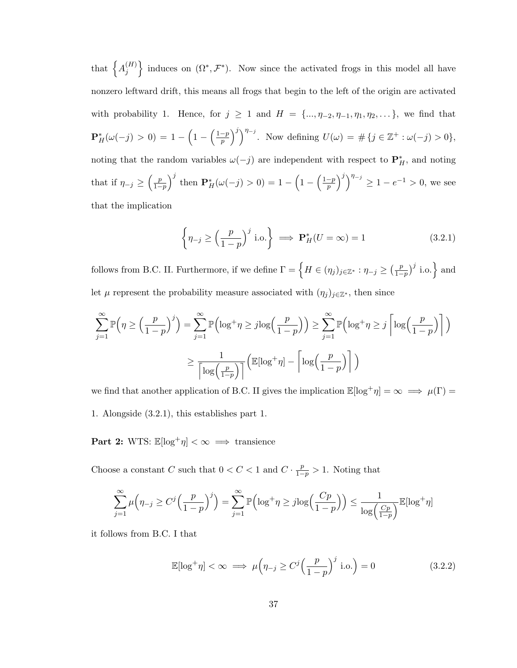that  $\big\{A_i^{(H)}\big\}$  $\{H_j^{(H)}\}$  induces on  $(\Omega^*, \mathcal{F}^*)$ . Now since the activated frogs in this model all have nonzero leftward drift, this means all frogs that begin to the left of the origin are activated with probability 1. Hence, for  $j \geq 1$  and  $H = \{..., \eta_{-2}, \eta_{-1}, \eta_1, \eta_2, ...\}$ , we find that  ${\bf P}^{*}_{H}(\omega(-j) > 0) = 1 - \Bigl(1 - \Bigl(\frac{1-p}{p}\Bigr)$  $\left(\frac{-p}{p}\right)^j\right)^{\eta_{-j}}$ . Now defining  $U(\omega) = \# \{j \in \mathbb{Z}^+ : \omega(-j) > 0\},$ noting that the random variables  $\omega(-j)$  are independent with respect to  $\mathbf{P}_{H}^{*}$ , and noting that if  $\eta_{-j} \geq \left(\frac{p}{1-p}\right)$  $\frac{p}{1-p}$ <sup>j</sup> then  $\mathbf{P}_{H}^{*}(\omega(-j) > 0) = 1 - \left(1 - \left(\frac{1-p}{p}\right)\right)$  $\left(\frac{-p}{p}\right)^j\right)^{\eta_{-j}} \ge 1 - e^{-1} > 0$ , we see that the implication

$$
\left\{\eta_{-j} \ge \left(\frac{p}{1-p}\right)^j \text{ i.o.}\right\} \implies \mathbf{P}_H^*(U=\infty) = 1 \tag{3.2.1}
$$

follows from B.C. II. Furthermore, if we define  $\Gamma = \{ H \in (\eta_j)_{j \in \mathbb{Z}^*} : \eta_{-j} \geq (\frac{p}{1-\eta_j}) \}$  $\frac{p}{1-p}$ <sup>j</sup> i.o. and let  $\mu$  represent the probability measure associated with  $(\eta_j)_{j\in\mathbb{Z}^*}$ , then since

$$
\sum_{j=1}^{\infty} \mathbb{P}\left(\eta \ge \left(\frac{p}{1-p}\right)^j\right) = \sum_{j=1}^{\infty} \mathbb{P}\left(\log^+ \eta \ge j \log\left(\frac{p}{1-p}\right)\right) \ge \sum_{j=1}^{\infty} \mathbb{P}\left(\log^+ \eta \ge j \left\lceil \log\left(\frac{p}{1-p}\right)\right\rceil\right)
$$

$$
\ge \frac{1}{\left\lceil \log\left(\frac{p}{1-p}\right)\right\rceil} \left(\mathbb{E}[\log^+ \eta] - \left\lceil \log\left(\frac{p}{1-p}\right)\right\rceil\right)
$$

we find that another application of B.C. II gives the implication  $\mathbb{E}[\log^+ \eta] = \infty \implies \mu(\Gamma) =$ 1. Alongside (3.2.1), this establishes part 1.

Part 2: WTS:  $\mathbb{E}[\log^+ \eta] < \infty \implies$  transience

Choose a constant C such that  $0 < C < 1$  and  $C \cdot \frac{p}{1-p} > 1$ . Noting that

$$
\sum_{j=1}^{\infty} \mu\left(\eta_{-j} \ge C^j \left(\frac{p}{1-p}\right)^j\right) = \sum_{j=1}^{\infty} \mathbb{P}\left(\log^+ \eta \ge j \log\left(\frac{Cp}{1-p}\right)\right) \le \frac{1}{\log\left(\frac{Cp}{1-p}\right)} \mathbb{E}[\log^+ \eta]
$$

it follows from B.C. I that

$$
\mathbb{E}[\log^+ \eta] < \infty \implies \mu \left( \eta_{-j} \ge C^j \left( \frac{p}{1-p} \right)^j \text{ i.o.} \right) = 0 \tag{3.2.2}
$$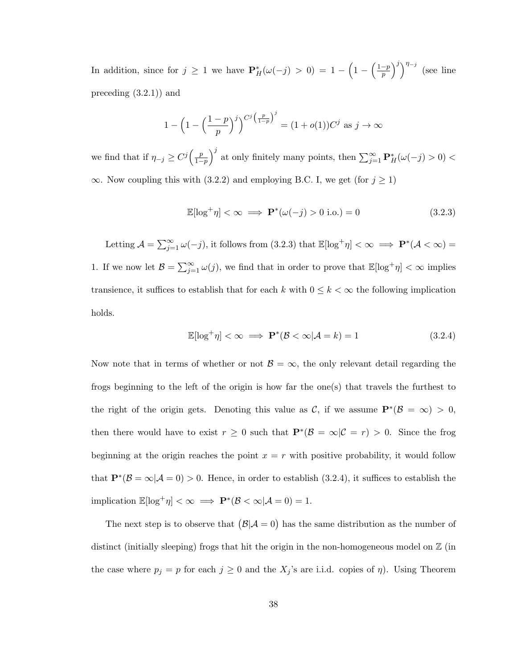In addition, since for  $j \geq 1$  we have  $\mathbf{P}_{H}^{*}(\omega(-j) > 0) = 1 - \left(1 - \left(\frac{1-p}{p}\right)\right)$  $\left(\frac{-p}{p}\right)^j\right)^{\eta_{-j}}$  (see line preceding (3.2.1)) and

$$
1 - \left(1 - \left(\frac{1-p}{p}\right)^j\right)^{C^j \left(\frac{p}{1-p}\right)^j} = (1 + o(1))C^j \text{ as } j \to \infty
$$

we find that if  $\eta_{-j} \geq C^j \left( \frac{p}{1-p} \right)$  $\frac{p}{1-p}$ <sup>j</sup> at only finitely many points, then  $\sum_{j=1}^{\infty} \mathbf{P}_{H}^{*}(\omega(-j) > 0)$  $\infty$ . Now coupling this with (3.2.2) and employing B.C. I, we get (for  $j \ge 1$ )

$$
\mathbb{E}[\log^+ \eta] < \infty \implies \mathbf{P}^*(\omega(-j) > 0 \text{ i.o.}) = 0 \tag{3.2.3}
$$

Letting  $\mathcal{A} = \sum_{j=1}^{\infty} \omega(-j)$ , it follows from  $(3.2.3)$  that  $\mathbb{E}[\log^+ \eta] < \infty \implies \mathbf{P}^*(\mathcal{A} < \infty) =$ 1. If we now let  $\mathcal{B} = \sum_{j=1}^{\infty} \omega(j)$ , we find that in order to prove that  $\mathbb{E}[\log^+ \eta] < \infty$  implies transience, it suffices to establish that for each  $k$  with  $0\leq k<\infty$  the following implication holds.

$$
\mathbb{E}[\log^+ \eta] < \infty \implies \mathbf{P}^*(\mathcal{B} < \infty | \mathcal{A} = k) = 1 \tag{3.2.4}
$$

Now note that in terms of whether or not  $\mathcal{B} = \infty$ , the only relevant detail regarding the frogs beginning to the left of the origin is how far the one(s) that travels the furthest to the right of the origin gets. Denoting this value as C, if we assume  $\mathbf{P}^*(\mathcal{B} = \infty) > 0$ , then there would have to exist  $r \geq 0$  such that  $\mathbf{P}^*(\mathcal{B} = \infty | \mathcal{C} = r) > 0$ . Since the frog beginning at the origin reaches the point  $x = r$  with positive probability, it would follow that  $\mathbf{P}^*(\mathcal{B} = \infty | \mathcal{A} = 0) > 0$ . Hence, in order to establish (3.2.4), it suffices to establish the implication  $\mathbb{E}[\log^+ \eta] < \infty \implies \mathbf{P}^*(\mathcal{B} < \infty | \mathcal{A} = 0) = 1.$ 

The next step is to observe that  $(\mathcal{B}|\mathcal{A}=0)$  has the same distribution as the number of distinct (initially sleeping) frogs that hit the origin in the non-homogeneous model on  $\mathbb{Z}$  (in the case where  $p_j = p$  for each  $j \geq 0$  and the  $X_j$ 's are i.i.d. copies of  $\eta$ ). Using Theorem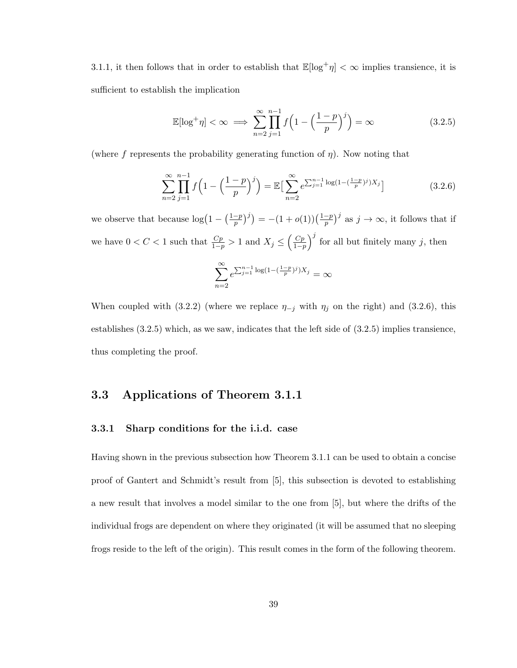3.1.1, it then follows that in order to establish that  $\mathbb{E}[\log^+\eta] < \infty$  implies transience, it is sufficient to establish the implication

$$
\mathbb{E}[\log^+ \eta] < \infty \implies \sum_{n=2}^{\infty} \prod_{j=1}^{n-1} f\left(1 - \left(\frac{1-p}{p}\right)^j\right) = \infty \tag{3.2.5}
$$

(where f represents the probability generating function of  $\eta$ ). Now noting that

$$
\sum_{n=2}^{\infty} \prod_{j=1}^{n-1} f\left(1 - \left(\frac{1-p}{p}\right)^j\right) = \mathbb{E}\left[\sum_{n=2}^{\infty} e^{\sum_{j=1}^{n-1} \log\left(1 - \left(\frac{1-p}{p}\right)^j\right) X_j}\right]
$$
(3.2.6)

we observe that because  $\log(1 - (\frac{1-p}{n})$  $\left(\frac{-p}{p}\right)^j$  =  $-(1+o(1))\left(\frac{1-p}{p}\right)$  $(\frac{-p}{p})^j$  as  $j \to \infty$ , it follows that if we have  $0 < C < 1$  such that  $\frac{Cp}{1-p} > 1$  and  $X_j \leq \left(\frac{Cp}{1-p}\right)$  $\frac{C_p}{1-p}$ <sup>j</sup> for all but finitely many j, then

$$
\sum_{n=2}^{\infty} e^{\sum_{j=1}^{n-1} \log(1 - (\frac{1-p}{p})^j)X_j} = \infty
$$

When coupled with (3.2.2) (where we replace  $\eta_{-j}$  with  $\eta_j$  on the right) and (3.2.6), this establishes (3.2.5) which, as we saw, indicates that the left side of (3.2.5) implies transience, thus completing the proof.

### 3.3 Applications of Theorem 3.1.1

#### 3.3.1 Sharp conditions for the i.i.d. case

Having shown in the previous subsection how Theorem 3.1.1 can be used to obtain a concise proof of Gantert and Schmidt's result from [5], this subsection is devoted to establishing a new result that involves a model similar to the one from [5], but where the drifts of the individual frogs are dependent on where they originated (it will be assumed that no sleeping frogs reside to the left of the origin). This result comes in the form of the following theorem.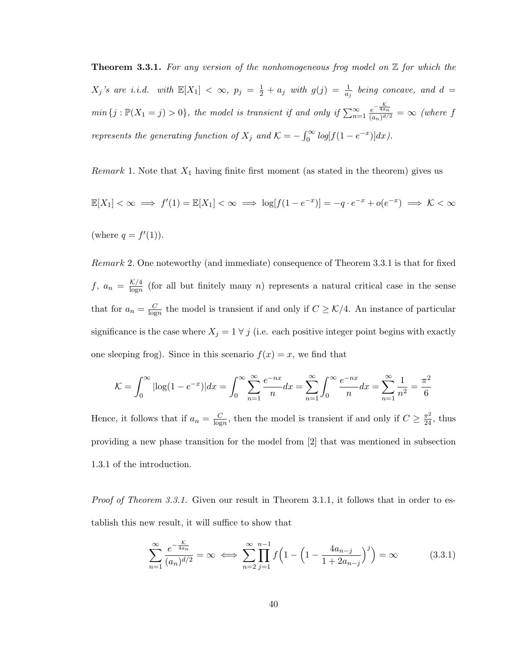**Theorem 3.3.1.** For any version of the nonhomogeneous frog model on  $\mathbb{Z}$  for which the  $X_j$ 's are i.i.d. with  $\mathbb{E}[X_1] < \infty$ ,  $p_j = \frac{1}{2} + a_j$  with  $g(j) = \frac{1}{a_j}$  being concave, and  $d =$  $min\{j : \mathbb{P}(X_1 = j) > 0\},\$  the model is transient if and only if  $\sum_{n=1}^{\infty} \frac{e^{-\frac{K}{4a_n}}}{(a_n)^{d/2}}$  $\frac{e^{-4a_n}}{(a_n)^{d/2}} = \infty$  (where f represents the generating function of  $X_j$  and  $\mathcal{K} = -\int_0^\infty \log[f(1-e^{-x})]dx$ .

Remark 1. Note that  $X_1$  having finite first moment (as stated in the theorem) gives us

$$
\mathbb{E}[X_1] < \infty \implies f'(1) = \mathbb{E}[X_1] < \infty \implies \log[f(1 - e^{-x})] = -q \cdot e^{-x} + o(e^{-x}) \implies \mathcal{K} < \infty
$$
\n(where  $q = f'(1)$ ).

Remark 2. One noteworthy (and immediate) consequence of Theorem 3.3.1 is that for fixed  $f, a_n = \frac{\mathcal{K}/4}{\log n}$  $\frac{\kappa}{4}$  (for all but finitely many *n*) represents a natural critical case in the sense that for  $a_n = \frac{C}{\log n}$  $\frac{C}{\log n}$  the model is transient if and only if  $C \geq \mathcal{K}/4$ . An instance of particular significance is the case where  $X_j = 1 \forall j$  (i.e. each positive integer point begins with exactly one sleeping frog). Since in this scenario  $f(x) = x$ , we find that

$$
\mathcal{K} = \int_0^\infty |\log(1 - e^{-x})| dx = \int_0^\infty \sum_{n=1}^\infty \frac{e^{-nx}}{n} dx = \sum_{n=1}^\infty \int_0^\infty \frac{e^{-nx}}{n} dx = \sum_{n=1}^\infty \frac{1}{n^2} = \frac{\pi^2}{6}
$$

Hence, it follows that if  $a_n = \frac{C}{\log n}$  $\frac{C}{\log n}$ , then the model is transient if and only if  $C \geq \frac{\pi^2}{24}$ , thus providing a new phase transition for the model from [2] that was mentioned in subsection 1.3.1 of the introduction.

Proof of Theorem 3.3.1. Given our result in Theorem 3.1.1, it follows that in order to establish this new result, it will suffice to show that

$$
\sum_{n=1}^{\infty} \frac{e^{-\frac{\mathcal{K}}{4a_n}}}{(a_n)^{d/2}} = \infty \iff \sum_{n=2}^{\infty} \prod_{j=1}^{n-1} f\left(1 - \left(1 - \frac{4a_{n-j}}{1 + 2a_{n-j}}\right)^j\right) = \infty
$$
(3.3.1)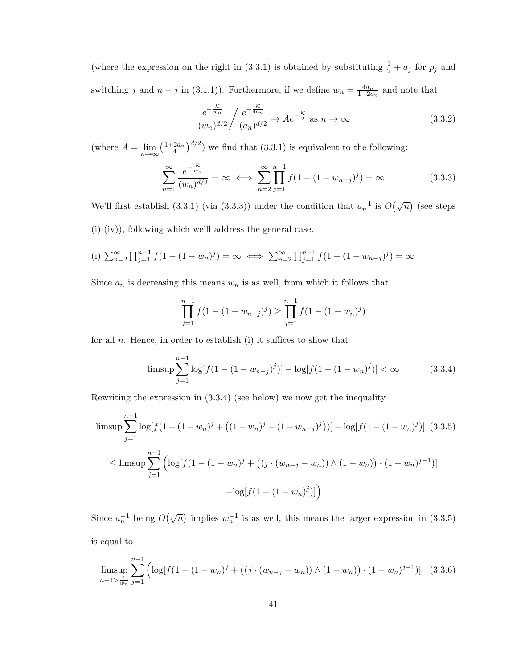(where the expression on the right in (3.3.1) is obtained by substituting  $\frac{1}{2} + a_j$  for  $p_j$  and switching j and  $n - j$  in (3.1.1)). Furthermore, if we define  $w_n = \frac{4a_n}{1+2a}$  $\frac{4a_n}{1+2a_n}$  and note that

$$
\frac{e^{-\frac{\mathcal{K}}{w_n}}}{(w_n)^{d/2}} / \frac{e^{-\frac{\mathcal{K}}{4a_n}}}{(a_n)^{d/2}} \to Ae^{-\frac{\mathcal{K}}{2}} \text{ as } n \to \infty
$$
\n(3.3.2)

(where  $A = \lim_{n \to \infty} \left(\frac{1+2a_n}{4}\right)^{d/2}$ ) we find that (3.3.1) is equivalent to the following:

$$
\sum_{n=1}^{\infty} \frac{e^{-\frac{\mathcal{K}}{w_n}}}{(w_n)^{d/2}} = \infty \iff \sum_{n=2}^{\infty} \prod_{j=1}^{n-1} f(1 - (1 - w_{n-j})^j) = \infty
$$
\n(3.3.3)

We'll first establish (3.3.1) (via (3.3.3)) under the condition that  $a_n^{-1}$  is  $O(\sqrt{n})$  (see steps (i)-(iv)), following which we'll address the general case.

(i) 
$$
\sum_{n=2}^{\infty} \prod_{j=1}^{n-1} f(1 - (1 - w_n)^j) = \infty \iff \sum_{n=2}^{\infty} \prod_{j=1}^{n-1} f(1 - (1 - w_{n-j})^j) = \infty
$$

Since  $a_n$  is decreasing this means  $w_n$  is as well, from which it follows that

$$
\prod_{j=1}^{n-1} f(1 - (1 - w_{n-j})^j) \ge \prod_{j=1}^{n-1} f(1 - (1 - w_n)^j)
$$

for all  $n$ . Hence, in order to establish (i) it suffices to show that

$$
\limsup \sum_{j=1}^{n-1} \log[f(1 - (1 - w_{n-j})^j)] - \log[f(1 - (1 - w_n)^j)] < \infty \tag{3.3.4}
$$

Rewriting the expression in (3.3.4) (see below) we now get the inequality

$$
\limsup \sum_{j=1}^{n-1} \log[f(1 - (1 - w_n)^j + ((1 - w_n)^j - (1 - w_{n-j})^j))] - \log[f(1 - (1 - w_n)^j)] \quad (3.3.5)
$$
  

$$
\leq \limsup \sum_{j=1}^{n-1} \left( \log[f(1 - (1 - w_n)^j + ((j \cdot (w_{n-j} - w_n)) \wedge (1 - w_n)) \cdot (1 - w_n)^{j-1})] - \log[f(1 - (1 - w_n)^j)] \right)
$$

Since  $a_n^{-1}$  being  $O(\sqrt{n})$  implies  $w_n^{-1}$  is as well, this means the larger expression in (3.3.5) is equal to

$$
\limsup_{n-1 > \frac{1}{w_n}} \sum_{j=1}^{n-1} \left( \log[f(1 - (1 - w_n)^j + ((j \cdot (w_{n-j} - w_n)) \wedge (1 - w_n)) \cdot (1 - w_n)^{j-1})] \right) \tag{3.3.6}
$$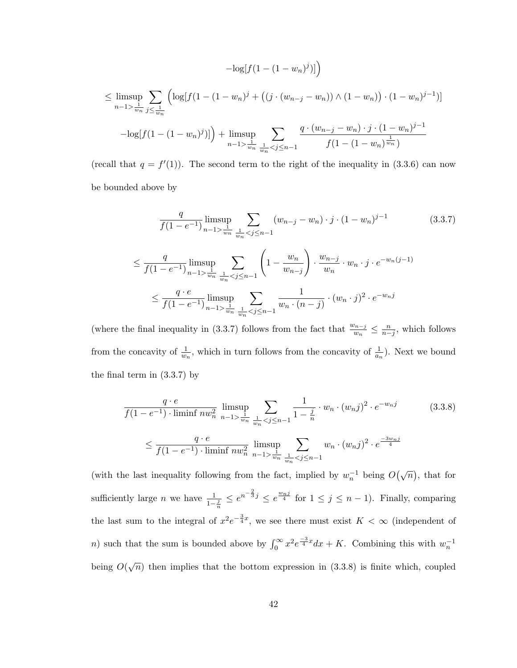$$
-\log[f(1 - (1 - w_n)^j)]\n\n\leq \limsup_{n-1 > \frac{1}{w_n}} \sum_{j \leq \frac{1}{w_n}} \left( \log[f(1 - (1 - w_n)^j + ((j \cdot (w_{n-j} - w_n)) \wedge (1 - w_n)) \cdot (1 - w_n)^{j-1}) \right]\n\n- \log[f(1 - (1 - w_n)^j)]\n\n+ \limsup_{n-1 > \frac{1}{w_n}} \sum_{\frac{1}{w_n} < j \leq n-1} \frac{q \cdot (w_{n-j} - w_n) \cdot j \cdot (1 - w_n)^{j-1}}{f(1 - (1 - w_n)^{\frac{1}{w_n}})}
$$

(recall that  $q = f'(1)$ ). The second term to the right of the inequality in (3.3.6) can now be bounded above by

$$
\frac{q}{f(1-e^{-1})} \limsup_{n-1 > \frac{1}{w_n}} \sum_{\frac{1}{w_n} < j \le n-1} (w_{n-j} - w_n) \cdot j \cdot (1-w_n)^{j-1} \tag{3.3.7}
$$
\n
$$
\le \frac{q}{f(1-e^{-1})} \limsup_{n-1 > \frac{1}{w_n}} \sum_{\frac{1}{w_n} < j \le n-1} \left(1 - \frac{w_n}{w_{n-j}}\right) \cdot \frac{w_{n-j}}{w_n} \cdot w_n \cdot j \cdot e^{-w_n(j-1)} \le \frac{q \cdot e}{f(1-e^{-1})} \limsup_{n-1 > \frac{1}{w_n}} \sum_{\frac{1}{w_n} < j \le n-1} \frac{1}{w_n \cdot (n-j)} \cdot (w_n \cdot j)^2 \cdot e^{-w_n j}
$$

(where the final inequality in (3.3.7) follows from the fact that  $\frac{w_{n-j}}{w_n} \leq \frac{n}{n-j}$ , which follows from the concavity of  $\frac{1}{w_n}$ , which in turn follows from the concavity of  $\frac{1}{a_n}$ ). Next we bound the final term in (3.3.7) by

$$
\frac{q \cdot e}{f(1 - e^{-1}) \cdot \liminf n w_n^2} \lim_{n-1 > \frac{1}{w_n}} \sum_{\frac{1}{w_n} < j \le n-1} \frac{1}{1 - \frac{j}{n}} \cdot w_n \cdot (w_n j)^2 \cdot e^{-w_n j} \tag{3.3.8}
$$
\n
$$
\le \frac{q \cdot e}{f(1 - e^{-1}) \cdot \liminf n w_n^2} \lim_{n-1 > \frac{1}{w_n}} \sum_{\frac{1}{w_n} < j \le n-1} w_n \cdot (w_n j)^2 \cdot e^{\frac{-3w_n j}{4}}
$$

(with the last inequality following from the fact, implied by  $w_n^{-1}$  being  $O(\sqrt{n})$ , that for sufficiently large *n* we have  $\frac{1}{1-\frac{j}{n}} \leq e^{n-\frac{2}{3}j} \leq e^{\frac{w_{nj}}{4}}$  for  $1 \leq j \leq n-1$ ). Finally, comparing the last sum to the integral of  $x^2e^{-\frac{3}{4}x}$ , we see there must exist  $K < \infty$  (independent of n) such that the sum is bounded above by  $\int_0^\infty x^2 e^{\frac{-3}{4}x} dx + K$ . Combining this with  $w_n^{-1}$ being  $O(\sqrt{n})$  then implies that the bottom expression in (3.3.8) is finite which, coupled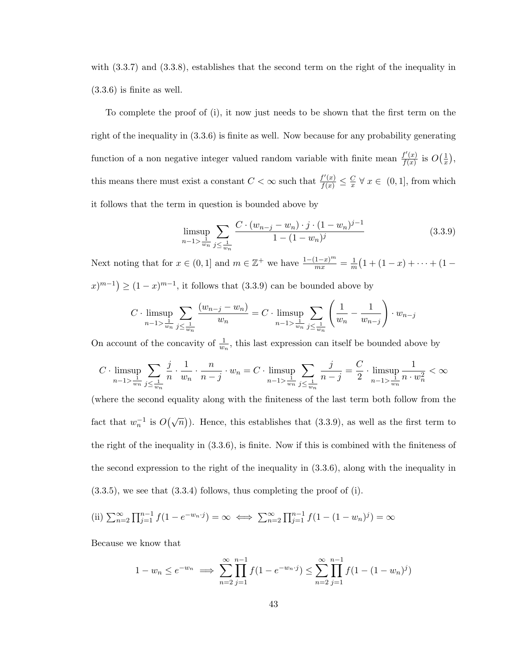with  $(3.3.7)$  and  $(3.3.8)$ , establishes that the second term on the right of the inequality in (3.3.6) is finite as well.

To complete the proof of (i), it now just needs to be shown that the first term on the right of the inequality in (3.3.6) is finite as well. Now because for any probability generating function of a non negative integer valued random variable with finite mean  $\frac{f'(x)}{f(x)}$  $\frac{f'(x)}{f(x)}$  is  $O\left(\frac{1}{x}\right)$  $\frac{1}{x}$ , this means there must exist a constant  $C < \infty$  such that  $\frac{f'(x)}{f(x)} \leq \frac{C}{x}$  $\frac{C}{x}$   $\forall x \in (0,1]$ , from which it follows that the term in question is bounded above by

$$
\limsup_{n-1 > \frac{1}{w_n}} \sum_{j \le \frac{1}{w_n}} \frac{C \cdot (w_{n-j} - w_n) \cdot j \cdot (1 - w_n)^{j-1}}{1 - (1 - w_n)^j} \tag{3.3.9}
$$

Next noting that for  $x \in (0,1]$  and  $m \in \mathbb{Z}^+$  we have  $\frac{1-(1-x)^m}{mx} = \frac{1}{m}$  $\frac{1}{m}(1+(1-x)+\cdots+(1-x))$  $(x)^{m-1}$  ≥  $(1-x)^{m-1}$ , it follows that  $(3.3.9)$  can be bounded above by

$$
C \cdot \limsup_{n-1 > \frac{1}{w_n}} \sum_{j \leq \frac{1}{w_n}} \frac{(w_{n-j} - w_n)}{w_n} = C \cdot \limsup_{n-1 > \frac{1}{w_n}} \sum_{j \leq \frac{1}{w_n}} \left( \frac{1}{w_n} - \frac{1}{w_{n-j}} \right) \cdot w_{n-j}
$$

On account of the concavity of  $\frac{1}{w_n}$ , this last expression can itself be bounded above by

$$
C\cdot\limsup_{n-1>\frac{1}{w_n}}\sum_{j\leq\frac{1}{w_n}}\frac{j}{n}\cdot\frac{1}{w_n}\cdot\frac{n}{n-j}\cdot w_n=C\cdot\limsup_{n-1>\frac{1}{w_n}}\sum_{j\leq\frac{1}{w_n}}\frac{j}{n-j}=\frac{C}{2}\cdot\limsup_{n-1>\frac{1}{w_n}}\frac{1}{n\cdot w_n^2}<\infty
$$

(where the second equality along with the finiteness of the last term both follow from the fact that  $w_n^{-1}$  is  $O(\sqrt{n})$ ). Hence, this establishes that (3.3.9), as well as the first term to the right of the inequality in (3.3.6), is finite. Now if this is combined with the finiteness of the second expression to the right of the inequality in (3.3.6), along with the inequality in  $(3.3.5)$ , we see that  $(3.3.4)$  follows, thus completing the proof of (i).

(ii) 
$$
\sum_{n=2}^{\infty} \prod_{j=1}^{n-1} f(1 - e^{-w_n \cdot j}) = \infty \iff \sum_{n=2}^{\infty} \prod_{j=1}^{n-1} f(1 - (1 - w_n)^j) = \infty
$$

Because we know that

$$
1 - w_n \le e^{-w_n} \implies \sum_{n=2}^{\infty} \prod_{j=1}^{n-1} f(1 - e^{-w_n \cdot j}) \le \sum_{n=2}^{\infty} \prod_{j=1}^{n-1} f(1 - (1 - w_n)^j)
$$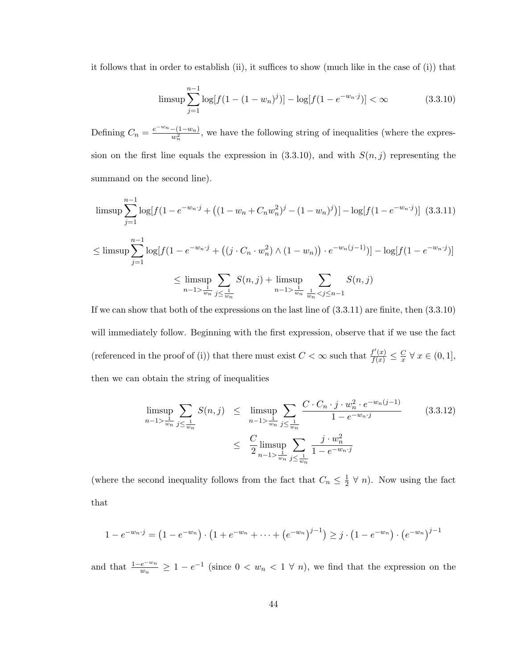it follows that in order to establish (ii), it suffices to show (much like in the case of (i)) that

$$
\limsup \sum_{j=1}^{n-1} \log[f(1 - (1 - w_n)^j)] - \log[f(1 - e^{-w_n \cdot j})] < \infty \tag{3.3.10}
$$

Defining  $C_n = \frac{e^{-w_n} - (1 - w_n)}{w^2}$  $\frac{-(1-w_n)}{w_n^2}$ , we have the following string of inequalities (where the expression on the first line equals the expression in  $(3.3.10)$ , and with  $S(n, j)$  representing the summand on the second line).

$$
\limsup \sum_{j=1}^{n-1} \log[f(1 - e^{-w_n \cdot j} + ((1 - w_n + C_n w_n^2)^j - (1 - w_n)^j)] - \log[f(1 - e^{-w_n \cdot j})] \quad (3.3.11)
$$
  

$$
\leq \limsup \sum_{j=1}^{n-1} \log[f(1 - e^{-w_n \cdot j} + ((j \cdot C_n \cdot w_n^2) \wedge (1 - w_n)) \cdot e^{-w_n(j-1)})] - \log[f(1 - e^{-w_n \cdot j})]
$$
  

$$
\leq \limsup_{n-1 > \frac{1}{w_n}} \sum_{j \leq \frac{1}{w_n}} S(n, j) + \limsup_{n-1 > \frac{1}{w_n}} \sum_{\frac{1}{w_n} < j \leq n-1} S(n, j)
$$

If we can show that both of the expressions on the last line of (3.3.11) are finite, then (3.3.10) will immediately follow. Beginning with the first expression, observe that if we use the fact (referenced in the proof of (i)) that there must exist  $C < \infty$  such that  $\frac{f'(x)}{f(x)} \leq \frac{C}{x}$  $\frac{C}{x}$   $\forall$   $x \in (0,1],$ then we can obtain the string of inequalities

$$
\limsup_{n-1 > \frac{1}{w_n}} \sum_{j \leq \frac{1}{w_n}} S(n,j) \leq \limsup_{n-1 > \frac{1}{w_n}} \sum_{j \leq \frac{1}{w_n}} \frac{C \cdot C_n \cdot j \cdot w_n^2 \cdot e^{-w_n(j-1)}}{1 - e^{-w_n \cdot j}} \qquad (3.3.12)
$$
\n
$$
\leq \frac{C}{2} \limsup_{n-1 > \frac{1}{w_n}} \sum_{j \leq \frac{1}{w_n}} \frac{j \cdot w_n^2}{1 - e^{-w_n \cdot j}}
$$

(where the second inequality follows from the fact that  $C_n \leq \frac{1}{2}$  $\frac{1}{2}$   $\forall$  *n*). Now using the fact that

$$
1 - e^{-w_n \cdot j} = \left(1 - e^{-w_n}\right) \cdot \left(1 + e^{-w_n} + \dots + \left(e^{-w_n}\right)^{j-1}\right) \geq j \cdot \left(1 - e^{-w_n}\right) \cdot \left(e^{-w_n}\right)^{j-1}
$$

and that  $\frac{1-e^{-w_n}}{w_n} \geq 1-e^{-1}$  (since  $0 < w_n < 1 \forall n$ ), we find that the expression on the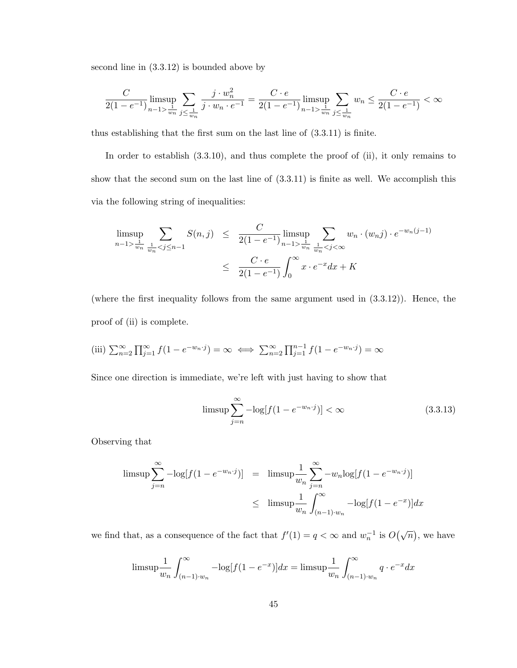second line in (3.3.12) is bounded above by

$$
\frac{C}{2(1-e^{-1})}\limsup_{n-1 > \frac{1}{w_n}} \sum_{j \le \frac{1}{w_n}} \frac{j \cdot w_n^2}{j \cdot w_n \cdot e^{-1}} = \frac{C \cdot e}{2(1-e^{-1})} \limsup_{n-1 > \frac{1}{w_n}} \sum_{j \le \frac{1}{w_n}} w_n \le \frac{C \cdot e}{2(1-e^{-1})} < \infty
$$

thus establishing that the first sum on the last line of (3.3.11) is finite.

In order to establish  $(3.3.10)$ , and thus complete the proof of  $(ii)$ , it only remains to show that the second sum on the last line of (3.3.11) is finite as well. We accomplish this via the following string of inequalities:

$$
\limsup_{n-1 > \frac{1}{w_n}} \sum_{\frac{1}{w_n} < j \le n-1} S(n,j) \le \frac{C}{2(1 - e^{-1})} \limsup_{n-1 > \frac{1}{w_n} \le j < \infty} \sum_{\frac{1}{w_n} < j < \infty} w_n \cdot (w_n j) \cdot e^{-w_n(j-1)} \le \frac{C \cdot e}{2(1 - e^{-1})} \int_0^\infty x \cdot e^{-x} dx + K
$$

(where the first inequality follows from the same argument used in (3.3.12)). Hence, the proof of (ii) is complete.

(iii) 
$$
\sum_{n=2}^{\infty} \prod_{j=1}^{\infty} f(1 - e^{-w_n \cdot j}) = \infty \iff \sum_{n=2}^{\infty} \prod_{j=1}^{n-1} f(1 - e^{-w_n \cdot j}) = \infty
$$

Since one direction is immediate, we're left with just having to show that

$$
\limsup \sum_{j=n}^{\infty} -\log[f(1 - e^{-w_n \cdot j})] < \infty \tag{3.3.13}
$$

Observing that

$$
\limsup \sum_{j=n}^{\infty} -\log[f(1 - e^{-w_n \cdot j})] = \limsup \frac{1}{w_n} \sum_{j=n}^{\infty} -w_n \log[f(1 - e^{-w_n \cdot j})]
$$
  

$$
\leq \limsup \frac{1}{w_n} \int_{(n-1)\cdot w_n}^{\infty} -\log[f(1 - e^{-x})] dx
$$

we find that, as a consequence of the fact that  $f'(1) = q < \infty$  and  $w_n^{-1}$  is  $O(\sqrt{n})$ , we have

$$
\limsup \frac{1}{w_n} \int_{(n-1)\cdot w_n}^{\infty} -\log[f(1-e^{-x})]dx = \limsup \frac{1}{w_n} \int_{(n-1)\cdot w_n}^{\infty} q \cdot e^{-x}dx
$$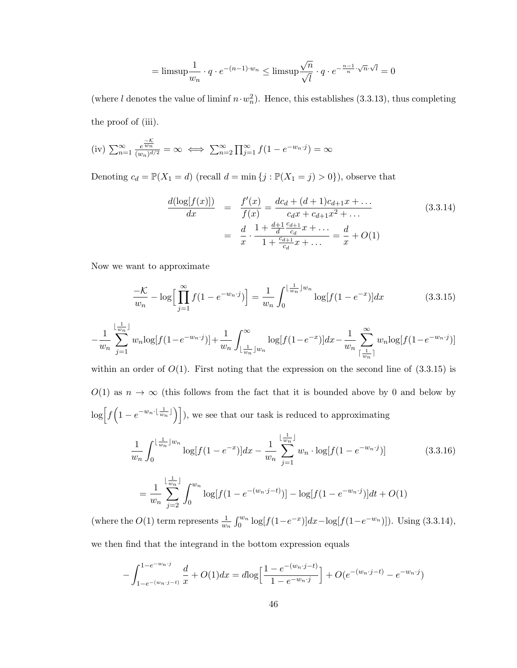$$
= \text{limsup}\frac{1}{w_n} \cdot q \cdot e^{-(n-1)\cdot w_n} \le \text{limsup}\frac{\sqrt{n}}{\sqrt{l}} \cdot q \cdot e^{-\frac{n-1}{n}\cdot \sqrt{n}\cdot \sqrt{l}} = 0
$$

(where l denotes the value of liminf  $n \cdot w_n^2$ ). Hence, this establishes (3.3.13), thus completing the proof of (iii).

(iv) 
$$
\sum_{n=1}^{\infty} \frac{e^{\frac{-\mathcal{K}}{w_n}}}{(w_n)^{d/2}} = \infty \iff \sum_{n=2}^{\infty} \prod_{j=1}^{\infty} f(1 - e^{-w_n \cdot j}) = \infty
$$

Denoting  $c_d = \mathbb{P}(X_1 = d)$  (recall  $d = \min\{j : \mathbb{P}(X_1 = j) > 0\}$ ), observe that

$$
\frac{d(\log[f(x)])}{dx} = \frac{f'(x)}{f(x)} = \frac{dc_d + (d+1)c_{d+1}x + \dots}{c_d x + c_{d+1}x^2 + \dots}
$$
\n
$$
= \frac{d}{x} \cdot \frac{1 + \frac{d+1}{d} \frac{c_{d+1}}{c_d} x + \dots}{1 + \frac{c_{d+1}}{c_d} x + \dots} = \frac{d}{x} + O(1)
$$
\n(3.3.14)

Now we want to approximate

$$
\frac{-\mathcal{K}}{w_n} - \log \Big[ \prod_{j=1}^{\infty} f(1 - e^{-w_n \cdot j}) \Big] = \frac{1}{w_n} \int_0^{\lfloor \frac{1}{w_n} \rfloor w_n} \log[f(1 - e^{-x})] dx \tag{3.3.15}
$$

$$
-\frac{1}{w_n} \sum_{j=1}^{\lfloor \frac{1}{w_n} \rfloor} w_n \log[f(1-e^{-w_n \cdot j})] + \frac{1}{w_n} \int_{\lfloor \frac{1}{w_n} \rfloor w_n}^{\infty} \log[f(1-e^{-x})] dx - \frac{1}{w_n} \sum_{\lceil \frac{1}{w_n} \rceil}^{\infty} w_n \log[f(1-e^{-w_n \cdot j})]
$$

within an order of  $O(1)$ . First noting that the expression on the second line of  $(3.3.15)$  is  $O(1)$  as  $n \to \infty$  (this follows from the fact that it is bounded above by 0 and below by  $\log \left[ f\left(1 - e^{-w_n \cdot \left\lfloor \frac{1}{w_n} \right\rfloor} \right) \right]$ , we see that our task is reduced to approximating

$$
\frac{1}{w_n} \int_0^{\lfloor \frac{1}{w_n} \rfloor w_n} \log[f(1 - e^{-x})] dx - \frac{1}{w_n} \sum_{j=1}^{\lfloor \frac{1}{w_n} \rfloor} w_n \cdot \log[f(1 - e^{-w_n \cdot j})] \tag{3.3.16}
$$

$$
= \frac{1}{w_n} \sum_{j=2}^{\lfloor \frac{1}{w_n} \rfloor} \int_0^{w_n} \log[f(1 - e^{-(w_n \cdot j - t)})] - \log[f(1 - e^{-w_n \cdot j})]dt + O(1)
$$

(where the  $O(1)$  term represents  $\frac{1}{w_n} \int_0^{w_n} \log[f(1-e^{-x})] dx - \log[f(1-e^{-w_n})]$ ). Using (3.3.14),

we then find that the integrand in the bottom expression equals

$$
-\int_{1-e^{-(w_n\cdot j-t)}}^{1-e^{-w_n\cdot j}} \frac{d}{x} + O(1)dx = d\log\left[\frac{1-e^{-(w_n\cdot j-t)}}{1-e^{-w_n\cdot j}}\right] + O(e^{-(w_n\cdot j-t)} - e^{-w_n\cdot j})
$$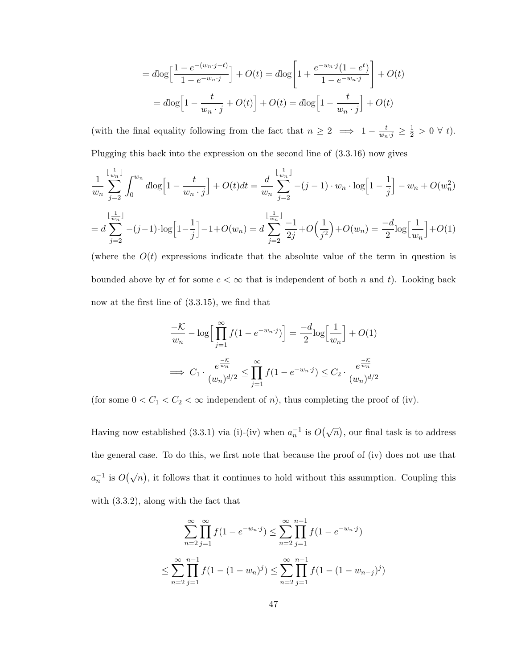$$
= d\log\left[\frac{1 - e^{-(w_n \cdot j - t)}}{1 - e^{-w_n \cdot j}}\right] + O(t) = d\log\left[1 + \frac{e^{-w_n \cdot j}(1 - e^t)}{1 - e^{-w_n \cdot j}}\right] + O(t)
$$

$$
= d\log\left[1 - \frac{t}{w_n \cdot j} + O(t)\right] + O(t) = d\log\left[1 - \frac{t}{w_n \cdot j}\right] + O(t)
$$

(with the final equality following from the fact that  $n \geq 2 \implies 1 - \frac{t}{w_n \cdot j} \geq \frac{1}{2} > 0 \forall t$ ). Plugging this back into the expression on the second line of (3.3.16) now gives

$$
\frac{1}{w_n} \sum_{j=2}^{\lfloor \frac{1}{w_n} \rfloor} \int_0^{w_n} d\log\left[1 - \frac{t}{w_n \cdot j}\right] + O(t)dt = \frac{d}{w_n} \sum_{j=2}^{\lfloor \frac{1}{w_n} \rfloor} -(j-1) \cdot w_n \cdot \log\left[1 - \frac{1}{j}\right] - w_n + O(w_n^2)
$$
\n
$$
= d \sum_{j=2}^{\lfloor \frac{1}{w_n} \rfloor} -(j-1) \cdot \log\left[1 - \frac{1}{j}\right] - 1 + O(w_n) = d \sum_{j=2}^{\lfloor \frac{1}{w_n} \rfloor} \frac{-1}{2j} + O\left(\frac{1}{j^2}\right) + O(w_n) = \frac{-d}{2} \log\left[\frac{1}{w_n}\right] + O(1)
$$

(where the  $O(t)$  expressions indicate that the absolute value of the term in question is bounded above by ct for some  $c < \infty$  that is independent of both n and t). Looking back now at the first line of (3.3.15), we find that

$$
\frac{-\mathcal{K}}{w_n} - \log \Big[ \prod_{j=1}^{\infty} f(1 - e^{-w_n \cdot j}) \Big] = \frac{-d}{2} \log \Big[ \frac{1}{w_n} \Big] + O(1)
$$
  

$$
\implies C_1 \cdot \frac{e^{\frac{-\mathcal{K}}{w_n}}}{(w_n)^{d/2}} \le \prod_{j=1}^{\infty} f(1 - e^{-w_n \cdot j}) \le C_2 \cdot \frac{e^{\frac{-\mathcal{K}}{w_n}}}{(w_n)^{d/2}}
$$

(for some  $0 < C_1 < C_2 < \infty$  independent of *n*), thus completing the proof of (iv).

Having now established (3.3.1) via (i)-(iv) when  $a_n^{-1}$  is  $O(\sqrt{n})$ , our final task is to address the general case. To do this, we first note that because the proof of (iv) does not use that  $a_n^{-1}$  is  $O(\sqrt{n})$ , it follows that it continues to hold without this assumption. Coupling this with (3.3.2), along with the fact that

$$
\sum_{n=2}^{\infty} \prod_{j=1}^{\infty} f(1 - e^{-w_n \cdot j}) \le \sum_{n=2}^{\infty} \prod_{j=1}^{n-1} f(1 - e^{-w_n \cdot j})
$$
  

$$
\le \sum_{n=2}^{\infty} \prod_{j=1}^{n-1} f(1 - (1 - w_n)^j) \le \sum_{n=2}^{\infty} \prod_{j=1}^{n-1} f(1 - (1 - w_{n-j})^j)
$$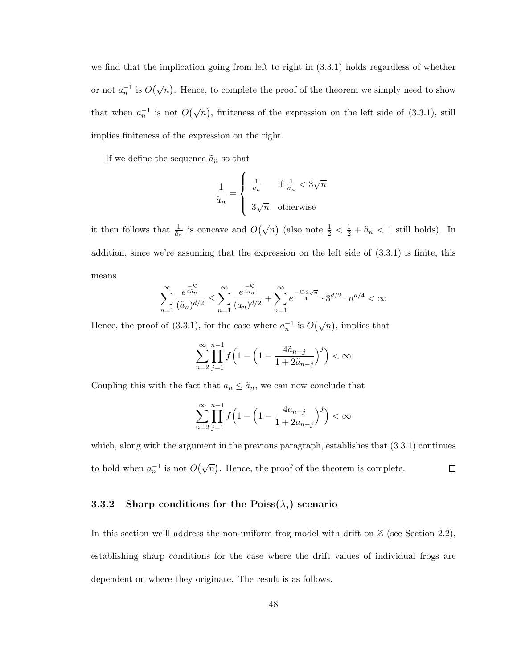we find that the implication going from left to right in (3.3.1) holds regardless of whether or not  $a_n^{-1}$  is  $O(\sqrt{n})$ . Hence, to complete the proof of the theorem we simply need to show that when  $a_n^{-1}$  is not  $O(\sqrt{n})$ , finiteness of the expression on the left side of (3.3.1), still implies finiteness of the expression on the right.

If we define the sequence  $\tilde{a}_n$  so that

$$
\frac{1}{\tilde{a}_n} = \begin{cases} \frac{1}{a_n} & \text{if } \frac{1}{a_n} < 3\sqrt{n} \\ 3\sqrt{n} & \text{otherwise} \end{cases}
$$

it then follows that  $\frac{1}{\tilde{a}_n}$  is concave and  $O(\sqrt{n})$  (also note  $\frac{1}{2} < \frac{1}{2} + \tilde{a}_n < 1$  still holds). In addition, since we're assuming that the expression on the left side of (3.3.1) is finite, this means

$$
\sum_{n=1}^{\infty} \frac{e^{\frac{-\mathcal{K}}{4\bar{a}_n}}}{(\tilde{a}_n)^{d/2}} \le \sum_{n=1}^{\infty} \frac{e^{\frac{-\mathcal{K}}{4a_n}}}{(a_n)^{d/2}} + \sum_{n=1}^{\infty} e^{\frac{-\mathcal{K}\cdot 3\sqrt{n}}{4}} \cdot 3^{d/2} \cdot n^{d/4} < \infty
$$

Hence, the proof of (3.3.1), for the case where  $a_n^{-1}$  is  $O(\sqrt{n})$ , implies that

$$
\sum_{n=2}^{\infty} \prod_{j=1}^{n-1} f\left(1 - \left(1 - \frac{4\tilde{a}_{n-j}}{1 + 2\tilde{a}_{n-j}}\right)^j\right) < \infty
$$

Coupling this with the fact that  $a_n \leq \tilde{a}_n$ , we can now conclude that

$$
\sum_{n=2}^{\infty} \prod_{j=1}^{n-1} f\Big(1 - \Big(1 - \frac{4a_{n-j}}{1 + 2a_{n-j}}\Big)^j\Big) < \infty
$$

which, along with the argument in the previous paragraph, establishes that  $(3.3.1)$  continues to hold when  $a_n^{-1}$  is not  $O(\sqrt{n})$ . Hence, the proof of the theorem is complete.  $\Box$ 

### 3.3.2 Sharp conditions for the Poiss( $\lambda_i$ ) scenario

In this section we'll address the non-uniform frog model with drift on  $\mathbb Z$  (see Section 2.2), establishing sharp conditions for the case where the drift values of individual frogs are dependent on where they originate. The result is as follows.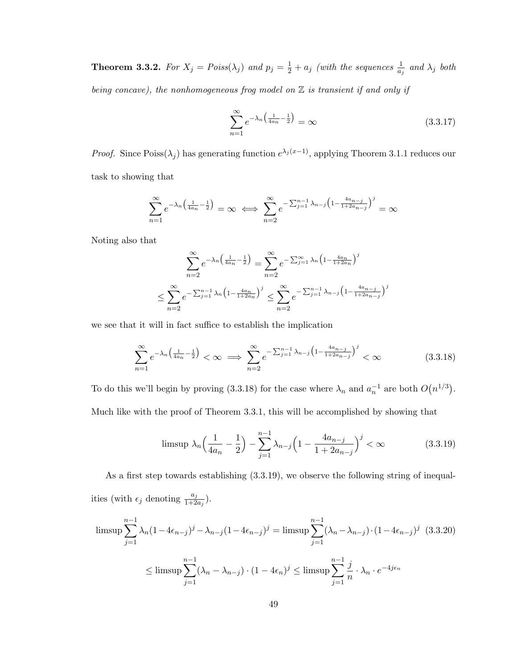**Theorem 3.3.2.** For  $X_j = Poiss(\lambda_j)$  and  $p_j = \frac{1}{2} + a_j$  (with the sequences  $\frac{1}{a_j}$  and  $\lambda_j$  both being concave), the nonhomogeneous frog model on  $\mathbb Z$  is transient if and only if

$$
\sum_{n=1}^{\infty} e^{-\lambda_n \left(\frac{1}{4a_n} - \frac{1}{2}\right)} = \infty \tag{3.3.17}
$$

*Proof.* Since Poiss( $\lambda_j$ ) has generating function  $e^{\lambda_j(x-1)}$ , applying Theorem 3.1.1 reduces our task to showing that

$$
\sum_{n=1}^{\infty} e^{-\lambda_n \left(\frac{1}{4a_n} - \frac{1}{2}\right)} = \infty \iff \sum_{n=2}^{\infty} e^{-\sum_{j=1}^{n-1} \lambda_{n-j} \left(1 - \frac{4a_{n-j}}{1 + 2a_{n-j}}\right)^j} = \infty
$$

Noting also that

$$
\sum_{n=2}^{\infty} e^{-\lambda_n \left(\frac{1}{4a_n} - \frac{1}{2}\right)} = \sum_{n=2}^{\infty} e^{-\sum_{j=1}^{\infty} \lambda_n \left(1 - \frac{4a_n}{1 + 2a_n}\right)^j}
$$

$$
\leq \sum_{n=2}^{\infty} e^{-\sum_{j=1}^{n-1} \lambda_n \left(1 - \frac{4a_n}{1 + 2a_n}\right)^j} \leq \sum_{n=2}^{\infty} e^{-\sum_{j=1}^{n-1} \lambda_{n-j} \left(1 - \frac{4a_{n-j}}{1 + 2a_{n-j}}\right)^j}
$$

we see that it will in fact suffice to establish the implication

$$
\sum_{n=1}^{\infty} e^{-\lambda_n \left(\frac{1}{4a_n} - \frac{1}{2}\right)} < \infty \implies \sum_{n=2}^{\infty} e^{-\sum_{j=1}^{n-1} \lambda_{n-j} \left(1 - \frac{4a_{n-j}}{1 + 2a_{n-j}}\right)^j} < \infty \tag{3.3.18}
$$

To do this we'll begin by proving (3.3.18) for the case where  $\lambda_n$  and  $a_n^{-1}$  are both  $O(n^{1/3})$ . Much like with the proof of Theorem 3.3.1, this will be accomplished by showing that

$$
\text{limsup } \lambda_n \left( \frac{1}{4a_n} - \frac{1}{2} \right) - \sum_{j=1}^{n-1} \lambda_{n-j} \left( 1 - \frac{4a_{n-j}}{1 + 2a_{n-j}} \right)^j < \infty \tag{3.3.19}
$$

As a first step towards establishing (3.3.19), we observe the following string of inequalities (with  $\epsilon_j$  denoting  $\frac{a_j}{1+2a_j}$ ).

$$
\limsup \sum_{j=1}^{n-1} \lambda_n (1 - 4\epsilon_{n-j})^j - \lambda_{n-j} (1 - 4\epsilon_{n-j})^j = \limsup \sum_{j=1}^{n-1} (\lambda_n - \lambda_{n-j}) \cdot (1 - 4\epsilon_{n-j})^j \quad (3.3.20)
$$
  

$$
\leq \limsup \sum_{j=1}^{n-1} (\lambda_n - \lambda_{n-j}) \cdot (1 - 4\epsilon_n)^j \leq \limsup \sum_{j=1}^{n-1} \frac{j}{n} \cdot \lambda_n \cdot e^{-4j\epsilon_n}
$$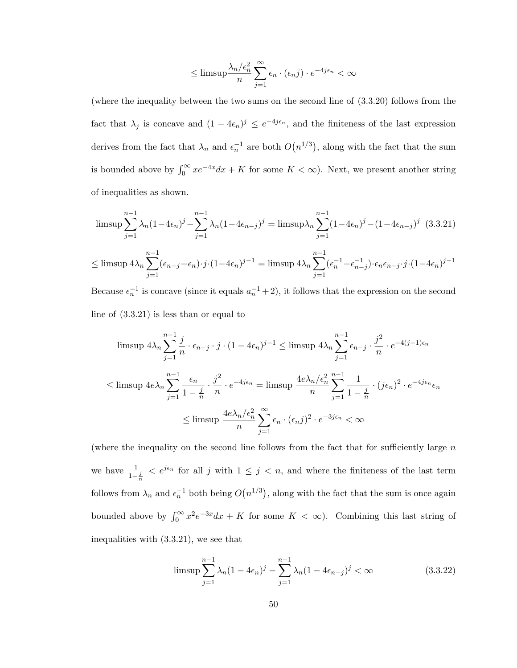$$
\leq \limsup \frac{\lambda_n/\epsilon_n^2}{n} \sum_{j=1}^{\infty} \epsilon_n \cdot (\epsilon_n j) \cdot e^{-4j\epsilon_n} < \infty
$$

(where the inequality between the two sums on the second line of (3.3.20) follows from the fact that  $\lambda_j$  is concave and  $(1-4\epsilon_n)^j \leq e^{-4j\epsilon_n}$ , and the finiteness of the last expression derives from the fact that  $\lambda_n$  and  $\epsilon_n^{-1}$  are both  $O(n^{1/3})$ , along with the fact that the sum is bounded above by  $\int_0^\infty xe^{-4x}dx + K$  for some  $K < \infty$ ). Next, we present another string of inequalities as shown.

$$
\limsup_{j=1} \sum_{j=1}^{n-1} \lambda_n (1 - 4\epsilon_n)^j - \sum_{j=1}^{n-1} \lambda_n (1 - 4\epsilon_{n-j})^j = \limsup_{j=1} \lambda_n \sum_{j=1}^{n-1} (1 - 4\epsilon_n)^j - (1 - 4\epsilon_{n-j})^j \quad (3.3.21)
$$
  

$$
\leq \limsup 4\lambda_n \sum_{j=1}^{n-1} (\epsilon_{n-j} - \epsilon_n) \cdot j \cdot (1 - 4\epsilon_n)^{j-1} = \limsup 4\lambda_n \sum_{j=1}^{n-1} (\epsilon_n^{-1} - \epsilon_{n-j}^{-1}) \cdot \epsilon_n \epsilon_{n-j} \cdot j \cdot (1 - 4\epsilon_n)^{j-1}
$$

Because  $\epsilon_n^{-1}$  is concave (since it equals  $a_n^{-1}+2$ ), it follows that the expression on the second line of (3.3.21) is less than or equal to

$$
\limsup 4\lambda_n \sum_{j=1}^{n-1} \frac{j}{n} \cdot \epsilon_{n-j} \cdot j \cdot (1 - 4\epsilon_n)^{j-1} \le \limsup 4\lambda_n \sum_{j=1}^{n-1} \epsilon_{n-j} \cdot \frac{j^2}{n} \cdot e^{-4(j-1)\epsilon_n}
$$
  

$$
\le \limsup 4e\lambda_n \sum_{j=1}^{n-1} \frac{\epsilon_n}{1 - \frac{j}{n}} \cdot \frac{j^2}{n} \cdot e^{-4j\epsilon_n} = \limsup \frac{4e\lambda_n/\epsilon_n^2}{n} \sum_{j=1}^{n-1} \frac{1}{1 - \frac{j}{n}} \cdot (j\epsilon_n)^2 \cdot e^{-4j\epsilon_n} \epsilon_n
$$
  

$$
\le \limsup \frac{4e\lambda_n/\epsilon_n^2}{n} \sum_{j=1}^{\infty} \epsilon_n \cdot (\epsilon_n j)^2 \cdot e^{-3j\epsilon_n} < \infty
$$

(where the inequality on the second line follows from the fact that for sufficiently large  $n$ we have  $\frac{1}{1-\frac{j}{n}} < e^{j\epsilon_n}$  for all j with  $1 \leq j < n$ , and where the finiteness of the last term follows from  $\lambda_n$  and  $\epsilon_n^{-1}$  both being  $O(n^{1/3})$ , along with the fact that the sum is once again bounded above by  $\int_0^\infty x^2 e^{-3x} dx + K$  for some  $K < \infty$ ). Combining this last string of inequalities with (3.3.21), we see that

$$
\limsup_{j=1} \sum_{n=1}^{n-1} \lambda_n (1 - 4\epsilon_n)^j - \sum_{j=1}^{n-1} \lambda_n (1 - 4\epsilon_{n-j})^j < \infty \tag{3.3.22}
$$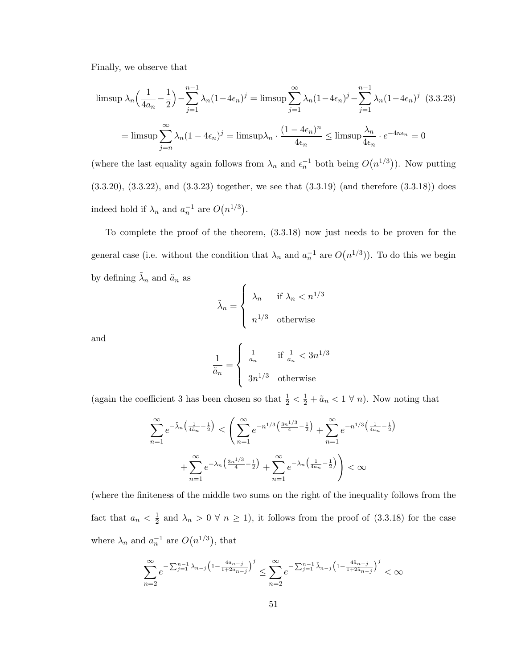Finally, we observe that

$$
\limsup \lambda_n \left( \frac{1}{4a_n} - \frac{1}{2} \right) - \sum_{j=1}^{n-1} \lambda_n (1 - 4\epsilon_n)^j = \limsup \sum_{j=1}^{\infty} \lambda_n (1 - 4\epsilon_n)^j - \sum_{j=1}^{n-1} \lambda_n (1 - 4\epsilon_n)^j \quad (3.3.23)
$$

$$
= \limsup \sum_{j=n}^{\infty} \lambda_n (1 - 4\epsilon_n)^j = \limsup \lambda_n \cdot \frac{(1 - 4\epsilon_n)^n}{4\epsilon_n} \le \limsup \frac{\lambda_n}{4\epsilon_n} \cdot e^{-4n\epsilon_n} = 0
$$

(where the last equality again follows from  $\lambda_n$  and  $\epsilon_n^{-1}$  both being  $O(n^{1/3})$ ). Now putting (3.3.20), (3.3.22), and (3.3.23) together, we see that (3.3.19) (and therefore (3.3.18)) does indeed hold if  $\lambda_n$  and  $a_n^{-1}$  are  $O(n^{1/3})$ .

To complete the proof of the theorem, (3.3.18) now just needs to be proven for the general case (i.e. without the condition that  $\lambda_n$  and  $a_n^{-1}$  are  $O(n^{1/3})$ ). To do this we begin by defining  $\tilde{\lambda}_n$  and  $\tilde{a}_n$  as

$$
\tilde{\lambda}_n = \begin{cases}\n\lambda_n & \text{if } \lambda_n < n^{1/3} \\
n^{1/3} & \text{otherwise}\n\end{cases}
$$

and

$$
\frac{1}{\tilde{a}_n} = \begin{cases} \frac{1}{a_n} & \text{if } \frac{1}{a_n} < 3n^{1/3} \\ 3n^{1/3} & \text{otherwise} \end{cases}
$$

(again the coefficient 3 has been chosen so that  $\frac{1}{2} < \frac{1}{2} + \tilde{a}_n < 1 \forall n$ ). Now noting that

$$
\sum_{n=1}^{\infty} e^{-\tilde{\lambda}_n \left(\frac{1}{4\tilde{a}_n} - \frac{1}{2}\right)} \le \left(\sum_{n=1}^{\infty} e^{-n^{1/3} \left(\frac{3n^{1/3}}{4} - \frac{1}{2}\right)} + \sum_{n=1}^{\infty} e^{-n^{1/3} \left(\frac{1}{4a_n} - \frac{1}{2}\right)} + \sum_{n=1}^{\infty} e^{-\lambda_n \left(\frac{3n^{1/3}}{4} - \frac{1}{2}\right)} + \sum_{n=1}^{\infty} e^{-\lambda_n \left(\frac{1}{4a_n} - \frac{1}{2}\right)} \right) < \infty
$$

(where the finiteness of the middle two sums on the right of the inequality follows from the fact that  $a_n < \frac{1}{2}$  $\frac{1}{2}$  and  $\lambda_n > 0 \forall n \ge 1$ , it follows from the proof of (3.3.18) for the case where  $\lambda_n$  and  $a_n^{-1}$  are  $O(n^{1/3})$ , that

$$
\sum_{n=2}^{\infty} e^{-\sum_{j=1}^{n-1} \lambda_{n-j} \left(1 - \frac{4a_{n-j}}{1 + 2a_{n-j}}\right)^j} \le \sum_{n=2}^{\infty} e^{-\sum_{j=1}^{n-1} \tilde{\lambda}_{n-j} \left(1 - \frac{4\tilde{a}_{n-j}}{1 + 2\tilde{a}_{n-j}}\right)^j} < \infty
$$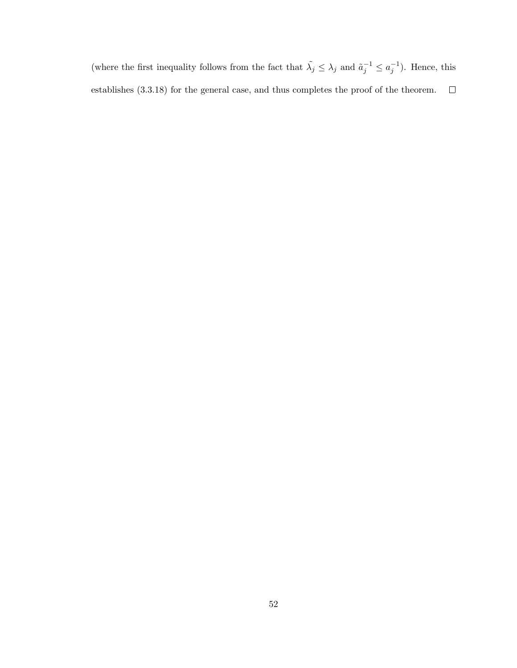(where the first inequality follows from the fact that  $\tilde{\lambda}_j \leq \lambda_j$  and  $\tilde{a}_j^{-1} \leq a_j^{-1}$ ). Hence, this  $\Box$ establishes (3.3.18) for the general case, and thus completes the proof of the theorem.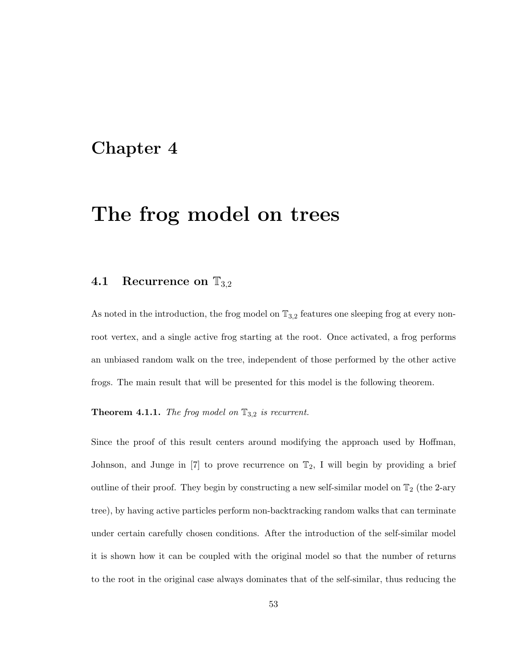# Chapter 4

# The frog model on trees

### 4.1 Recurrence on  $\mathbb{T}_{3,2}$

As noted in the introduction, the frog model on  $\mathbb{T}_{3,2}$  features one sleeping frog at every nonroot vertex, and a single active frog starting at the root. Once activated, a frog performs an unbiased random walk on the tree, independent of those performed by the other active frogs. The main result that will be presented for this model is the following theorem.

**Theorem 4.1.1.** The frog model on  $\mathbb{T}_{3,2}$  is recurrent.

Since the proof of this result centers around modifying the approach used by Hoffman, Johnson, and Junge in  $[7]$  to prove recurrence on  $\mathbb{T}_2$ , I will begin by providing a brief outline of their proof. They begin by constructing a new self-similar model on  $\mathbb{T}_2$  (the 2-ary tree), by having active particles perform non-backtracking random walks that can terminate under certain carefully chosen conditions. After the introduction of the self-similar model it is shown how it can be coupled with the original model so that the number of returns to the root in the original case always dominates that of the self-similar, thus reducing the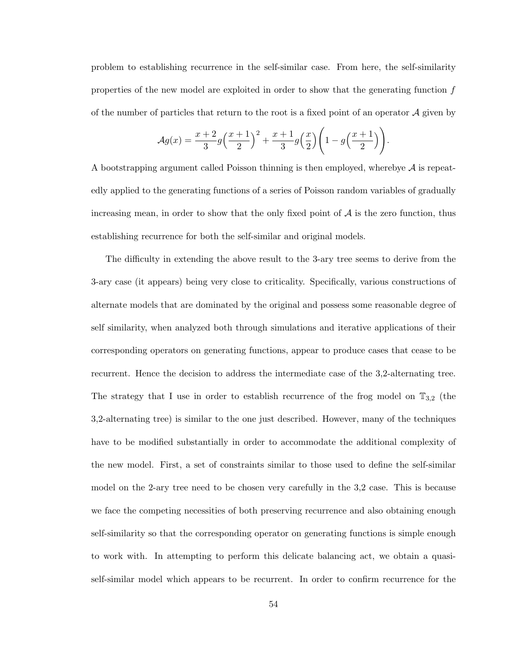problem to establishing recurrence in the self-similar case. From here, the self-similarity properties of the new model are exploited in order to show that the generating function f of the number of particles that return to the root is a fixed point of an operator  $\mathcal A$  given by

$$
\mathcal{A}g(x) = \frac{x+2}{3}g\left(\frac{x+1}{2}\right)^2 + \frac{x+1}{3}g\left(\frac{x}{2}\right)\left(1 - g\left(\frac{x+1}{2}\right)\right).
$$

A bootstrapping argument called Poisson thinning is then employed, wherebye  $\mathcal A$  is repeatedly applied to the generating functions of a series of Poisson random variables of gradually increasing mean, in order to show that the only fixed point of  $A$  is the zero function, thus establishing recurrence for both the self-similar and original models.

The difficulty in extending the above result to the 3-ary tree seems to derive from the 3-ary case (it appears) being very close to criticality. Specifically, various constructions of alternate models that are dominated by the original and possess some reasonable degree of self similarity, when analyzed both through simulations and iterative applications of their corresponding operators on generating functions, appear to produce cases that cease to be recurrent. Hence the decision to address the intermediate case of the 3,2-alternating tree. The strategy that I use in order to establish recurrence of the frog model on  $\mathbb{T}_{3,2}$  (the 3,2-alternating tree) is similar to the one just described. However, many of the techniques have to be modified substantially in order to accommodate the additional complexity of the new model. First, a set of constraints similar to those used to define the self-similar model on the 2-ary tree need to be chosen very carefully in the 3,2 case. This is because we face the competing necessities of both preserving recurrence and also obtaining enough self-similarity so that the corresponding operator on generating functions is simple enough to work with. In attempting to perform this delicate balancing act, we obtain a quasiself-similar model which appears to be recurrent. In order to confirm recurrence for the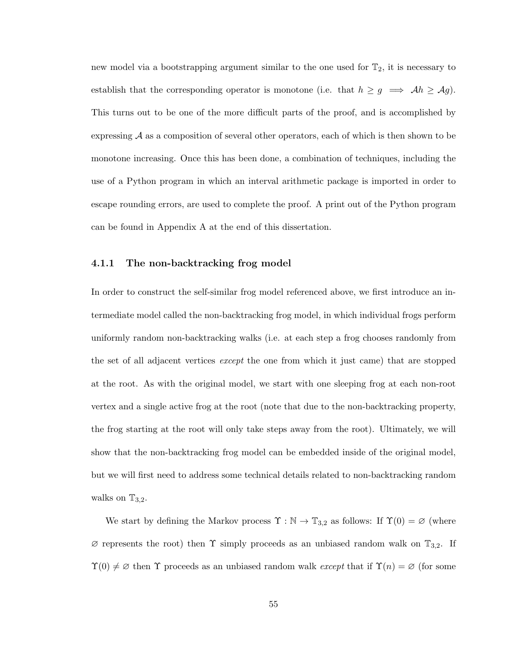new model via a bootstrapping argument similar to the one used for  $\mathbb{T}_2$ , it is necessary to establish that the corresponding operator is monotone (i.e. that  $h \ge g \implies Ah \ge Ag$ ). This turns out to be one of the more difficult parts of the proof, and is accomplished by expressing  $\mathcal A$  as a composition of several other operators, each of which is then shown to be monotone increasing. Once this has been done, a combination of techniques, including the use of a Python program in which an interval arithmetic package is imported in order to escape rounding errors, are used to complete the proof. A print out of the Python program can be found in Appendix A at the end of this dissertation.

#### 4.1.1 The non-backtracking frog model

In order to construct the self-similar frog model referenced above, we first introduce an intermediate model called the non-backtracking frog model, in which individual frogs perform uniformly random non-backtracking walks (i.e. at each step a frog chooses randomly from the set of all adjacent vertices except the one from which it just came) that are stopped at the root. As with the original model, we start with one sleeping frog at each non-root vertex and a single active frog at the root (note that due to the non-backtracking property, the frog starting at the root will only take steps away from the root). Ultimately, we will show that the non-backtracking frog model can be embedded inside of the original model, but we will first need to address some technical details related to non-backtracking random walks on  $\mathbb{T}_{3,2}$ .

We start by defining the Markov process  $\Upsilon : \mathbb{N} \to \mathbb{T}_{3,2}$  as follows: If  $\Upsilon(0) = \varnothing$  (where  $\varnothing$  represents the root) then  $\Upsilon$  simply proceeds as an unbiased random walk on  $\mathbb{T}_{3,2}$ . If  $\Upsilon(0) \neq \emptyset$  then  $\Upsilon$  proceeds as an unbiased random walk except that if  $\Upsilon(n) = \emptyset$  (for some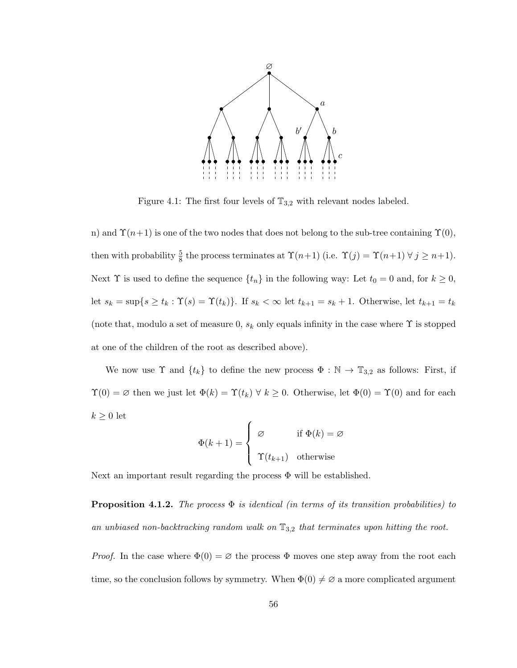

Figure 4.1: The first four levels of  $\mathbb{T}_{3,2}$  with relevant nodes labeled.

n) and  $\Upsilon(n+1)$  is one of the two nodes that does not belong to the sub-tree containing  $\Upsilon(0)$ , then with probability  $\frac{5}{8}$  the process terminates at  $\Upsilon(n+1)$  (i.e.  $\Upsilon(j) = \Upsilon(n+1) \ \forall \ j \geq n+1$ ). Next  $\Upsilon$  is used to define the sequence  $\{t_n\}$  in the following way: Let  $t_0 = 0$  and, for  $k \geq 0$ , let  $s_k = \sup\{s \ge t_k : \Upsilon(s) = \Upsilon(t_k)\}\$ . If  $s_k < \infty$  let  $t_{k+1} = s_k + 1$ . Otherwise, let  $t_{k+1} = t_k$ (note that, modulo a set of measure 0,  $s_k$  only equals infinity in the case where  $\Upsilon$  is stopped at one of the children of the root as described above).

We now use  $\Upsilon$  and  $\{t_k\}$  to define the new process  $\Phi : \mathbb{N} \to \mathbb{T}_{3,2}$  as follows: First, if  $\Upsilon(0) = \emptyset$  then we just let  $\Phi(k) = \Upsilon(t_k) \ \forall \ k \geq 0$ . Otherwise, let  $\Phi(0) = \Upsilon(0)$  and for each  $k \geq 0$  let

$$
\Phi(k+1) = \begin{cases} \varnothing & \text{if } \Phi(k) = \varnothing \\ \Upsilon(t_{k+1}) & \text{otherwise} \end{cases}
$$

Next an important result regarding the process  $\Phi$  will be established.

**Proposition 4.1.2.** The process  $\Phi$  is identical (in terms of its transition probabilities) to an unbiased non-backtracking random walk on  $\mathbb{T}_{3,2}$  that terminates upon hitting the root.

*Proof.* In the case where  $\Phi(0) = \emptyset$  the process  $\Phi$  moves one step away from the root each time, so the conclusion follows by symmetry. When  $\Phi(0) \neq \emptyset$  a more complicated argument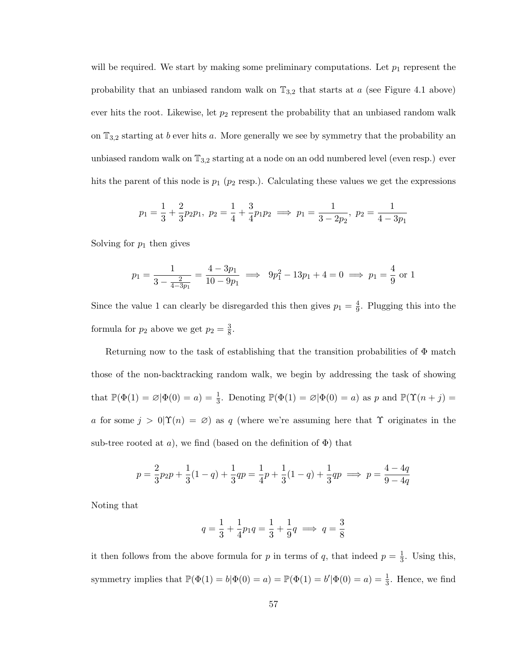will be required. We start by making some preliminary computations. Let  $p_1$  represent the probability that an unbiased random walk on  $\mathbb{T}_{3,2}$  that starts at a (see Figure 4.1 above) ever hits the root. Likewise, let  $p_2$  represent the probability that an unbiased random walk on  $\mathbb{T}_{3,2}$  starting at b ever hits a. More generally we see by symmetry that the probability an unbiased random walk on  $\mathbb{T}_{3,2}$  starting at a node on an odd numbered level (even resp.) ever hits the parent of this node is  $p_1$  ( $p_2$  resp.). Calculating these values we get the expressions

$$
p_1 = \frac{1}{3} + \frac{2}{3}p_2p_1
$$
,  $p_2 = \frac{1}{4} + \frac{3}{4}p_1p_2 \implies p_1 = \frac{1}{3 - 2p_2}$ ,  $p_2 = \frac{1}{4 - 3p_1}$ 

Solving for  $p_1$  then gives

$$
p_1 = \frac{1}{3 - \frac{2}{4 - 3p_1}} = \frac{4 - 3p_1}{10 - 9p_1} \implies 9p_1^2 - 13p_1 + 4 = 0 \implies p_1 = \frac{4}{9} \text{ or } 1
$$

Since the value 1 can clearly be disregarded this then gives  $p_1 = \frac{4}{9}$  $\frac{4}{9}$ . Plugging this into the formula for  $p_2$  above we get  $p_2 = \frac{3}{8}$  $\frac{3}{8}$ .

Returning now to the task of establishing that the transition probabilities of  $\Phi$  match those of the non-backtracking random walk, we begin by addressing the task of showing that  $\mathbb{P}(\Phi(1) = \emptyset | \Phi(0) = a) = \frac{1}{3}$ . Denoting  $\mathbb{P}(\Phi(1) = \emptyset | \Phi(0) = a)$  as p and  $\mathbb{P}(\Upsilon(n + j) = a)$ a for some  $j > 0$ | $\Upsilon(n) = \emptyset$  as q (where we're assuming here that  $\Upsilon$  originates in the sub-tree rooted at a), we find (based on the definition of  $\Phi$ ) that

$$
p = \frac{2}{3}p_2p + \frac{1}{3}(1-q) + \frac{1}{3}qp = \frac{1}{4}p + \frac{1}{3}(1-q) + \frac{1}{3}qp \implies p = \frac{4-4q}{9-4q}
$$

Noting that

$$
q = \frac{1}{3} + \frac{1}{4}p_1q = \frac{1}{3} + \frac{1}{9}q \implies q = \frac{3}{8}
$$

it then follows from the above formula for p in terms of q, that indeed  $p=\frac{1}{3}$  $\frac{1}{3}$ . Using this, symmetry implies that  $\mathbb{P}(\Phi(1) = b | \Phi(0) = a) = \mathbb{P}(\Phi(1) = b' | \Phi(0) = a) = \frac{1}{3}$ . Hence, we find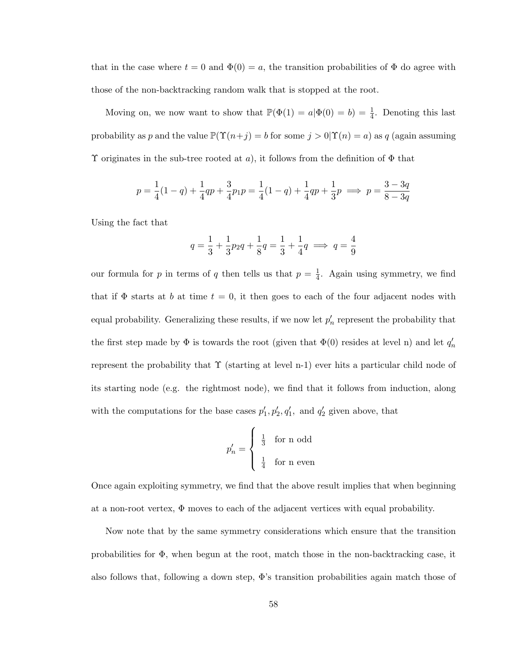that in the case where  $t = 0$  and  $\Phi(0) = a$ , the transition probabilities of  $\Phi$  do agree with those of the non-backtracking random walk that is stopped at the root.

Moving on, we now want to show that  $\mathbb{P}(\Phi(1) = a | \Phi(0) = b) = \frac{1}{4}$ . Denoting this last probability as p and the value  $\mathbb{P}(\Upsilon(n+j) = b \text{ for some } j > 0 | \Upsilon(n) = a)$  as q (again assuming  $\Upsilon$  originates in the sub-tree rooted at a), it follows from the definition of  $\Phi$  that

$$
p = \frac{1}{4}(1-q) + \frac{1}{4}qp + \frac{3}{4}p_1p = \frac{1}{4}(1-q) + \frac{1}{4}qp + \frac{1}{3}p \implies p = \frac{3-3q}{8-3q}
$$

Using the fact that

$$
q = \frac{1}{3} + \frac{1}{3}p_2q + \frac{1}{8}q = \frac{1}{3} + \frac{1}{4}q \implies q = \frac{4}{9}
$$

our formula for p in terms of q then tells us that  $p = \frac{1}{4}$  $\frac{1}{4}$ . Again using symmetry, we find that if  $\Phi$  starts at b at time  $t = 0$ , it then goes to each of the four adjacent nodes with equal probability. Generalizing these results, if we now let  $p'_n$  represent the probability that the first step made by  $\Phi$  is towards the root (given that  $\Phi(0)$  resides at level n) and let  $q_n'$ represent the probability that  $\Upsilon$  (starting at level n-1) ever hits a particular child node of its starting node (e.g. the rightmost node), we find that it follows from induction, along with the computations for the base cases  $p'_1, p'_2, q'_1$ , and  $q'_2$  given above, that

$$
p'_n = \begin{cases} \frac{1}{3} & \text{for n odd} \\ \frac{1}{4} & \text{for n even} \end{cases}
$$

Once again exploiting symmetry, we find that the above result implies that when beginning at a non-root vertex, Φ moves to each of the adjacent vertices with equal probability.

Now note that by the same symmetry considerations which ensure that the transition probabilities for Φ, when begun at the root, match those in the non-backtracking case, it also follows that, following a down step,  $\Phi$ 's transition probabilities again match those of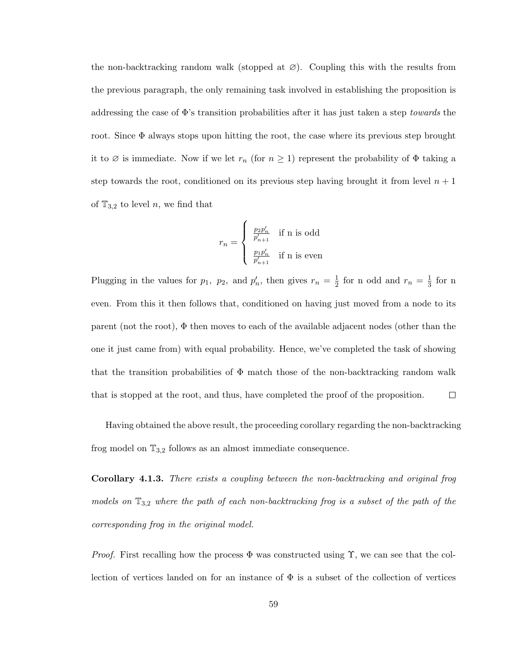the non-backtracking random walk (stopped at  $\varnothing$ ). Coupling this with the results from the previous paragraph, the only remaining task involved in establishing the proposition is addressing the case of  $\Phi$ 's transition probabilities after it has just taken a step *towards* the root. Since  $\Phi$  always stops upon hitting the root, the case where its previous step brought it to  $\emptyset$  is immediate. Now if we let  $r_n$  (for  $n \geq 1$ ) represent the probability of  $\Phi$  taking a step towards the root, conditioned on its previous step having brought it from level  $n + 1$ of  $\mathbb{T}_{3,2}$  to level n, we find that

$$
r_n = \left\{ \begin{array}{ll} \frac{p_2p'_n}{p'_{n+1}} & \mbox{if n is odd} \\ \\ \frac{p_1p'_n}{p'_{n+1}} & \mbox{if n is even} \end{array} \right.
$$

Plugging in the values for  $p_1$ ,  $p_2$ , and  $p'_n$ , then gives  $r_n = \frac{1}{2}$  $\frac{1}{2}$  for n odd and  $r_n = \frac{1}{3}$  $\frac{1}{3}$  for n even. From this it then follows that, conditioned on having just moved from a node to its parent (not the root),  $\Phi$  then moves to each of the available adjacent nodes (other than the one it just came from) with equal probability. Hence, we've completed the task of showing that the transition probabilities of  $\Phi$  match those of the non-backtracking random walk  $\Box$ that is stopped at the root, and thus, have completed the proof of the proposition.

Having obtained the above result, the proceeding corollary regarding the non-backtracking frog model on  $\mathbb{T}_{3,2}$  follows as an almost immediate consequence.

Corollary 4.1.3. There exists a coupling between the non-backtracking and original frog models on  $\mathbb{T}_{3,2}$  where the path of each non-backtracking frog is a subset of the path of the corresponding frog in the original model.

*Proof.* First recalling how the process  $\Phi$  was constructed using  $\Upsilon$ , we can see that the collection of vertices landed on for an instance of  $\Phi$  is a subset of the collection of vertices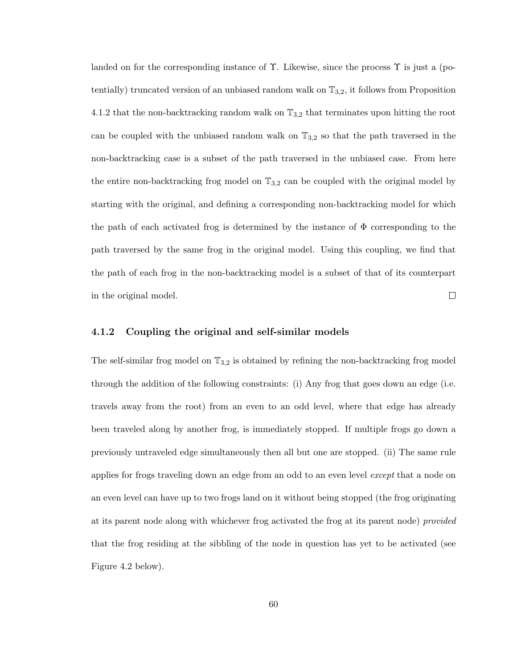landed on for the corresponding instance of  $\Upsilon$ . Likewise, since the process  $\Upsilon$  is just a (potentially) truncated version of an unbiased random walk on  $\mathbb{T}_{3,2}$ , it follows from Proposition 4.1.2 that the non-backtracking random walk on  $\mathbb{T}_{3,2}$  that terminates upon hitting the root can be coupled with the unbiased random walk on  $\mathbb{T}_{3,2}$  so that the path traversed in the non-backtracking case is a subset of the path traversed in the unbiased case. From here the entire non-backtracking frog model on  $\mathbb{T}_{3,2}$  can be coupled with the original model by starting with the original, and defining a corresponding non-backtracking model for which the path of each activated frog is determined by the instance of  $\Phi$  corresponding to the path traversed by the same frog in the original model. Using this coupling, we find that the path of each frog in the non-backtracking model is a subset of that of its counterpart in the original model.  $\Box$ 

#### 4.1.2 Coupling the original and self-similar models

The self-similar frog model on  $\mathbb{T}_{3,2}$  is obtained by refining the non-backtracking frog model through the addition of the following constraints: (i) Any frog that goes down an edge (i.e. travels away from the root) from an even to an odd level, where that edge has already been traveled along by another frog, is immediately stopped. If multiple frogs go down a previously untraveled edge simultaneously then all but one are stopped. (ii) The same rule applies for frogs traveling down an edge from an odd to an even level except that a node on an even level can have up to two frogs land on it without being stopped (the frog originating at its parent node along with whichever frog activated the frog at its parent node) provided that the frog residing at the sibbling of the node in question has yet to be activated (see Figure 4.2 below).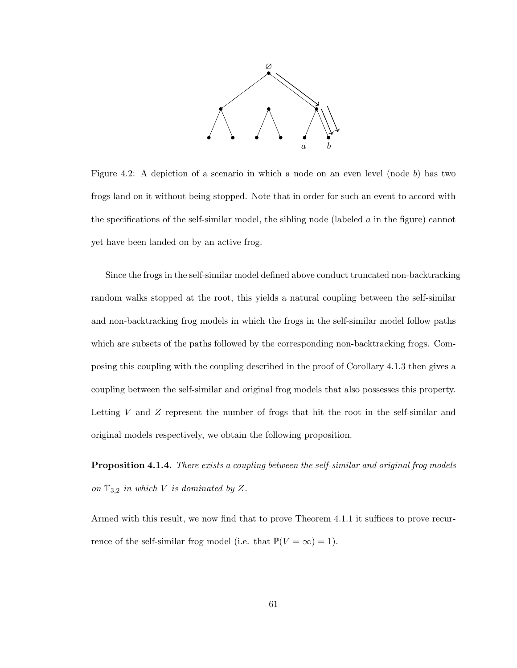

Figure 4.2: A depiction of a scenario in which a node on an even level (node b) has two frogs land on it without being stopped. Note that in order for such an event to accord with the specifications of the self-similar model, the sibling node (labeled  $\alpha$  in the figure) cannot yet have been landed on by an active frog.

Since the frogs in the self-similar model defined above conduct truncated non-backtracking random walks stopped at the root, this yields a natural coupling between the self-similar and non-backtracking frog models in which the frogs in the self-similar model follow paths which are subsets of the paths followed by the corresponding non-backtracking frogs. Composing this coupling with the coupling described in the proof of Corollary 4.1.3 then gives a coupling between the self-similar and original frog models that also possesses this property. Letting  $V$  and  $Z$  represent the number of frogs that hit the root in the self-similar and original models respectively, we obtain the following proposition.

Proposition 4.1.4. There exists a coupling between the self-similar and original frog models on  $\mathbb{T}_{3,2}$  in which V is dominated by Z.

Armed with this result, we now find that to prove Theorem 4.1.1 it suffices to prove recurrence of the self-similar frog model (i.e. that  $\mathbb{P}(V = \infty) = 1$ ).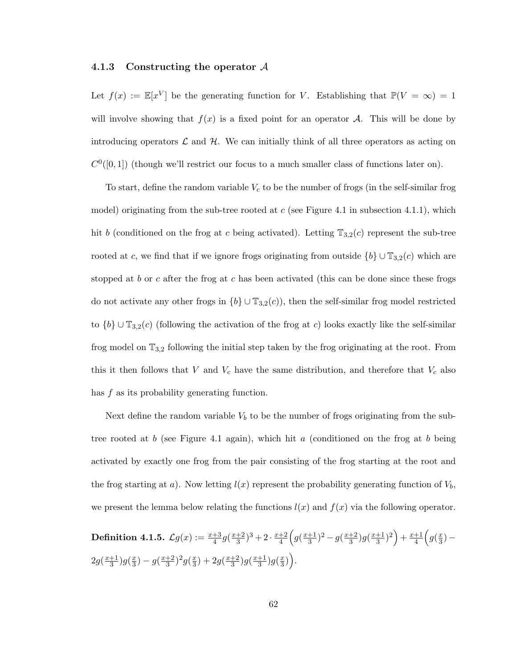#### 4.1.3 Constructing the operator A

Let  $f(x) := \mathbb{E}[x^V]$  be the generating function for V. Establishing that  $\mathbb{P}(V = \infty) = 1$ will involve showing that  $f(x)$  is a fixed point for an operator A. This will be done by introducing operators  $\mathcal L$  and  $\mathcal H$ . We can initially think of all three operators as acting on  $C^0([0,1])$  (though we'll restrict our focus to a much smaller class of functions later on).

To start, define the random variable  $V_c$  to be the number of frogs (in the self-similar frog model) originating from the sub-tree rooted at  $c$  (see Figure 4.1 in subsection 4.1.1), which hit b (conditioned on the frog at c being activated). Letting  $\mathbb{T}_{3,2}(c)$  represent the sub-tree rooted at c, we find that if we ignore frogs originating from outside  ${b} \cup \mathbb{T}_{3,2}(c)$  which are stopped at b or c after the frog at c has been activated (this can be done since these frogs do not activate any other frogs in  ${b} \cup \mathbb{T}_{3,2}(c)$ , then the self-similar frog model restricted to  ${b} \cup \mathbb{T}_{3,2}(c)$  (following the activation of the frog at c) looks exactly like the self-similar frog model on  $\mathbb{T}_{3,2}$  following the initial step taken by the frog originating at the root. From this it then follows that V and  $V_c$  have the same distribution, and therefore that  $V_c$  also has f as its probability generating function.

Next define the random variable  $V<sub>b</sub>$  to be the number of frogs originating from the subtree rooted at b (see Figure 4.1 again), which hit a (conditioned on the frog at b being activated by exactly one frog from the pair consisting of the frog starting at the root and the frog starting at a). Now letting  $l(x)$  represent the probability generating function of  $V_b$ , we present the lemma below relating the functions  $l(x)$  and  $f(x)$  via the following operator.

Definition 4.1.5.  $\mathcal{L} g(x):=\frac{x+3}{4}g(\frac{x+2}{3})$  $(\frac{+2}{3})^3 + 2 \cdot \frac{x+2}{4}$  $\frac{+2}{4}$  $\left( g(\frac{x+1}{3}\right)$  $\frac{+1}{3}$ )<sup>2</sup> – g( $\frac{x+2}{3}$  $\frac{+2}{3}$ )g( $\frac{x+1}{3}$  $(\frac{+1}{3})^2$  +  $\frac{x+1}{4}$  $rac{\pm 1}{4}$   $\left(g(\frac{x}{3}\right)$  $\frac{x}{3}) 2g(\frac{x+1}{3})$  $\frac{+1}{3}$ )g( $\frac{x}{3}$  $\frac{x}{3}$ ) –  $g(\frac{x+2}{3})$  $\frac{+2}{3}$ )<sup>2</sup> $g(\frac{x}{3})$  $(\frac{x}{3})+2g(\frac{x+2}{3})$  $\frac{+2}{3}$ )g( $\frac{x+1}{3}$  $\frac{+1}{3}$ )g( $\frac{x}{3}$  $\left(\frac{x}{3}\right)\bigg).$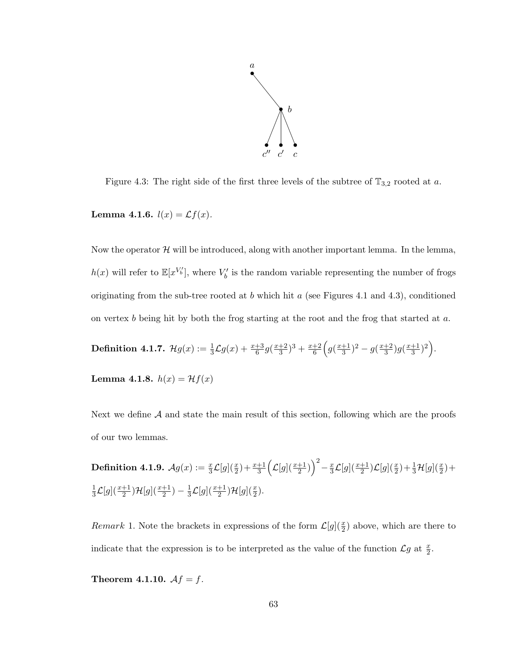

Figure 4.3: The right side of the first three levels of the subtree of  $\mathbb{T}_{3,2}$  rooted at a.

Lemma 4.1.6.  $l(x) = \mathcal{L}f(x)$ .

Now the operator  $H$  will be introduced, along with another important lemma. In the lemma,  $h(x)$  will refer to  $\mathbb{E}[x^{V'_{b}}]$ , where  $V'_{b}$  is the random variable representing the number of frogs originating from the sub-tree rooted at b which hit a (see Figures 4.1 and 4.3), conditioned on vertex b being hit by both the frog starting at the root and the frog that started at a.

**Definition 4.1.7.** 
$$
\mathcal{H}g(x) := \frac{1}{3}\mathcal{L}g(x) + \frac{x+3}{6}g(\frac{x+2}{3})^3 + \frac{x+2}{6}\left(g(\frac{x+1}{3})^2 - g(\frac{x+2}{3})g(\frac{x+1}{3})^2\right).
$$

Lemma 4.1.8.  $h(x) = Hf(x)$ 

Next we define  $A$  and state the main result of this section, following which are the proofs of our two lemmas.

 $\textbf{Definition 4.1.9.} \ \ \mathcal{A} g(x):=\frac{x}{3}\mathcal{L}[g](\frac{x}{2})+\frac{x+1}{3}\Big(\mathcal{L}[g](\frac{x+1}{2})\Big)^2-\frac{x}{3}$  $\frac{x}{3}\mathcal{L}[g](\frac{x+1}{2})\mathcal{L}[g](\frac{x}{2})+\frac{1}{3}\mathcal{H}[g](\frac{x}{2})+$ 1  $\frac{1}{3}\mathcal{L}[g](\frac{x+1}{2})\mathcal{H}[g](\frac{x+1}{2}) - \frac{1}{3}$  $\frac{1}{3}\mathcal{L}[g](\frac{x+1}{2})\mathcal{H}[g](\frac{x}{2}).$ 

Remark 1. Note the brackets in expressions of the form  $\mathcal{L}[g](\frac{x}{2})$  above, which are there to indicate that the expression is to be interpreted as the value of the function  $\mathcal{L}g$  at  $\frac{x}{2}$ .

Theorem 4.1.10.  $Af = f$ .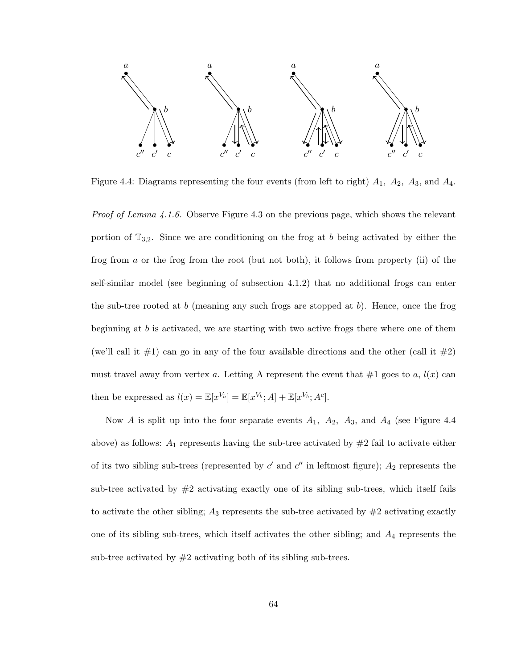

Figure 4.4: Diagrams representing the four events (from left to right)  $A_1$ ,  $A_2$ ,  $A_3$ , and  $A_4$ .

Proof of Lemma 4.1.6. Observe Figure 4.3 on the previous page, which shows the relevant portion of  $\mathbb{T}_{3,2}$ . Since we are conditioning on the frog at b being activated by either the frog from a or the frog from the root (but not both), it follows from property (ii) of the self-similar model (see beginning of subsection 4.1.2) that no additional frogs can enter the sub-tree rooted at b (meaning any such frogs are stopped at b). Hence, once the frog beginning at  $b$  is activated, we are starting with two active frogs there where one of them (we'll call it  $\#1$ ) can go in any of the four available directions and the other (call it  $\#2$ ) must travel away from vertex a. Letting A represent the event that  $\#1$  goes to a,  $l(x)$  can then be expressed as  $l(x) = \mathbb{E}[x^{V_b}] = \mathbb{E}[x^{V_b};A] + \mathbb{E}[x^{V_b};A^c].$ 

Now A is split up into the four separate events  $A_1$ ,  $A_2$ ,  $A_3$ , and  $A_4$  (see Figure 4.4 above) as follows:  $A_1$  represents having the sub-tree activated by  $\#2$  fail to activate either of its two sibling sub-trees (represented by  $c'$  and  $c''$  in leftmost figure);  $A_2$  represents the sub-tree activated by  $#2$  activating exactly one of its sibling sub-trees, which itself fails to activate the other sibling;  $A_3$  represents the sub-tree activated by  $\#2$  activating exactly one of its sibling sub-trees, which itself activates the other sibling; and  $A_4$  represents the sub-tree activated by  $#2$  activating both of its sibling sub-trees.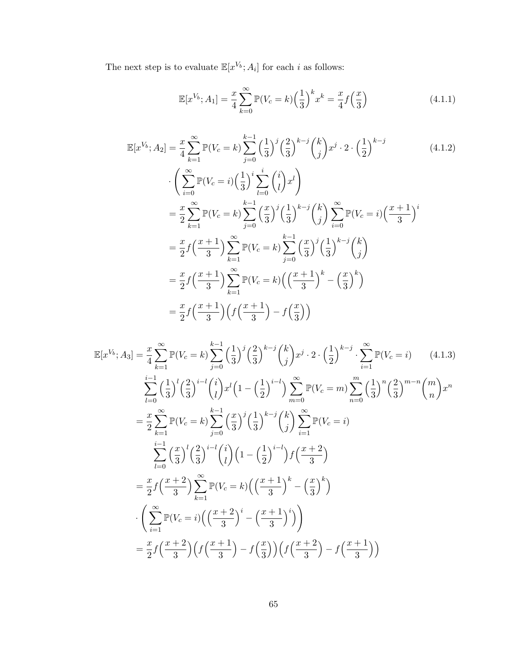The next step is to evaluate  $\mathbb{E}[x^{V_b}; A_i]$  for each i as follows:

$$
\mathbb{E}[x^{V_b}; A_1] = \frac{x}{4} \sum_{k=0}^{\infty} \mathbb{P}(V_c = k) \left(\frac{1}{3}\right)^k x^k = \frac{x}{4} f\left(\frac{x}{3}\right)
$$
(4.1.1)

$$
\mathbb{E}[x^{V_b}; A_2] = \frac{x}{4} \sum_{k=1}^{\infty} \mathbb{P}(V_c = k) \sum_{j=0}^{k-1} \left(\frac{1}{3}\right)^j \left(\frac{2}{3}\right)^{k-j} \left(\frac{k}{j}\right) x^j \cdot 2 \cdot \left(\frac{1}{2}\right)^{k-j}
$$
\n
$$
\cdot \left(\sum_{i=0}^{\infty} \mathbb{P}(V_c = i) \left(\frac{1}{3}\right)^i \sum_{l=0}^i \binom{i}{l} x^l\right)
$$
\n
$$
= \frac{x}{2} \sum_{k=1}^{\infty} \mathbb{P}(V_c = k) \sum_{j=0}^{k-1} \left(\frac{x}{3}\right)^j \left(\frac{1}{3}\right)^{k-j} \binom{k}{j} \sum_{i=0}^{\infty} \mathbb{P}(V_c = i) \left(\frac{x+1}{3}\right)^i
$$
\n
$$
= \frac{x}{2} f \left(\frac{x+1}{3}\right) \sum_{k=1}^{\infty} \mathbb{P}(V_c = k) \sum_{j=0}^{k-1} \left(\frac{x}{3}\right)^j \left(\frac{1}{3}\right)^{k-j} \binom{k}{j}
$$
\n
$$
= \frac{x}{2} f \left(\frac{x+1}{3}\right) \sum_{k=1}^{\infty} \mathbb{P}(V_c = k) \left(\left(\frac{x+1}{3}\right)^k - \left(\frac{x}{3}\right)^k\right)
$$
\n
$$
= \frac{x}{2} f \left(\frac{x+1}{3}\right) \left(f \left(\frac{x+1}{3}\right) - f \left(\frac{x}{3}\right)\right)
$$
\n(4.1.2)

$$
\mathbb{E}[x^{V_b}; A_3] = \frac{x}{4} \sum_{k=1}^{\infty} \mathbb{P}(V_c = k) \sum_{j=0}^{k-1} \left(\frac{1}{3}\right)^j \left(\frac{2}{3}\right)^{k-j} \left(\frac{k}{j}\right) x^j \cdot 2 \cdot \left(\frac{1}{2}\right)^{k-j} \cdot \sum_{i=1}^{\infty} \mathbb{P}(V_c = i) \tag{4.1.3}
$$
\n
$$
\sum_{l=0}^{i-1} \left(\frac{1}{3}\right)^l \left(\frac{2}{3}\right)^{i-l} \binom{i}{l} x^l \left(1 - \left(\frac{1}{2}\right)^{i-l}\right) \sum_{m=0}^{\infty} \mathbb{P}(V_c = m) \sum_{n=0}^m \left(\frac{1}{3}\right)^n \left(\frac{2}{3}\right)^{m-n} \binom{m}{n} x^n
$$
\n
$$
= \frac{x}{2} \sum_{k=1}^{\infty} \mathbb{P}(V_c = k) \sum_{j=0}^{k-1} \left(\frac{x}{3}\right)^j \left(\frac{1}{3}\right)^{k-j} \binom{k}{j} \sum_{i=1}^{\infty} \mathbb{P}(V_c = i)
$$
\n
$$
\sum_{l=0}^{i-1} \left(\frac{x}{3}\right)^l \left(\frac{2}{3}\right)^{i-l} \binom{i}{l} \left(1 - \left(\frac{1}{2}\right)^{i-l}\right) f \left(\frac{x+2}{3}\right)
$$
\n
$$
= \frac{x}{2} f \left(\frac{x+2}{3}\right) \sum_{k=1}^{\infty} \mathbb{P}(V_c = k) \left(\left(\frac{x+1}{3}\right)^k - \left(\frac{x}{3}\right)^k\right)
$$
\n
$$
\cdot \left(\sum_{i=1}^{\infty} \mathbb{P}(V_c = i) \left(\left(\frac{x+2}{3}\right)^i - \left(\frac{x+1}{3}\right)^i\right)\right)
$$
\n
$$
= \frac{x}{2} f \left(\frac{x+2}{3}\right) \left(f \left(\frac{x+1}{3}\right) - f \left(\frac{x}{3}\right)\right) \left(f \left(\frac{x+2}{3}\right) - f \left(\frac{x+1}{3}\right)\right)
$$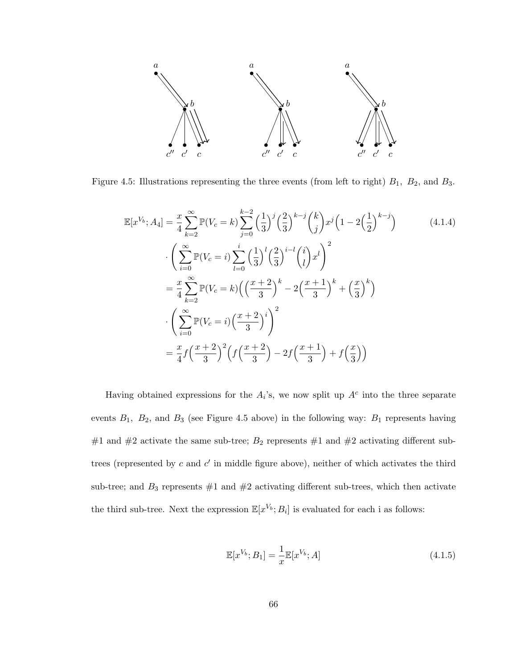

Figure 4.5: Illustrations representing the three events (from left to right)  $B_1$ ,  $B_2$ , and  $B_3$ .

$$
\mathbb{E}[x^{V_b}; A_4] = \frac{x}{4} \sum_{k=2}^{\infty} \mathbb{P}(V_c = k) \sum_{j=0}^{k-2} \left(\frac{1}{3}\right)^j \left(\frac{2}{3}\right)^{k-j} \left(\frac{k}{j}\right) x^j \left(1 - 2\left(\frac{1}{2}\right)^{k-j}\right)
$$
\n
$$
\cdot \left(\sum_{i=0}^{\infty} \mathbb{P}(V_c = i) \sum_{l=0}^i \left(\frac{1}{3}\right)^l \left(\frac{2}{3}\right)^{i-l} {i \choose l} x^l\right)^2
$$
\n
$$
= \frac{x}{4} \sum_{k=2}^{\infty} \mathbb{P}(V_c = k) \left(\left(\frac{x+2}{3}\right)^k - 2\left(\frac{x+1}{3}\right)^k + \left(\frac{x}{3}\right)^k\right)
$$
\n
$$
\cdot \left(\sum_{i=0}^{\infty} \mathbb{P}(V_c = i) \left(\frac{x+2}{3}\right)^i\right)^2
$$
\n
$$
= \frac{x}{4} f \left(\frac{x+2}{3}\right)^2 \left(f \left(\frac{x+2}{3}\right) - 2f \left(\frac{x+1}{3}\right) + f \left(\frac{x}{3}\right)\right)
$$
\n(4.1.4)

Having obtained expressions for the  $A_i$ 's, we now split up  $A<sup>c</sup>$  into the three separate events  $B_1$ ,  $B_2$ , and  $B_3$  (see Figure 4.5 above) in the following way:  $B_1$  represents having #1 and #2 activate the same sub-tree;  $B_2$  represents #1 and #2 activating different subtrees (represented by  $c$  and  $c'$  in middle figure above), neither of which activates the third sub-tree; and  $B_3$  represents  $\#1$  and  $\#2$  activating different sub-trees, which then activate the third sub-tree. Next the expression  $\mathbb{E}[x^{V_b};B_i]$  is evaluated for each i as follows:

$$
\mathbb{E}[x^{V_b};B_1] = \frac{1}{x}\mathbb{E}[x^{V_b};A]
$$
\n(4.1.5)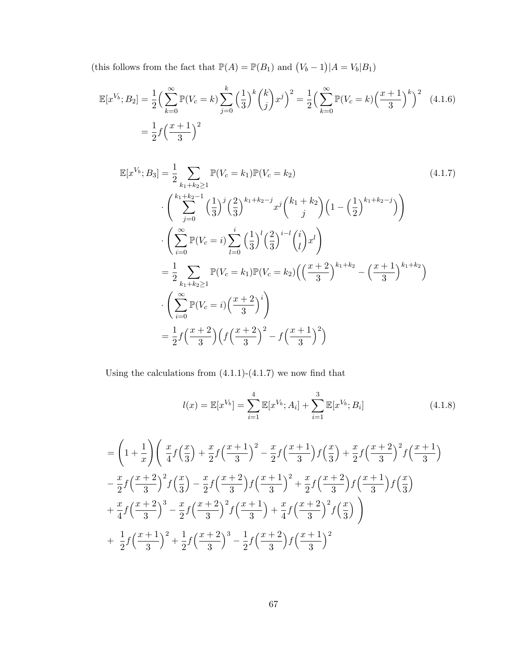(this follows from the fact that  $\mathbb{P}(A) = \mathbb{P}(B_1)$  and  $(V_b - 1)|A = V_b|B_1$ )

$$
\mathbb{E}[x^{V_b}; B_2] = \frac{1}{2} \left( \sum_{k=0}^{\infty} \mathbb{P}(V_c = k) \sum_{j=0}^{k} \left( \frac{1}{3} \right)^k {k \choose j} x^j \right)^2 = \frac{1}{2} \left( \sum_{k=0}^{\infty} \mathbb{P}(V_c = k) \left( \frac{x+1}{3} \right)^k \right)^2 \tag{4.1.6}
$$

$$
= \frac{1}{2} f \left( \frac{x+1}{3} \right)^2
$$

$$
\mathbb{E}[x^{V_b}; B_3] = \frac{1}{2} \sum_{k_1 + k_2 \ge 1} \mathbb{P}(V_c = k_1) \mathbb{P}(V_c = k_2)
$$
\n
$$
\cdot \left( \sum_{j=0}^{k_1 + k_2 - 1} \left( \frac{1}{3} \right)^j \left( \frac{2}{3} \right)^{k_1 + k_2 - j} x^j \left( k_1 + k_2 \right) \left( 1 - \left( \frac{1}{2} \right)^{k_1 + k_2 - j} \right) \right)
$$
\n
$$
\cdot \left( \sum_{i=0}^{\infty} \mathbb{P}(V_c = i) \sum_{l=0}^i \left( \frac{1}{3} \right)^l \left( \frac{2}{3} \right)^{i-l} \left( \frac{i}{l} \right) x^l \right)
$$
\n
$$
= \frac{1}{2} \sum_{k_1 + k_2 \ge 1} \mathbb{P}(V_c = k_1) \mathbb{P}(V_c = k_2) \left( \left( \frac{x+2}{3} \right)^{k_1 + k_2} - \left( \frac{x+1}{3} \right)^{k_1 + k_2} \right)
$$
\n
$$
\cdot \left( \sum_{i=0}^{\infty} \mathbb{P}(V_c = i) \left( \frac{x+2}{3} \right)^i \right)
$$
\n
$$
= \frac{1}{2} f \left( \frac{x+2}{3} \right) \left( f \left( \frac{x+2}{3} \right)^2 - f \left( \frac{x+1}{3} \right)^2 \right)
$$
\n(4.1.7)

Using the calculations from  $(4.1.1)-(4.1.7)$  we now find that

$$
l(x) = \mathbb{E}[x^{V_b}] = \sum_{i=1}^{4} \mathbb{E}[x^{V_b}; A_i] + \sum_{i=1}^{3} \mathbb{E}[x^{V_b}; B_i]
$$
(4.1.8)

$$
= \left(1 + \frac{1}{x}\right) \left(\frac{x}{4}f\left(\frac{x}{3}\right) + \frac{x}{2}f\left(\frac{x+1}{3}\right)^2 - \frac{x}{2}f\left(\frac{x+1}{3}\right)f\left(\frac{x}{3}\right) + \frac{x}{2}f\left(\frac{x+2}{3}\right)^2 f\left(\frac{x+1}{3}\right) -\frac{x}{2}f\left(\frac{x+2}{3}\right)^2 f\left(\frac{x}{3}\right) - \frac{x}{2}f\left(\frac{x+2}{3}\right)f\left(\frac{x+1}{3}\right)^2 + \frac{x}{2}f\left(\frac{x+2}{3}\right)f\left(\frac{x+1}{3}\right)f\left(\frac{x}{3}\right) +\frac{x}{4}f\left(\frac{x+2}{3}\right)^3 - \frac{x}{2}f\left(\frac{x+2}{3}\right)^2 f\left(\frac{x+1}{3}\right) + \frac{x}{4}f\left(\frac{x+2}{3}\right)^2 f\left(\frac{x}{3}\right) +\frac{1}{2}f\left(\frac{x+1}{3}\right)^2 + \frac{1}{2}f\left(\frac{x+2}{3}\right)^3 - \frac{1}{2}f\left(\frac{x+2}{3}\right)f\left(\frac{x+1}{3}\right)^2
$$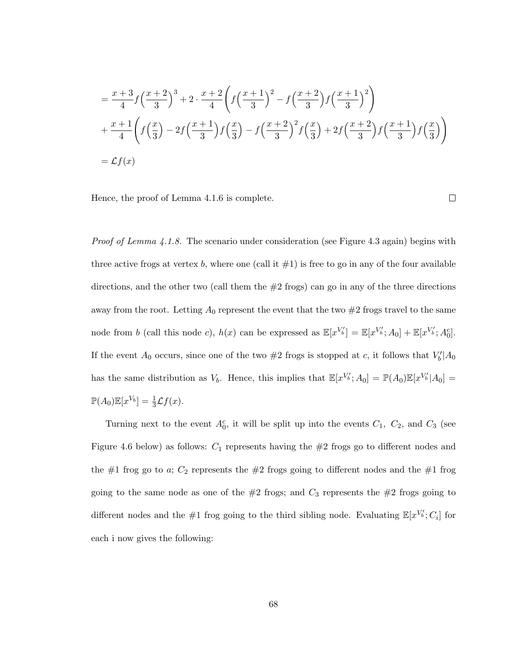$$
= \frac{x+3}{4} f\left(\frac{x+2}{3}\right)^3 + 2 \cdot \frac{x+2}{4} \left(f\left(\frac{x+1}{3}\right)^2 - f\left(\frac{x+2}{3}\right) f\left(\frac{x+1}{3}\right)^2\right) + \frac{x+1}{4} \left(f\left(\frac{x}{3}\right) - 2f\left(\frac{x+1}{3}\right) f\left(\frac{x}{3}\right) - f\left(\frac{x+2}{3}\right)^2 f\left(\frac{x}{3}\right) + 2f\left(\frac{x+2}{3}\right) f\left(\frac{x+1}{3}\right) f\left(\frac{x}{3}\right)\right) = \mathcal{L}f(x)
$$

Hence, the proof of Lemma 4.1.6 is complete.

 $\Box$ 

*Proof of Lemma 4.1.8.* The scenario under consideration (see Figure 4.3 again) begins with three active frogs at vertex b, where one (call it  $\#1$ ) is free to go in any of the four available directions, and the other two (call them the  $#2$  frogs) can go in any of the three directions away from the root. Letting  $A_0$  represent the event that the two  $#2$  frogs travel to the same node from b (call this node c),  $h(x)$  can be expressed as  $\mathbb{E}[x^{V'_b}] = \mathbb{E}[x^{V'_b}; A_0] + \mathbb{E}[x^{V'_b}; A_0^c]$ . If the event  $A_0$  occurs, since one of the two  $#2$  frogs is stopped at c, it follows that  $V'_b|A_0$ has the same distribution as  $V_b$ . Hence, this implies that  $\mathbb{E}[x^{V'_b};A_0] = \mathbb{P}(A_0)\mathbb{E}[x^{V'_b}|A_0] =$  $\mathbb{P}(A_0)\mathbb{E}[x^{V_b}] = \frac{1}{3}\mathcal{L}f(x).$ 

Turning next to the event  $A_0^c$ , it will be split up into the events  $C_1$ ,  $C_2$ , and  $C_3$  (see Figure 4.6 below) as follows:  $C_1$  represents having the  $#2$  frogs go to different nodes and the  $\#1$  frog go to a;  $C_2$  represents the  $\#2$  frogs going to different nodes and the  $\#1$  frog going to the same node as one of the  $#2$  frogs; and  $C_3$  represents the  $#2$  frogs going to different nodes and the #1 frog going to the third sibling node. Evaluating  $\mathbb{E}[x^{V'_b};C_i]$  for each i now gives the following: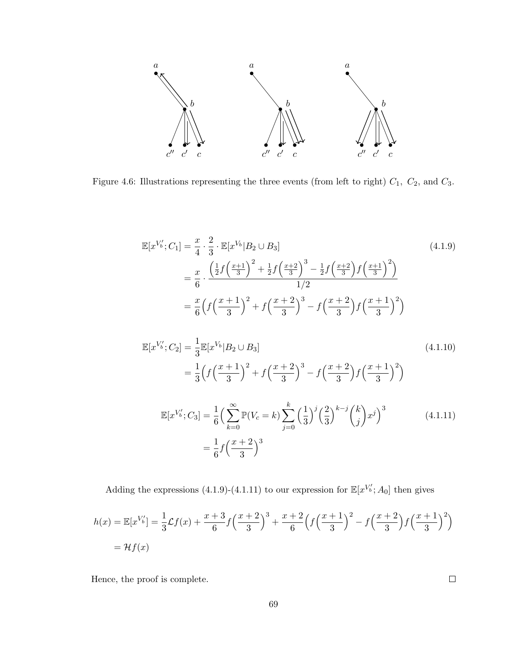

Figure 4.6: Illustrations representing the three events (from left to right)  $C_1$ ,  $C_2$ , and  $C_3$ .

$$
\mathbb{E}[x^{V'_b}; C_1] = \frac{x}{4} \cdot \frac{2}{3} \cdot \mathbb{E}[x^{V_b} | B_2 \cup B_3]
$$
\n
$$
= \frac{x}{6} \cdot \frac{\left(\frac{1}{2}f\left(\frac{x+1}{3}\right)^2 + \frac{1}{2}f\left(\frac{x+2}{3}\right)^3 - \frac{1}{2}f\left(\frac{x+2}{3}\right)f\left(\frac{x+1}{3}\right)^2\right)}{1/2}
$$
\n
$$
= \frac{x}{6} \left(f\left(\frac{x+1}{3}\right)^2 + f\left(\frac{x+2}{3}\right)^3 - f\left(\frac{x+2}{3}\right)f\left(\frac{x+1}{3}\right)^2\right)
$$
\n(4.1.9)

$$
\mathbb{E}[x^{V'_b}; C_2] = \frac{1}{3} \mathbb{E}[x^{V_b} | B_2 \cup B_3]
$$
\n
$$
= \frac{1}{3} \Big( f \Big( \frac{x+1}{3} \Big)^2 + f \Big( \frac{x+2}{3} \Big)^3 - f \Big( \frac{x+2}{3} \Big) f \Big( \frac{x+1}{3} \Big)^2 \Big)
$$
\n
$$
\mathbb{E}[x^{V'_b}; C_3] = \frac{1}{6} \Big( \sum_{k=0}^{\infty} \mathbb{P}(V_c = k) \sum_{j=0}^k \Big( \frac{1}{3} \Big)^j \Big( \frac{2}{3} \Big)^{k-j} \Big( \frac{k}{j} \Big) x^j \Big)^3
$$
\n
$$
= \frac{1}{6} f \Big( \frac{x+2}{3} \Big)^3
$$
\n(4.1.11)

Adding the expressions (4.1.9)-(4.1.11) to our expression for  $\mathbb{E}[x^{V'_b};A_0]$  then gives

$$
h(x) = \mathbb{E}[x^{V'_b}] = \frac{1}{3}\mathcal{L}f(x) + \frac{x+3}{6}f\left(\frac{x+2}{3}\right)^3 + \frac{x+2}{6}\left(f\left(\frac{x+1}{3}\right)^2 - f\left(\frac{x+2}{3}\right)f\left(\frac{x+1}{3}\right)^2\right)
$$
  
=  $\mathcal{H}f(x)$ 

Hence, the proof is complete.

 $\Box$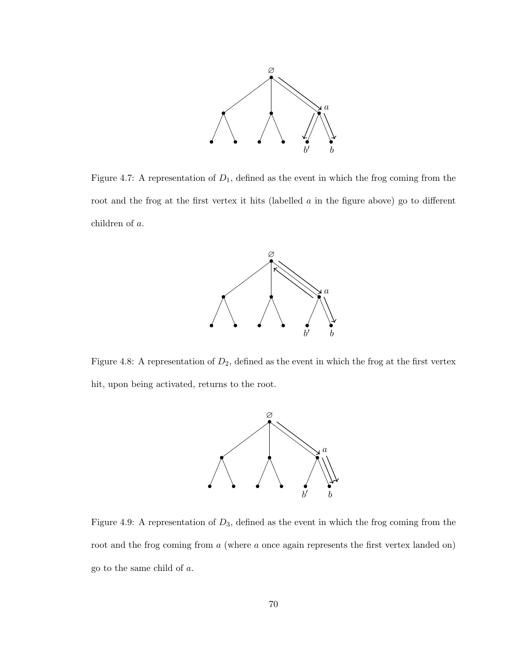

Figure 4.7: A representation of  $D_1$ , defined as the event in which the frog coming from the root and the frog at the first vertex it hits (labelled a in the figure above) go to different children of a.



Figure 4.8: A representation of  $D_2$ , defined as the event in which the frog at the first vertex hit, upon being activated, returns to the root.



Figure 4.9: A representation of  $D_3$ , defined as the event in which the frog coming from the root and the frog coming from a (where a once again represents the first vertex landed on) go to the same child of a.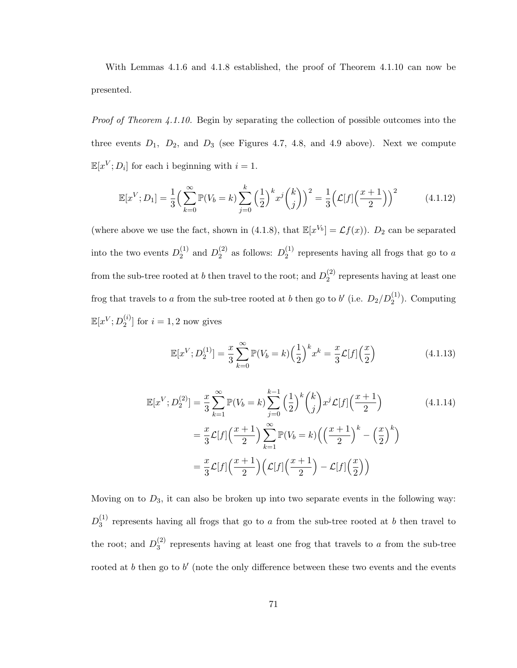With Lemmas 4.1.6 and 4.1.8 established, the proof of Theorem 4.1.10 can now be presented.

Proof of Theorem 4.1.10. Begin by separating the collection of possible outcomes into the three events  $D_1$ ,  $D_2$ , and  $D_3$  (see Figures 4.7, 4.8, and 4.9 above). Next we compute  $\mathbb{E}[x^V; D_i]$  for each i beginning with  $i = 1$ .

$$
\mathbb{E}[x^V; D_1] = \frac{1}{3} \left( \sum_{k=0}^{\infty} \mathbb{P}(V_b = k) \sum_{j=0}^k \left( \frac{1}{2} \right)^k x^j \binom{k}{j} \right)^2 = \frac{1}{3} \left( \mathcal{L}[f] \left( \frac{x+1}{2} \right) \right)^2 \tag{4.1.12}
$$

(where above we use the fact, shown in (4.1.8), that  $\mathbb{E}[x^{V_b}] = \mathcal{L}f(x)$ ).  $D_2$  can be separated into the two events  $D_2^{(1)}$  $_{2}^{(1)}$  and  $D_{2}^{(2)}$  $2^{(2)}$  as follows:  $D_2^{(1)}$  $_2^{(1)}$  represents having all frogs that go to a from the sub-tree rooted at b then travel to the root; and  $D_2^{(2)}$  $2^{(2)}$  represents having at least one frog that travels to a from the sub-tree rooted at b then go to b' (i.e.  $D_2/D_2^{(1)}$ ). Computing  $\mathbb{E}[x^V; D_2^{(i)}]$  $\binom{v}{2}$  for  $i = 1, 2$  now gives

$$
\mathbb{E}[x^V; D_2^{(1)}] = \frac{x}{3} \sum_{k=0}^{\infty} \mathbb{P}(V_b = k) \left(\frac{1}{2}\right)^k x^k = \frac{x}{3} \mathcal{L}[f] \left(\frac{x}{2}\right)
$$
(4.1.13)

$$
\mathbb{E}[x^{V}; D_{2}^{(2)}] = \frac{x}{3} \sum_{k=1}^{\infty} \mathbb{P}(V_{b} = k) \sum_{j=0}^{k-1} \left(\frac{1}{2}\right)^{k} {k \choose j} x^{j} \mathcal{L}[f] \left(\frac{x+1}{2}\right)
$$
\n
$$
= \frac{x}{3} \mathcal{L}[f] \left(\frac{x+1}{2}\right) \sum_{k=1}^{\infty} \mathbb{P}(V_{b} = k) \left(\left(\frac{x+1}{2}\right)^{k} - \left(\frac{x}{2}\right)^{k}\right)
$$
\n
$$
= \frac{x}{3} \mathcal{L}[f] \left(\frac{x+1}{2}\right) \left(\mathcal{L}[f] \left(\frac{x+1}{2}\right) - \mathcal{L}[f] \left(\frac{x}{2}\right)\right)
$$
\n(4.1.14)

Moving on to  $D_3$ , it can also be broken up into two separate events in the following way:  $D_3^{(1)}$  $_3<sup>(1)</sup>$  represents having all frogs that go to a from the sub-tree rooted at b then travel to the root; and  $D_3^{(2)}$  $_3<sup>(2)</sup>$  represents having at least one frog that travels to a from the sub-tree rooted at  $b$  then go to  $b'$  (note the only difference between these two events and the events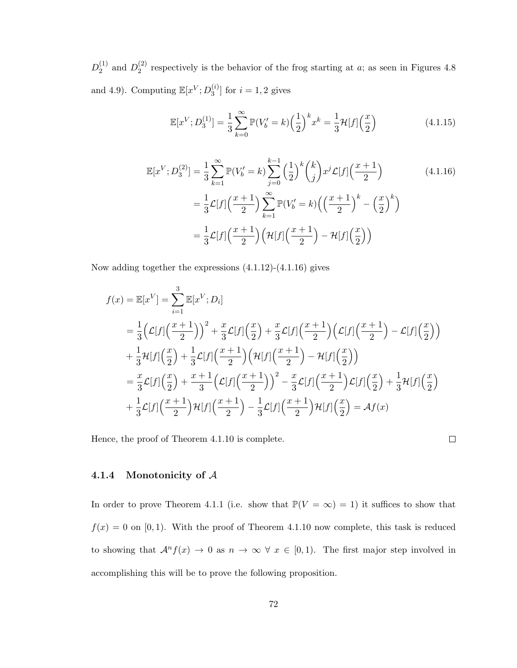$D_2^{(1)}$  $_{2}^{(1)}$  and  $D_{2}^{(2)}$  $_2^{(2)}$  respectively is the behavior of the frog starting at a; as seen in Figures 4.8 and 4.9). Computing  $\mathbb{E}[x^V; D_3^{(i)}]$  $\binom{v}{3}$  for  $i = 1, 2$  gives

$$
\mathbb{E}[x^V; D_3^{(1)}] = \frac{1}{3} \sum_{k=0}^{\infty} \mathbb{P}(V_b' = k) \left(\frac{1}{2}\right)^k x^k = \frac{1}{3} \mathcal{H}[f] \left(\frac{x}{2}\right)
$$
(4.1.15)

$$
\mathbb{E}[x^{V}; D_{3}^{(2)}] = \frac{1}{3} \sum_{k=1}^{\infty} \mathbb{P}(V'_{b} = k) \sum_{j=0}^{k-1} \left(\frac{1}{2}\right)^{k} {k \choose j} x^{j} \mathcal{L}[f] \left(\frac{x+1}{2}\right)
$$
\n
$$
= \frac{1}{3} \mathcal{L}[f] \left(\frac{x+1}{2}\right) \sum_{k=1}^{\infty} \mathbb{P}(V'_{b} = k) \left(\left(\frac{x+1}{2}\right)^{k} - \left(\frac{x}{2}\right)^{k}\right)
$$
\n
$$
= \frac{1}{3} \mathcal{L}[f] \left(\frac{x+1}{2}\right) \left(\mathcal{H}[f] \left(\frac{x+1}{2}\right) - \mathcal{H}[f] \left(\frac{x}{2}\right)\right)
$$
\n(4.1.16)

Now adding together the expressions (4.1.12)-(4.1.16) gives

$$
f(x) = \mathbb{E}[x^V] = \sum_{i=1}^{3} \mathbb{E}[x^V; D_i]
$$
  
=  $\frac{1}{3} \Big( \mathcal{L}[f] \Big( \frac{x+1}{2} \Big) \Big)^2 + \frac{x}{3} \mathcal{L}[f] \Big( \frac{x}{2} \Big) + \frac{x}{3} \mathcal{L}[f] \Big( \frac{x+1}{2} \Big) \Big( \mathcal{L}[f] \Big( \frac{x+1}{2} \Big) - \mathcal{L}[f] \Big( \frac{x}{2} \Big) \Big)$   
+  $\frac{1}{3} \mathcal{H}[f] \Big( \frac{x}{2} \Big) + \frac{1}{3} \mathcal{L}[f] \Big( \frac{x+1}{2} \Big) \Big( \mathcal{H}[f] \Big( \frac{x+1}{2} \Big) - \mathcal{H}[f] \Big( \frac{x}{2} \Big) \Big)$   
=  $\frac{x}{3} \mathcal{L}[f] \Big( \frac{x}{2} \Big) + \frac{x+1}{3} \Big( \mathcal{L}[f] \Big( \frac{x+1}{2} \Big) \Big)^2 - \frac{x}{3} \mathcal{L}[f] \Big( \frac{x+1}{2} \Big) \mathcal{L}[f] \Big( \frac{x}{2} \Big) + \frac{1}{3} \mathcal{H}[f] \Big( \frac{x}{2} \Big)$   
+  $\frac{1}{3} \mathcal{L}[f] \Big( \frac{x+1}{2} \Big) \mathcal{H}[f] \Big( \frac{x+1}{2} \Big) - \frac{1}{3} \mathcal{L}[f] \Big( \frac{x+1}{2} \Big) \mathcal{H}[f] \Big( \frac{x}{2} \Big) = \mathcal{A}f(x)$ 

Hence, the proof of Theorem 4.1.10 is complete.

 $\Box$ 

## 4.1.4 Monotonicity of A

In order to prove Theorem 4.1.1 (i.e. show that  $\mathbb{P}(V = \infty) = 1$ ) it suffices to show that  $f(x) = 0$  on [0,1]. With the proof of Theorem 4.1.10 now complete, this task is reduced to showing that  $\mathcal{A}^n f(x) \to 0$  as  $n \to \infty$   $\forall x \in [0,1)$ . The first major step involved in accomplishing this will be to prove the following proposition.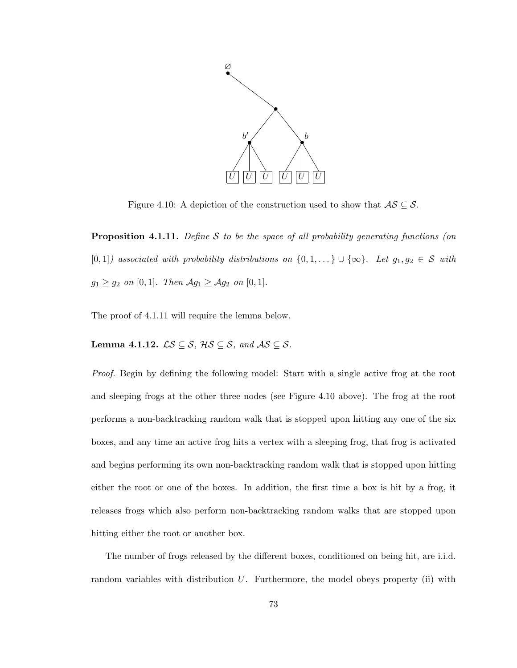

Figure 4.10: A depiction of the construction used to show that  $\mathcal{AS} \subseteq \mathcal{S}$ .

**Proposition 4.1.11.** Define  $S$  to be the space of all probability generating functions (on [0, 1]) associated with probability distributions on  $\{0, 1, ...\} \cup \{\infty\}$ . Let  $g_1, g_2 \in S$  with  $g_1 \ge g_2$  on [0, 1]. Then  $\mathcal{A}g_1 \ge \mathcal{A}g_2$  on [0, 1].

The proof of 4.1.11 will require the lemma below.

Lemma 4.1.12.  $\mathcal{LS} \subseteq \mathcal{S}$ ,  $\mathcal{HS} \subseteq \mathcal{S}$ , and  $\mathcal{AS} \subseteq \mathcal{S}$ .

Proof. Begin by defining the following model: Start with a single active frog at the root and sleeping frogs at the other three nodes (see Figure 4.10 above). The frog at the root performs a non-backtracking random walk that is stopped upon hitting any one of the six boxes, and any time an active frog hits a vertex with a sleeping frog, that frog is activated and begins performing its own non-backtracking random walk that is stopped upon hitting either the root or one of the boxes. In addition, the first time a box is hit by a frog, it releases frogs which also perform non-backtracking random walks that are stopped upon hitting either the root or another box.

The number of frogs released by the different boxes, conditioned on being hit, are i.i.d. random variables with distribution  $U$ . Furthermore, the model obeys property (ii) with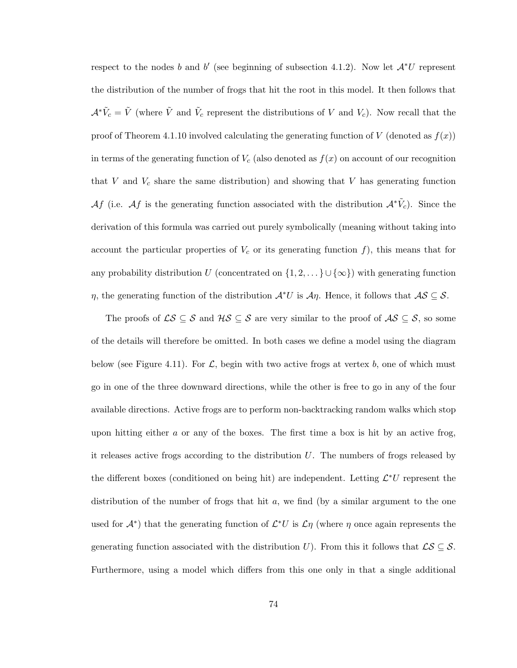respect to the nodes b and b' (see beginning of subsection 4.1.2). Now let  $\mathcal{A}^*U$  represent the distribution of the number of frogs that hit the root in this model. It then follows that  $\mathcal{A}^*\tilde{V}_c = \tilde{V}$  (where  $\tilde{V}$  and  $\tilde{V}_c$  represent the distributions of V and  $V_c$ ). Now recall that the proof of Theorem 4.1.10 involved calculating the generating function of V (denoted as  $f(x)$ ) in terms of the generating function of  $V_c$  (also denoted as  $f(x)$  on account of our recognition that V and  $V_c$  share the same distribution) and showing that V has generating function Af (i.e. Af is the generating function associated with the distribution  $\mathcal{A}^*\tilde{V}_c$ ). Since the derivation of this formula was carried out purely symbolically (meaning without taking into account the particular properties of  $V_c$  or its generating function f), this means that for any probability distribution U (concentrated on  $\{1, 2, \ldots\} \cup \{\infty\}$ ) with generating function  $\eta$ , the generating function of the distribution  $\mathcal{A}^*U$  is  $\mathcal{A}\eta$ . Hence, it follows that  $\mathcal{A}\mathcal{S} \subseteq \mathcal{S}$ .

The proofs of  $\mathcal{LS} \subseteq \mathcal{S}$  and  $\mathcal{HS} \subseteq \mathcal{S}$  are very similar to the proof of  $\mathcal{AS} \subseteq \mathcal{S}$ , so some of the details will therefore be omitted. In both cases we define a model using the diagram below (see Figure 4.11). For  $\mathcal{L}$ , begin with two active frogs at vertex b, one of which must go in one of the three downward directions, while the other is free to go in any of the four available directions. Active frogs are to perform non-backtracking random walks which stop upon hitting either  $a$  or any of the boxes. The first time a box is hit by an active frog, it releases active frogs according to the distribution  $U$ . The numbers of frogs released by the different boxes (conditioned on being hit) are independent. Letting  $\mathcal{L}^*U$  represent the distribution of the number of frogs that hit a, we find (by a similar argument to the one used for  $\mathcal{A}^*$ ) that the generating function of  $\mathcal{L}^*U$  is  $\mathcal{L}\eta$  (where  $\eta$  once again represents the generating function associated with the distribution U). From this it follows that  $\mathcal{LS} \subseteq \mathcal{S}$ . Furthermore, using a model which differs from this one only in that a single additional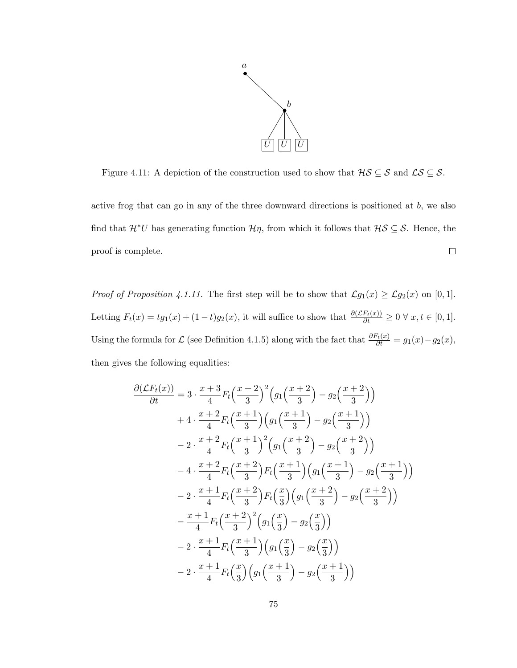

Figure 4.11: A depiction of the construction used to show that  $\mathcal{HS} \subseteq \mathcal{S}$  and  $\mathcal{LS} \subseteq \mathcal{S}$ .

active frog that can go in any of the three downward directions is positioned at b, we also find that  $\mathcal{H}^*U$  has generating function  $\mathcal{H}\eta$ , from which it follows that  $\mathcal{H}\mathcal{S}\subseteq\mathcal{S}$ . Hence, the  $\Box$ proof is complete.

*Proof of Proposition 4.1.11.* The first step will be to show that  $\mathcal{L}g_1(x) \geq \mathcal{L}g_2(x)$  on [0, 1]. Letting  $F_t(x) = tg_1(x) + (1-t)g_2(x)$ , it will suffice to show that  $\frac{\partial (E_t(x))}{\partial t} \ge 0 \ \forall \ x, t \in [0,1].$ Using the formula for  $\mathcal L$  (see Definition 4.1.5) along with the fact that  $\frac{\partial F_t(x)}{\partial t} = g_1(x) - g_2(x)$ , then gives the following equalities:

$$
\frac{\partial(\mathcal{L}F_t(x))}{\partial t} = 3 \cdot \frac{x+3}{4} F_t \left(\frac{x+2}{3}\right)^2 \left(g_1 \left(\frac{x+2}{3}\right) - g_2 \left(\frac{x+2}{3}\right)\right)
$$
  
+4 \cdot \frac{x+2}{4} F\_t \left(\frac{x+1}{3}\right) \left(g\_1 \left(\frac{x+1}{3}\right) - g\_2 \left(\frac{x+1}{3}\right)\right)  
-2 \cdot \frac{x+2}{4} F\_t \left(\frac{x+1}{3}\right)^2 \left(g\_1 \left(\frac{x+2}{3}\right) - g\_2 \left(\frac{x+2}{3}\right)\right)  
-4 \cdot \frac{x+2}{4} F\_t \left(\frac{x+2}{3}\right) F\_t \left(\frac{x+1}{3}\right) \left(g\_1 \left(\frac{x+1}{3}\right) - g\_2 \left(\frac{x+1}{3}\right)\right)  
-2 \cdot \frac{x+1}{4} F\_t \left(\frac{x+2}{3}\right) F\_t \left(\frac{x}{3}\right) \left(g\_1 \left(\frac{x+2}{3}\right) - g\_2 \left(\frac{x+2}{3}\right)\right)  
-\frac{x+1}{4} F\_t \left(\frac{x+2}{3}\right)^2 \left(g\_1 \left(\frac{x}{3}\right) - g\_2 \left(\frac{x}{3}\right)\right)  
-2 \cdot \frac{x+1}{4} F\_t \left(\frac{x+1}{3}\right) \left(g\_1 \left(\frac{x}{3}\right) - g\_2 \left(\frac{x}{3}\right)\right)  
-2 \cdot \frac{x+1}{4} F\_t \left(\frac{x}{3}\right) \left(g\_1 \left(\frac{x+1}{3}\right) - g\_2 \left(\frac{x+1}{3}\right)\right)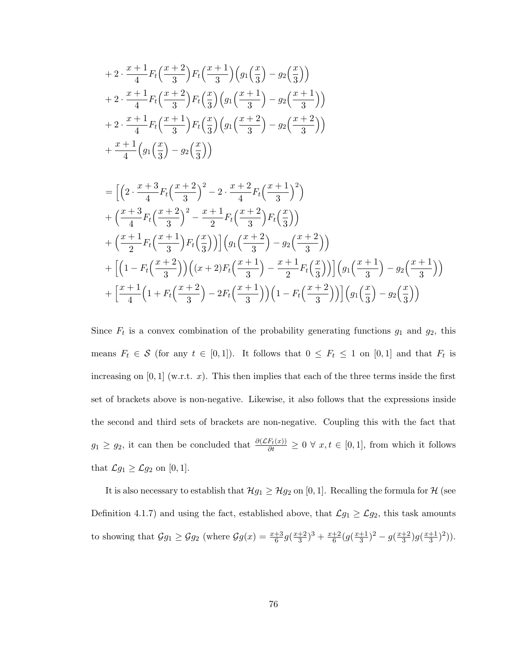$$
+ 2 \cdot \frac{x+1}{4} F_t\left(\frac{x+2}{3}\right) F_t\left(\frac{x+1}{3}\right) \left(g_1\left(\frac{x}{3}\right) - g_2\left(\frac{x}{3}\right)\right) + 2 \cdot \frac{x+1}{4} F_t\left(\frac{x+2}{3}\right) F_t\left(\frac{x}{3}\right) \left(g_1\left(\frac{x+1}{3}\right) - g_2\left(\frac{x+1}{3}\right)\right) + 2 \cdot \frac{x+1}{4} F_t\left(\frac{x+1}{3}\right) F_t\left(\frac{x}{3}\right) \left(g_1\left(\frac{x+2}{3}\right) - g_2\left(\frac{x+2}{3}\right)\right) + \frac{x+1}{4} \left(g_1\left(\frac{x}{3}\right) - g_2\left(\frac{x}{3}\right)\right)
$$

$$
= \left[ \left( 2 \cdot \frac{x+3}{4} F_t \left( \frac{x+2}{3} \right)^2 - 2 \cdot \frac{x+2}{4} F_t \left( \frac{x+1}{3} \right)^2 \right) + \left( \frac{x+3}{4} F_t \left( \frac{x+2}{3} \right)^2 - \frac{x+1}{2} F_t \left( \frac{x+2}{3} \right) F_t \left( \frac{x}{3} \right) \right) + \left( \frac{x+1}{2} F_t \left( \frac{x+1}{3} \right) F_t \left( \frac{x}{3} \right) \right) \left( g_1 \left( \frac{x+2}{3} \right) - g_2 \left( \frac{x+2}{3} \right) \right) + \left[ \left( 1 - F_t \left( \frac{x+2}{3} \right) \right) \left( (x+2) F_t \left( \frac{x+1}{3} \right) - \frac{x+1}{2} F_t \left( \frac{x}{3} \right) \right) \right] \left( g_1 \left( \frac{x+1}{3} \right) - g_2 \left( \frac{x+1}{3} \right) \right) + \left[ \frac{x+1}{4} \left( 1 + F_t \left( \frac{x+2}{3} \right) - 2 F_t \left( \frac{x+1}{3} \right) \right) \left( 1 - F_t \left( \frac{x+2}{3} \right) \right) \right] \left( g_1 \left( \frac{x}{3} \right) - g_2 \left( \frac{x}{3} \right) \right)
$$

Since  $F_t$  is a convex combination of the probability generating functions  $g_1$  and  $g_2$ , this means  $F_t \in \mathcal{S}$  (for any  $t \in [0,1]$ ). It follows that  $0 \leq F_t \leq 1$  on  $[0,1]$  and that  $F_t$  is increasing on  $[0, 1]$  (w.r.t. x). This then implies that each of the three terms inside the first set of brackets above is non-negative. Likewise, it also follows that the expressions inside the second and third sets of brackets are non-negative. Coupling this with the fact that  $g_1 \ge g_2$ , it can then be concluded that  $\frac{\partial (E_t(x))}{\partial t} \ge 0 \ \forall \ x, t \in [0,1]$ , from which it follows that  $\mathcal{L}g_1 \geq \mathcal{L}g_2$  on [0, 1].

It is also necessary to establish that  $\mathcal{H}g_1 \geq \mathcal{H}g_2$  on [0, 1]. Recalling the formula for  $\mathcal{H}$  (see Definition 4.1.7) and using the fact, established above, that  $\mathcal{L}g_1 \geq \mathcal{L}g_2$ , this task amounts to showing that  $\mathcal{G}g_1 \geq \mathcal{G}g_2$  (where  $\mathcal{G}g(x) = \frac{x+3}{6}g(\frac{x+2}{3})$  $\frac{+2}{3}$ <sup>3</sup> +  $\frac{x+2}{6}$  $\frac{+2}{6}(g(\frac{x+1}{3}))$  $\frac{+1}{3}$ )<sup>2</sup> – g( $\frac{x+2}{3}$  $\frac{+2}{3}$ )g( $\frac{x+1}{3}$  $\frac{+1}{3})^2$ ).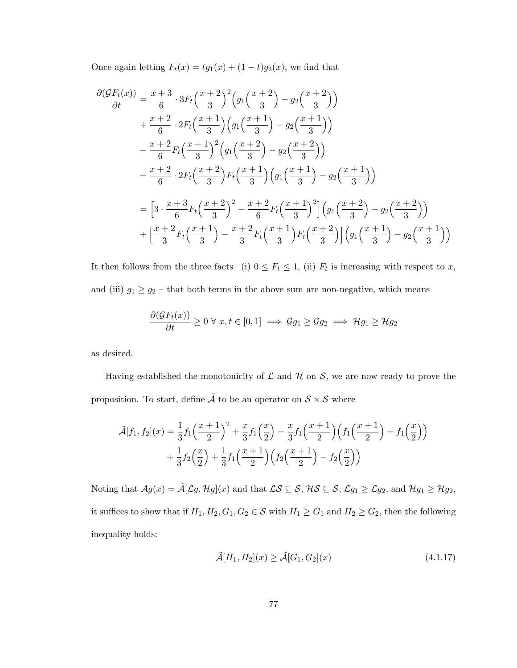Once again letting  $F_t(x) = tg_1(x) + (1-t)g_2(x)$ , we find that

$$
\frac{\partial(\mathcal{G}F_t(x))}{\partial t} = \frac{x+3}{6} \cdot 3F_t \left(\frac{x+2}{3}\right)^2 \left(g_1 \left(\frac{x+2}{3}\right) - g_2 \left(\frac{x+2}{3}\right)\right)
$$
  
+ 
$$
\frac{x+2}{6} \cdot 2F_t \left(\frac{x+1}{3}\right) \left(g_1 \left(\frac{x+1}{3}\right) - g_2 \left(\frac{x+1}{3}\right)\right)
$$
  
- 
$$
\frac{x+2}{6}F_t \left(\frac{x+1}{3}\right)^2 \left(g_1 \left(\frac{x+2}{3}\right) - g_2 \left(\frac{x+2}{3}\right)\right)
$$
  
- 
$$
\frac{x+2}{6} \cdot 2F_t \left(\frac{x+2}{3}\right) F_t \left(\frac{x+1}{3}\right) \left(g_1 \left(\frac{x+1}{3}\right) - g_2 \left(\frac{x+1}{3}\right)\right)
$$
  
= 
$$
\left[3 \cdot \frac{x+3}{6}F_t \left(\frac{x+2}{3}\right)^2 - \frac{x+2}{6}F_t \left(\frac{x+1}{3}\right)^2\right] \left(g_1 \left(\frac{x+2}{3}\right) - g_2 \left(\frac{x+2}{3}\right)\right)
$$
  
+ 
$$
\left[\frac{x+2}{3}F_t \left(\frac{x+1}{3}\right) - \frac{x+2}{3}F_t \left(\frac{x+1}{3}\right)F_t \left(\frac{x+2}{3}\right)\right] \left(g_1 \left(\frac{x+1}{3}\right) - g_2 \left(\frac{x+1}{3}\right)\right)
$$

It then follows from the three facts –(i)  $0 \leq F_t \leq 1$ , (ii)  $F_t$  is increasing with respect to x, and (iii)  $g_1 \ge g_2$  – that both terms in the above sum are non-negative, which means

$$
\frac{\partial(\mathcal{G}F_t(x))}{\partial t} \ge 0 \,\forall \, x, t \in [0,1] \implies \mathcal{G}g_1 \ge \mathcal{G}g_2 \implies \mathcal{H}g_1 \ge \mathcal{H}g_2
$$

as desired.

Having established the monotonicity of  $\mathcal L$  and  $\mathcal H$  on  $\mathcal S$ , we are now ready to prove the proposition. To start, define  $\tilde{A}$  to be an operator on  $S \times S$  where

$$
\tilde{\mathcal{A}}[f_1, f_2](x) = \frac{1}{3} f_1 \left(\frac{x+1}{2}\right)^2 + \frac{x}{3} f_1 \left(\frac{x}{2}\right) + \frac{x}{3} f_1 \left(\frac{x+1}{2}\right) \left(f_1 \left(\frac{x+1}{2}\right) - f_1 \left(\frac{x}{2}\right)\right) + \frac{1}{3} f_2 \left(\frac{x}{2}\right) + \frac{1}{3} f_1 \left(\frac{x+1}{2}\right) \left(f_2 \left(\frac{x+1}{2}\right) - f_2 \left(\frac{x}{2}\right)\right)
$$

Noting that  $\mathcal{A}g(x) = \tilde{\mathcal{A}}[\mathcal{L}g, \mathcal{H}g](x)$  and that  $\mathcal{LS} \subseteq \mathcal{S}$ ,  $\mathcal{HS} \subseteq \mathcal{S}$ ,  $\mathcal{L}g_1 \geq \mathcal{L}g_2$ , and  $\mathcal{H}g_1 \geq \mathcal{H}g_2$ , it suffices to show that if  $H_1, H_2, G_1, G_2 \in \mathcal{S}$  with  $H_1 \geq G_1$  and  $H_2 \geq G_2$ , then the following inequality holds:

$$
\tilde{\mathcal{A}}[H_1, H_2](x) \ge \tilde{\mathcal{A}}[G_1, G_2](x) \tag{4.1.17}
$$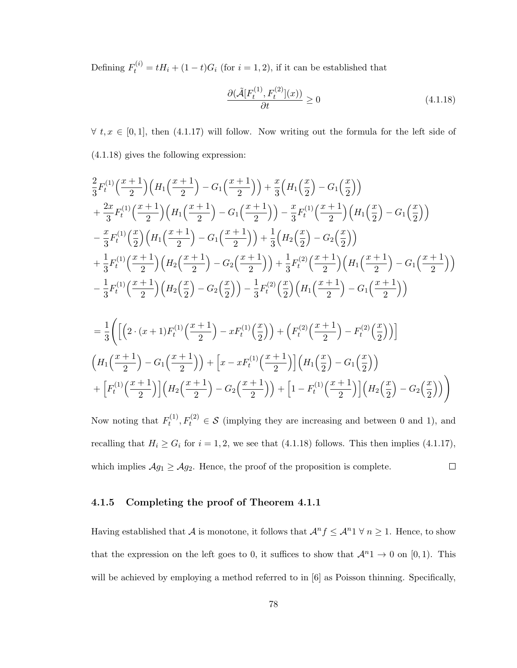Defining  $F_t^{(i)} = tH_i + (1-t)G_i$  (for  $i = 1, 2$ ), if it can be established that

$$
\frac{\partial(\tilde{\mathcal{A}}[F_t^{(1)}, F_t^{(2)}](x))}{\partial t} \ge 0
$$
\n(4.1.18)

 $\forall t, x \in [0,1],$  then (4.1.17) will follow. Now writing out the formula for the left side of (4.1.18) gives the following expression:

$$
\frac{2}{3}F_t^{(1)}\left(\frac{x+1}{2}\right)\left(H_1\left(\frac{x+1}{2}\right)-G_1\left(\frac{x+1}{2}\right)\right)+\frac{x}{3}\left(H_1\left(\frac{x}{2}\right)-G_1\left(\frac{x}{2}\right)\right) \n+\frac{2x}{3}F_t^{(1)}\left(\frac{x+1}{2}\right)\left(H_1\left(\frac{x+1}{2}\right)-G_1\left(\frac{x+1}{2}\right)\right)-\frac{x}{3}F_t^{(1)}\left(\frac{x+1}{2}\right)\left(H_1\left(\frac{x}{2}\right)-G_1\left(\frac{x}{2}\right)\right) \n-\frac{x}{3}F_t^{(1)}\left(\frac{x}{2}\right)\left(H_1\left(\frac{x+1}{2}\right)-G_1\left(\frac{x+1}{2}\right)\right)+\frac{1}{3}\left(H_2\left(\frac{x}{2}\right)-G_2\left(\frac{x}{2}\right)\right) \n+\frac{1}{3}F_t^{(1)}\left(\frac{x+1}{2}\right)\left(H_2\left(\frac{x+1}{2}\right)-G_2\left(\frac{x+1}{2}\right)\right)+\frac{1}{3}F_t^{(2)}\left(\frac{x+1}{2}\right)\left(H_1\left(\frac{x+1}{2}\right)-G_1\left(\frac{x+1}{2}\right)\right) \n-\frac{1}{3}F_t^{(1)}\left(\frac{x+1}{2}\right)\left(H_2\left(\frac{x}{2}\right)-G_2\left(\frac{x}{2}\right)\right)-\frac{1}{3}F_t^{(2)}\left(\frac{x}{2}\right)\left(H_1\left(\frac{x+1}{2}\right)-G_1\left(\frac{x+1}{2}\right)\right)
$$

$$
= \frac{1}{3}\Biggl(\Biggl[\Bigl(2\cdot(x+1)F_t^{(1)}\Bigl(\frac{x+1}{2}\Bigr)-xF_t^{(1)}\Bigl(\frac{x}{2}\Bigr)\Bigr)+\Bigl(F_t^{(2)}\Bigl(\frac{x+1}{2}\Bigr)-F_t^{(2)}\Bigl(\frac{x}{2}\Bigr)\Bigr)\Biggr]
$$

$$
\Bigl(H_1\Bigl(\frac{x+1}{2}\Bigr)-G_1\Bigl(\frac{x+1}{2}\Bigr)\Bigr)+\Bigl[x-xF_t^{(1)}\Bigl(\frac{x+1}{2}\Bigr)\Bigr]\Bigl(H_1\Bigl(\frac{x}{2}\Bigr)-G_1\Bigl(\frac{x}{2}\Bigr)\Bigr)
$$

$$
+\Bigl[F_t^{(1)}\Bigl(\frac{x+1}{2}\Bigr)\Bigr]\Bigl(H_2\Bigl(\frac{x+1}{2}\Bigr)-G_2\Bigl(\frac{x+1}{2}\Bigr)\Bigr)+\Bigl[1-F_t^{(1)}\Bigl(\frac{x+1}{2}\Bigr)\Bigr]\Bigl(H_2\Bigl(\frac{x}{2}\Bigr)-G_2\Bigl(\frac{x}{2}\Bigr)\Bigr)\Biggr)
$$

Now noting that  $F_t^{(1)}$  $t_t^{(1)}, t_t^{(2)} \in \mathcal{S}$  (implying they are increasing and between 0 and 1), and recalling that  $H_i \ge G_i$  for  $i = 1, 2$ , we see that (4.1.18) follows. This then implies (4.1.17), which implies  $\mathcal{A}_{g_1} \geq \mathcal{A}_{g_2}$ . Hence, the proof of the proposition is complete.  $\Box$ 

## 4.1.5 Completing the proof of Theorem 4.1.1

Having established that A is monotone, it follows that  $\mathcal{A}^n f \leq \mathcal{A}^n 1 \ \forall n \geq 1$ . Hence, to show that the expression on the left goes to 0, it suffices to show that  $\mathcal{A}^{n}1 \to 0$  on [0, 1). This will be achieved by employing a method referred to in  $[6]$  as Poisson thinning. Specifically,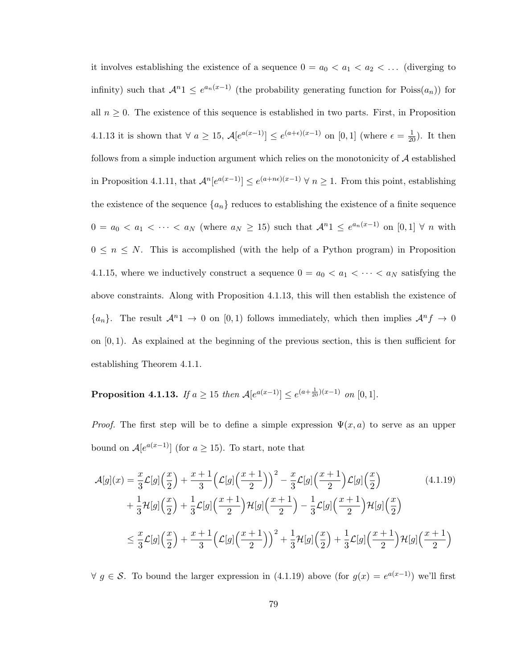it involves establishing the existence of a sequence  $0 = a_0 < a_1 < a_2 < \dots$  (diverging to infinity) such that  $\mathcal{A}^{n}1 \leq e^{a_n(x-1)}$  (the probability generating function for  $Poiss(a_n)$ ) for all  $n \geq 0$ . The existence of this sequence is established in two parts. First, in Proposition 4.1.13 it is shown that  $\forall a \geq 15$ ,  $\mathcal{A}[e^{a(x-1)}] \leq e^{(a+\epsilon)(x-1)}$  on  $[0,1]$  (where  $\epsilon = \frac{1}{20}$ ). It then follows from a simple induction argument which relies on the monotonicity of  $A$  established in Proposition 4.1.11, that  $\mathcal{A}^n[e^{a(x-1)}] \leq e^{(a+n\epsilon)(x-1)} \forall n \geq 1$ . From this point, establishing the existence of the sequence  $\{a_n\}$  reduces to establishing the existence of a finite sequence  $0 = a_0 < a_1 < \cdots < a_N$  (where  $a_N \geq 15$ ) such that  $\mathcal{A}^{n} \leq e^{a_n(x-1)}$  on  $[0,1] \forall n$  with  $0 \leq n \leq N$ . This is accomplished (with the help of a Python program) in Proposition 4.1.15, where we inductively construct a sequence  $0 = a_0 < a_1 < \cdots < a_N$  satisfying the above constraints. Along with Proposition 4.1.13, this will then establish the existence of  ${a_n}$ . The result  $\mathcal{A}^n 1 \to 0$  on  $[0,1)$  follows immediately, which then implies  $\mathcal{A}^n f \to 0$ on  $[0, 1)$ . As explained at the beginning of the previous section, this is then sufficient for establishing Theorem 4.1.1.

**Proposition 4.1.13.** If  $a \ge 15$  then  $\mathcal{A}[e^{a(x-1)}] \le e^{(a+\frac{1}{20})(x-1)}$  on [0, 1].

*Proof.* The first step will be to define a simple expression  $\Psi(x, a)$  to serve as an upper bound on  $A[e^{a(x-1)}]$  (for  $a \ge 15$ ). To start, note that

$$
\mathcal{A}[g](x) = \frac{x}{3}\mathcal{L}[g]\left(\frac{x}{2}\right) + \frac{x+1}{3}\left(\mathcal{L}[g]\left(\frac{x+1}{2}\right)\right)^2 - \frac{x}{3}\mathcal{L}[g]\left(\frac{x+1}{2}\right)\mathcal{L}[g]\left(\frac{x}{2}\right) \n+ \frac{1}{3}\mathcal{H}[g]\left(\frac{x}{2}\right) + \frac{1}{3}\mathcal{L}[g]\left(\frac{x+1}{2}\right)\mathcal{H}[g]\left(\frac{x+1}{2}\right) - \frac{1}{3}\mathcal{L}[g]\left(\frac{x+1}{2}\right)\mathcal{H}[g]\left(\frac{x}{2}\right) \n\leq \frac{x}{3}\mathcal{L}[g]\left(\frac{x}{2}\right) + \frac{x+1}{3}\left(\mathcal{L}[g]\left(\frac{x+1}{2}\right)\right)^2 + \frac{1}{3}\mathcal{H}[g]\left(\frac{x}{2}\right) + \frac{1}{3}\mathcal{L}[g]\left(\frac{x+1}{2}\right)\mathcal{H}[g]\left(\frac{x+1}{2}\right)
$$
\n(4.1.19)

 $∀ g ∈ S.$  To bound the larger expression in (4.1.19) above (for  $g(x) = e^{a(x-1)}$ ) we'll first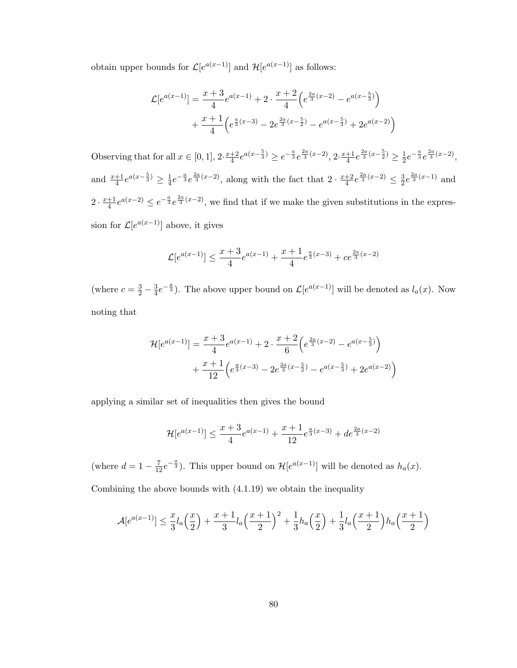obtain upper bounds for  $\mathcal{L}[e^{a(x-1)}]$  and  $\mathcal{H}[e^{a(x-1)}]$  as follows:

$$
\mathcal{L}[e^{a(x-1)}] = \frac{x+3}{4}e^{a(x-1)} + 2 \cdot \frac{x+2}{4} \left(e^{\frac{2a}{3}(x-2)} - e^{a(x-\frac{5}{3})}\right) + \frac{x+1}{4} \left(e^{\frac{a}{3}(x-3)} - 2e^{\frac{2a}{3}(x-\frac{5}{2})} - e^{a(x-\frac{5}{3})} + 2e^{a(x-2)}\right)
$$

Observing that for all  $x \in [0,1], 2 \cdot \frac{x+2}{4}$  $\frac{+2}{4}e^{a(x-\frac{5}{3})} \geq e^{-\frac{a}{3}}e^{\frac{2a}{3}(x-2)}, 2 \cdot \frac{x+1}{4}$  $\frac{+1}{4}e^{\frac{2a}{3}(x-\frac{5}{2})} \geq \frac{1}{2}$  $\frac{1}{2}e^{-\frac{a}{3}}e^{\frac{2a}{3}(x-2)},$ and  $\frac{x+1}{4}e^{a(x-\frac{5}{3})} \geq \frac{1}{4}$  $\frac{1}{4}e^{-\frac{a}{3}}e^{\frac{2a}{3}(x-2)}$ , along with the fact that  $2 \cdot \frac{x+2}{4}$  $\frac{+2}{4}e^{\frac{2a}{3}(x-2)} \leq \frac{3}{2}$  $\frac{3}{2}e^{\frac{2a}{3}(x-1)}$  and  $2 \cdot \frac{x+1}{4}$  $\frac{+1}{4}e^{a(x-2)} \leq e^{-\frac{a}{3}}e^{\frac{2a}{3}(x-2)}$ , we find that if we make the given substitutions in the expression for  $\mathcal{L}[e^{a(x-1)}]$  above, it gives

$$
\mathcal{L}[e^{a(x-1)}] \le \frac{x+3}{4}e^{a(x-1)} + \frac{x+1}{4}e^{\frac{a}{3}(x-3)} + ce^{\frac{2a}{3}(x-2)}
$$

(where  $c = \frac{3}{2} - \frac{3}{4}$  $\frac{3}{4}e^{-\frac{a}{3}}$ . The above upper bound on  $\mathcal{L}[e^{a(x-1)}]$  will be denoted as  $l_a(x)$ . Now noting that

$$
\mathcal{H}[e^{a(x-1)}] = \frac{x+3}{4}e^{a(x-1)} + 2 \cdot \frac{x+2}{6} \left(e^{\frac{2a}{3}(x-2)} - e^{a(x-\frac{5}{3})}\right) \n+ \frac{x+1}{12} \left(e^{\frac{a}{3}(x-3)} - 2e^{\frac{2a}{3}(x-\frac{5}{2})} - e^{a(x-\frac{5}{3})} + 2e^{a(x-2)}\right)
$$

applying a similar set of inequalities then gives the bound

$$
\mathcal{H}[e^{a(x-1)}] \le \frac{x+3}{4}e^{a(x-1)} + \frac{x+1}{12}e^{\frac{a}{3}(x-3)} + de^{\frac{2a}{3}(x-2)}
$$

(where  $d = 1 - \frac{7}{12}e^{-\frac{a}{3}}$ ). This upper bound on  $\mathcal{H}[e^{a(x-1)}]$  will be denoted as  $h_a(x)$ .

Combining the above bounds with (4.1.19) we obtain the inequality

$$
\mathcal{A}[e^{a(x-1)}] \leq \frac{x}{3}l_a\left(\frac{x}{2}\right) + \frac{x+1}{3}l_a\left(\frac{x+1}{2}\right)^2 + \frac{1}{3}h_a\left(\frac{x}{2}\right) + \frac{1}{3}l_a\left(\frac{x+1}{2}\right)h_a\left(\frac{x+1}{2}\right)
$$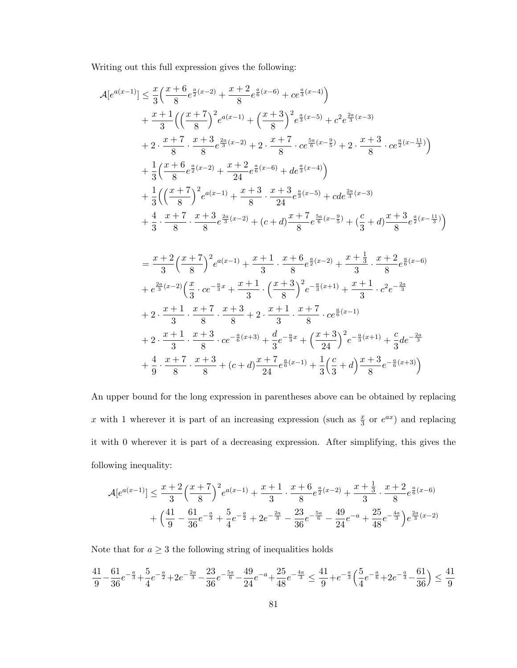Writing out this full expression gives the following:

$$
\begin{split} &\mathcal{A}[e^{a(x-1)}] \leq \frac{x}{3}\Big(\frac{x+6}{8}e^{\frac{a}{2}(x-2)}+\frac{x+2}{8}e^{\frac{a}{6}(x-6)}+ce^{\frac{a}{3}(x-4)}\Big) \\ &+ \frac{x+1}{3}\Big(\Big(\frac{x+7}{8}\Big)^2e^{a(x-1)}+\Big(\frac{x+3}{8}\Big)^2e^{\frac{a}{3}(x-5)}+c^2e^{\frac{2a}{3}(x-3)} \\ &+ 2\cdot \frac{x+7}{8}\cdot \frac{x+3}{8}e^{\frac{2a}{3}(x-2)}+2\cdot \frac{x+7}{8}\cdot ce^{\frac{5a}{6}(x-\frac{9}{5})}+2\cdot \frac{x+3}{8}\cdot ce^{\frac{a}{2}(x-\frac{11}{3})}\Big) \\ &+ \frac{1}{3}\Big(\frac{x+6}{8}e^{\frac{a}{2}(x-2)}+\frac{x+2}{24}e^{\frac{a}{6}(x-6)}+de^{\frac{a}{3}(x-4)}\Big) \\ &+ \frac{1}{3}\Big(\Big(\frac{x+7}{8}\Big)^2e^{a(x-1)}+\frac{x+3}{8}\cdot \frac{x+3}{24}e^{\frac{a}{3}(x-5)}+cde^{\frac{2a}{3}(x-3)} \\ &+ \frac{4}{3}\cdot \frac{x+7}{8}\cdot \frac{x+3}{8}e^{\frac{2a}{3}(x-2)}+(c+d)\frac{x+7}{8}e^{\frac{5a}{6}(x-\frac{9}{5})}+(\frac{c}{3}+d)\frac{x+3}{8}e^{\frac{a}{2}(x-\frac{11}{3})}\Big) \\ &=\frac{x+2}{3}\Big(\frac{x+7}{8}\Big)^2e^{a(x-1)}+\frac{x+1}{3}\cdot \frac{x+6}{8}e^{\frac{a}{2}(x-2)}+\frac{x+\frac{1}{3}}{3}\cdot \frac{x+2}{8}e^{\frac{a}{6}(x-6)} \\ &+ e^{\frac{2a}{3}(x-2)}\Big(\frac{x}{3}\cdot ce^{-\frac{a}{3}x}+\frac{x+1}{3}\cdot \Big(\frac{x+3}{8}\Big)^2e^{-\frac{a}{3}(x+1)}+\frac{x+1}{3}\cdot c^2e^{-\frac{2a}{3}} \\ &+ 2\cdot \frac{x+1}{3}\cdot \frac{x+7}{8}\cdot \frac{x+3}{8}+2\cdot \frac{x+1}{3
$$

An upper bound for the long expression in parentheses above can be obtained by replacing x with 1 wherever it is part of an increasing expression (such as  $\frac{x}{3}$  or  $e^{ax}$ ) and replacing it with 0 wherever it is part of a decreasing expression. After simplifying, this gives the following inequality:

$$
\mathcal{A}[e^{a(x-1)}] \le \frac{x+2}{3} \left(\frac{x+7}{8}\right)^2 e^{a(x-1)} + \frac{x+1}{3} \cdot \frac{x+6}{8} e^{\frac{a}{2}(x-2)} + \frac{x+\frac{1}{3}}{3} \cdot \frac{x+2}{8} e^{\frac{a}{6}(x-6)} + \left(\frac{41}{9} - \frac{61}{36} e^{-\frac{a}{3}} + \frac{5}{4} e^{-\frac{a}{2}} + 2 e^{-\frac{2a}{3}} - \frac{23}{36} e^{-\frac{5a}{6}} - \frac{49}{24} e^{-a} + \frac{25}{48} e^{-\frac{4a}{3}} \right) e^{\frac{2a}{3}(x-2)}
$$

Note that for  $a\geq 3$  the following string of inequalities holds

$$
\frac{41}{9} - \frac{61}{36}e^{-\frac{a}{3}} + \frac{5}{4}e^{-\frac{a}{2}} + 2e^{-\frac{2a}{3}} - \frac{23}{36}e^{-\frac{5a}{6}} - \frac{49}{24}e^{-a} + \frac{25}{48}e^{-\frac{4a}{3}} \le \frac{41}{9} + e^{-\frac{a}{3}} \left(\frac{5}{4}e^{-\frac{a}{6}} + 2e^{-\frac{a}{3}} - \frac{61}{36}\right) \le \frac{41}{9}
$$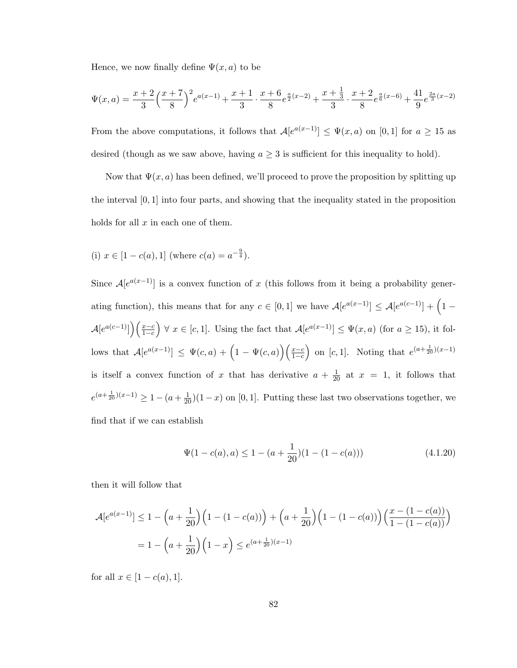Hence, we now finally define  $\Psi(x, a)$  to be

$$
\Psi(x,a) = \frac{x+2}{3} \left(\frac{x+7}{8}\right)^2 e^{a(x-1)} + \frac{x+1}{3} \cdot \frac{x+6}{8} e^{\frac{a}{2}(x-2)} + \frac{x+\frac{1}{3}}{3} \cdot \frac{x+2}{8} e^{\frac{a}{6}(x-6)} + \frac{41}{9} e^{\frac{2a}{3}(x-2)}
$$

From the above computations, it follows that  $A[e^{a(x-1)}] \leq \Psi(x, a)$  on [0, 1] for  $a \geq 15$  as desired (though as we saw above, having  $a \geq 3$  is sufficient for this inequality to hold).

Now that  $\Psi(x, a)$  has been defined, we'll proceed to prove the proposition by splitting up the interval [0, 1] into four parts, and showing that the inequality stated in the proposition holds for all  $x$  in each one of them.

(i) 
$$
x \in [1 - c(a), 1]
$$
 (where  $c(a) = a^{-\frac{9}{4}}$ ).

Since  $A[e^{a(x-1)}]$  is a convex function of x (this follows from it being a probability generating function), this means that for any  $c \in [0,1]$  we have  $\mathcal{A}[e^{a(x-1)}] \leq \mathcal{A}[e^{a(c-1)}] + (1-\mathcal{A}[e^{a(c-1)}])$  $\mathcal{A}[e^{a(c-1)}]\left(\frac{x-c}{1-c}\right) \ \forall \ x \in [c,1].$  Using the fact that  $\mathcal{A}[e^{a(x-1)}] \leq \Psi(x,a)$  (for  $a \geq 15$ ), it follows that  $\mathcal{A}[e^{a(x-1)}] \leq \Psi(c,a) + \left(1 - \Psi(c,a)\right)\left(\frac{x-c}{1-c}\right)$  on [c, 1]. Noting that  $e^{(a+\frac{1}{20})(x-1)}$ is itself a convex function of x that has derivative  $a + \frac{1}{20}$  at  $x = 1$ , it follows that  $e^{(a+\frac{1}{20})(x-1)} \geq 1-(a+\frac{1}{20})(1-x)$  on [0, 1]. Putting these last two observations together, we find that if we can establish

$$
\Psi(1 - c(a), a) \le 1 - (a + \frac{1}{20})(1 - (1 - c(a)))\tag{4.1.20}
$$

then it will follow that

$$
\mathcal{A}[e^{a(x-1)}] \le 1 - \left(a + \frac{1}{20}\right)\left(1 - (1 - c(a))\right) + \left(a + \frac{1}{20}\right)\left(1 - (1 - c(a))\right)\left(\frac{x - (1 - c(a))}{1 - (1 - c(a))}\right)
$$

$$
= 1 - \left(a + \frac{1}{20}\right)\left(1 - x\right) \le e^{(a + \frac{1}{20})(x-1)}
$$

for all  $x \in [1 - c(a), 1].$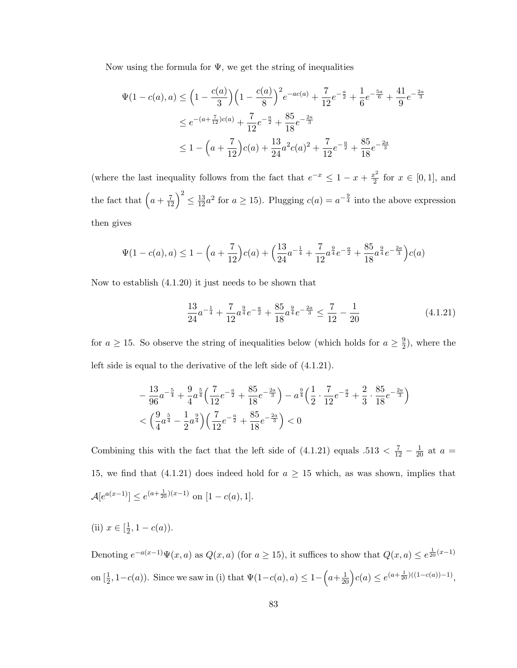Now using the formula for  $\Psi$ , we get the string of inequalities

$$
\Psi(1 - c(a), a) \le \left(1 - \frac{c(a)}{3}\right) \left(1 - \frac{c(a)}{8}\right)^2 e^{-ac(a)} + \frac{7}{12} e^{-\frac{a}{2}} + \frac{1}{6} e^{-\frac{5a}{6}} + \frac{41}{9} e^{-\frac{2a}{3}}
$$
  

$$
\le e^{-(a + \frac{7}{12})c(a)} + \frac{7}{12} e^{-\frac{a}{2}} + \frac{85}{18} e^{-\frac{2a}{3}}
$$
  

$$
\le 1 - \left(a + \frac{7}{12}\right) c(a) + \frac{13}{24} a^2 c(a)^2 + \frac{7}{12} e^{-\frac{a}{2}} + \frac{85}{18} e^{-\frac{2a}{3}}
$$

(where the last inequality follows from the fact that  $e^{-x} \leq 1 - x + \frac{x^2}{2}$  $\frac{x^2}{2}$  for  $x \in [0,1]$ , and the fact that  $\left(a+\frac{7}{12}\right)^2 \leq \frac{13}{12}a^2$  for  $a \geq 15$ ). Plugging  $c(a) = a^{-\frac{9}{4}}$  into the above expression then gives

$$
\Psi(1 - c(a), a) \le 1 - \left(a + \frac{7}{12}\right)c(a) + \left(\frac{13}{24}a^{-\frac{1}{4}} + \frac{7}{12}a^{\frac{9}{4}}e^{-\frac{a}{2}} + \frac{85}{18}a^{\frac{9}{4}}e^{-\frac{2a}{3}}\right)c(a)
$$

Now to establish (4.1.20) it just needs to be shown that

$$
\frac{13}{24}a^{-\frac{1}{4}} + \frac{7}{12}a^{\frac{9}{4}}e^{-\frac{a}{2}} + \frac{85}{18}a^{\frac{9}{4}}e^{-\frac{2a}{3}} \le \frac{7}{12} - \frac{1}{20}
$$
(4.1.21)

for  $a \geq 15$ . So observe the string of inequalities below (which holds for  $a \geq \frac{9}{2}$ )  $\frac{9}{2}$ ), where the left side is equal to the derivative of the left side of (4.1.21).

$$
-\frac{13}{96}a^{-\frac{5}{4}} + \frac{9}{4}a^{\frac{5}{4}}\left(\frac{7}{12}e^{-\frac{a}{2}} + \frac{85}{18}e^{-\frac{2a}{3}}\right) - a^{\frac{9}{4}}\left(\frac{1}{2} \cdot \frac{7}{12}e^{-\frac{a}{2}} + \frac{2}{3} \cdot \frac{85}{18}e^{-\frac{2a}{3}}\right) < \left(\frac{9}{4}a^{\frac{5}{4}} - \frac{1}{2}a^{\frac{9}{4}}\right)\left(\frac{7}{12}e^{-\frac{a}{2}} + \frac{85}{18}e^{-\frac{2a}{3}}\right) < 0
$$

Combining this with the fact that the left side of  $(4.1.21)$  equals  $.513 < \frac{7}{12} - \frac{1}{20}$  at  $a =$ 15, we find that (4.1.21) does indeed hold for  $a \ge 15$  which, as was shown, implies that  $\mathcal{A}[e^{a(x-1)}] \leq e^{(a+\frac{1}{20})(x-1)}$  on  $[1-c(a),1]$ .

(ii)  $x \in \left[\frac{1}{2}\right]$  $\frac{1}{2}$ , 1 –  $c(a)$ ).

Denoting  $e^{-a(x-1)}\Psi(x,a)$  as  $Q(x,a)$  (for  $a\geq 15$ ), it suffices to show that  $Q(x,a)\leq e^{\frac{1}{20}(x-1)}$ on  $[\frac{1}{2}, 1-c(a)]$ . Since we saw in (i) that  $\Psi(1-c(a), a) \leq 1-\left(a+\frac{1}{20}\right)c(a) \leq e^{(a+\frac{1}{20})((1-c(a))-1)}$ ,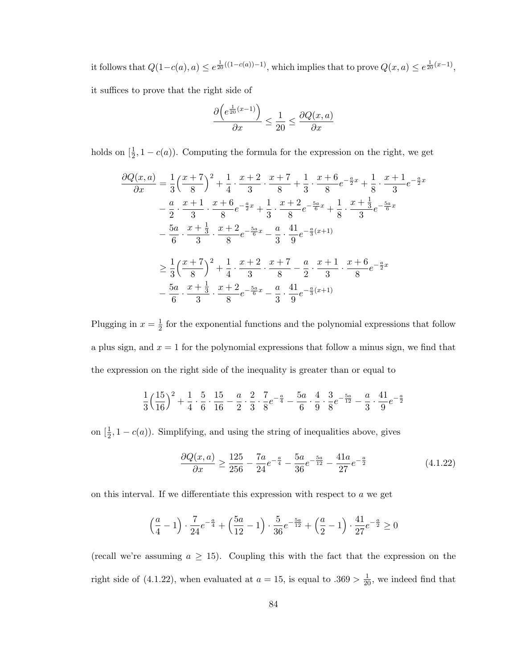it follows that  $Q(1-c(a),a) \leq e^{\frac{1}{20}((1-c(a))-1)}$ , which implies that to prove  $Q(x,a) \leq e^{\frac{1}{20}(x-1)}$ , it suffices to prove that the right side of

$$
\frac{\partial \left(e^{\frac{1}{20}(x-1)}\right)}{\partial x} \le \frac{1}{20} \le \frac{\partial Q(x,a)}{\partial x}
$$

holds on  $[\frac{1}{2}, 1 - c(a)]$ . Computing the formula for the expression on the right, we get

$$
\frac{\partial Q(x,a)}{\partial x} = \frac{1}{3} \left(\frac{x+7}{8}\right)^2 + \frac{1}{4} \cdot \frac{x+2}{3} \cdot \frac{x+7}{8} + \frac{1}{3} \cdot \frac{x+6}{8} e^{-\frac{a}{2}x} + \frac{1}{8} \cdot \frac{x+1}{3} e^{-\frac{a}{2}x}
$$
\n
$$
- \frac{a}{2} \cdot \frac{x+1}{3} \cdot \frac{x+6}{8} e^{-\frac{a}{2}x} + \frac{1}{3} \cdot \frac{x+2}{8} e^{-\frac{5a}{6}x} + \frac{1}{8} \cdot \frac{x+\frac{1}{3}}{3} e^{-\frac{5a}{6}x}
$$
\n
$$
- \frac{5a}{6} \cdot \frac{x+\frac{1}{3}}{3} \cdot \frac{x+2}{8} e^{-\frac{5a}{6}x} - \frac{a}{3} \cdot \frac{41}{9} e^{-\frac{a}{3}(x+1)}
$$
\n
$$
\geq \frac{1}{3} \left(\frac{x+7}{8}\right)^2 + \frac{1}{4} \cdot \frac{x+2}{3} \cdot \frac{x+7}{8} - \frac{a}{2} \cdot \frac{x+1}{3} \cdot \frac{x+6}{8} e^{-\frac{a}{2}x}
$$
\n
$$
- \frac{5a}{6} \cdot \frac{x+\frac{1}{3}}{3} \cdot \frac{x+2}{8} e^{-\frac{5a}{6}x} - \frac{a}{3} \cdot \frac{41}{9} e^{-\frac{a}{3}(x+1)}
$$

Plugging in  $x=\frac{1}{2}$  $\frac{1}{2}$  for the exponential functions and the polynomial expressions that follow a plus sign, and  $x = 1$  for the polynomial expressions that follow a minus sign, we find that the expression on the right side of the inequality is greater than or equal to

$$
\frac{1}{3}\left(\frac{15}{16}\right)^2 + \frac{1}{4}\cdot \frac{5}{6}\cdot \frac{15}{16} - \frac{a}{2}\cdot \frac{2}{3}\cdot \frac{7}{8}e^{-\frac{a}{4}} - \frac{5a}{6}\cdot \frac{4}{9}\cdot \frac{3}{8}e^{-\frac{5a}{12}} - \frac{a}{3}\cdot \frac{41}{9}e^{-\frac{a}{2}}
$$

on  $\left[\frac{1}{2}, 1 - c(a)\right)$ . Simplifying, and using the string of inequalities above, gives

$$
\frac{\partial Q(x,a)}{\partial x} \ge \frac{125}{256} - \frac{7a}{24}e^{-\frac{a}{4}} - \frac{5a}{36}e^{-\frac{5a}{12}} - \frac{41a}{27}e^{-\frac{a}{2}}\tag{4.1.22}
$$

on this interval. If we differentiate this expression with respect to  $a$  we get

$$
\left(\frac{a}{4} - 1\right) \cdot \frac{7}{24}e^{-\frac{a}{4}} + \left(\frac{5a}{12} - 1\right) \cdot \frac{5}{36}e^{-\frac{5a}{12}} + \left(\frac{a}{2} - 1\right) \cdot \frac{41}{27}e^{-\frac{a}{2}} \ge 0
$$

(recall we're assuming  $a \geq 15$ ). Coupling this with the fact that the expression on the right side of (4.1.22), when evaluated at  $a = 15$ , is equal to  $.369 > \frac{1}{20}$ , we indeed find that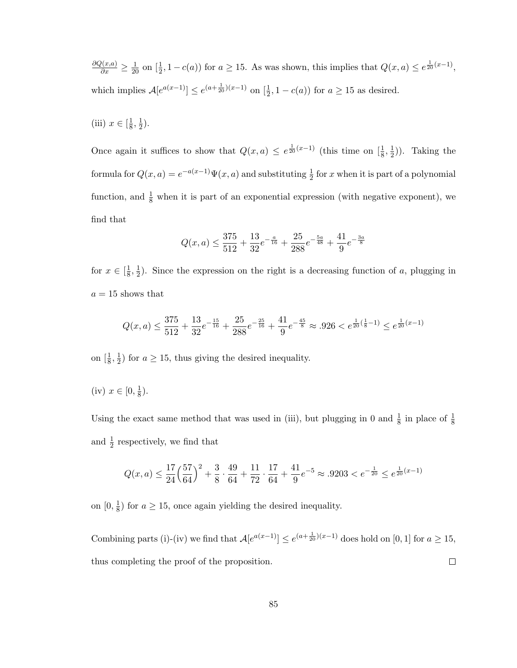$\frac{\partial Q(x,a)}{\partial x} \ge \frac{1}{20}$  on  $\left[\frac{1}{2}, 1 - c(a)\right)$  for  $a \ge 15$ . As was shown, this implies that  $Q(x,a) \le e^{\frac{1}{20}(x-1)}$ , which implies  $\mathcal{A}[e^{a(x-1)}] \le e^{(a+\frac{1}{20})(x-1)}$  on  $[\frac{1}{2}, 1 - c(a)]$  for  $a \ge 15$  as desired.

(iii)  $x \in \left[\frac{1}{8}\right]$  $\frac{1}{8}, \frac{1}{2}$  $(\frac{1}{2})$ .

Once again it suffices to show that  $Q(x, a) \leq e^{\frac{1}{20}(x-1)}$  (this time on  $\left[\frac{1}{8}, \frac{1}{2}\right]$  $(\frac{1}{2})$ ). Taking the formula for  $Q(x, a) = e^{-a(x-1)} \Psi(x, a)$  and substituting  $\frac{1}{2}$  for x when it is part of a polynomial function, and  $\frac{1}{8}$  when it is part of an exponential expression (with negative exponent), we find that

$$
Q(x,a) \leq \frac{375}{512} + \frac{13}{32}e^{-\frac{a}{16}} + \frac{25}{288}e^{-\frac{5a}{48}} + \frac{41}{9}e^{-\frac{3a}{8}}
$$

for  $x \in \left[\frac{1}{8}\right]$  $\frac{1}{8}, \frac{1}{2}$  $\frac{1}{2}$ ). Since the expression on the right is a decreasing function of a, plugging in  $a = 15$  shows that

$$
Q(x,a) \le \frac{375}{512} + \frac{13}{32}e^{-\frac{15}{16}} + \frac{25}{288}e^{-\frac{25}{16}} + \frac{41}{9}e^{-\frac{45}{8}} \approx .926 < e^{\frac{1}{20}\left(\frac{1}{8} - 1\right)} \le e^{\frac{1}{20}(x-1)}
$$

on  $\left[\frac{1}{8},\frac{1}{2}\right]$  $\frac{1}{2}$ ) for  $a \ge 15$ , thus giving the desired inequality.

(iv)  $x \in [0, \frac{1}{8}]$  $\frac{1}{8}$ .

Using the exact same method that was used in (iii), but plugging in 0 and  $\frac{1}{8}$  in place of  $\frac{1}{8}$ and  $\frac{1}{2}$  respectively, we find that

$$
Q(x,a) \le \frac{17}{24} \left(\frac{57}{64}\right)^2 + \frac{3}{8} \cdot \frac{49}{64} + \frac{11}{72} \cdot \frac{17}{64} + \frac{41}{9} e^{-5} \approx .9203 < e^{-\frac{1}{20}} \le e^{\frac{1}{20}(x-1)}
$$

on  $[0, \frac{1}{8}]$  $\frac{1}{8}$ ) for  $a \ge 15$ , once again yielding the desired inequality.

Combining parts (i)-(iv) we find that  $A[e^{a(x-1)}] \leq e^{(a+\frac{1}{20})(x-1)}$  does hold on [0, 1] for  $a \geq 15$ , thus completing the proof of the proposition.  $\Box$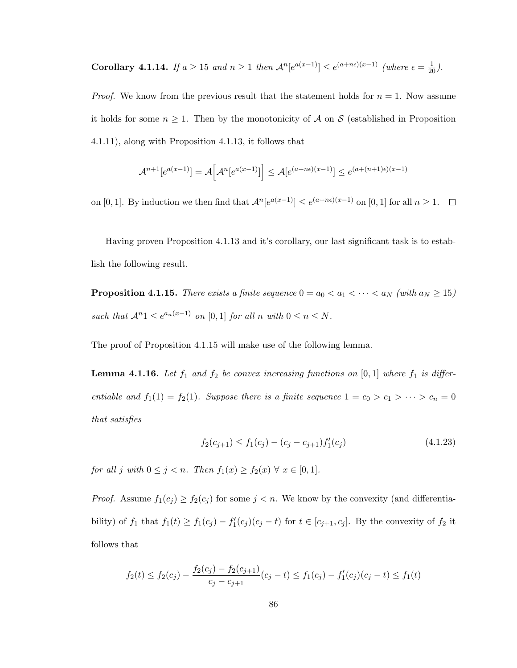Corollary 4.1.14. If  $a \ge 15$  and  $n \ge 1$  then  $\mathcal{A}^n[e^{a(x-1)}] \le e^{(a+ne)(x-1)}$  (where  $\epsilon = \frac{1}{20}$ ).

*Proof.* We know from the previous result that the statement holds for  $n = 1$ . Now assume it holds for some  $n \geq 1$ . Then by the monotonicity of A on S (established in Proposition 4.1.11), along with Proposition 4.1.13, it follows that

$$
\mathcal{A}^{n+1}[e^{a(x-1)}] = \mathcal{A}\Big[\mathcal{A}^n[e^{a(x-1)}]\Big] \le \mathcal{A}[e^{(a+n\epsilon)(x-1)}] \le e^{(a+(n+1)\epsilon)(x-1)}
$$

on [0, 1]. By induction we then find that  $\mathcal{A}^n[e^{a(x-1)}] \le e^{(a+n\epsilon)(x-1)}$  on [0, 1] for all  $n \ge 1$ .

Having proven Proposition 4.1.13 and it's corollary, our last significant task is to establish the following result.

**Proposition 4.1.15.** There exists a finite sequence  $0 = a_0 < a_1 < \cdots < a_N$  (with  $a_N \ge 15$ ) such that  $\mathcal{A}^n \mathbb{1} \leq e^{a_n(x-1)}$  on [0, 1] for all n with  $0 \leq n \leq N$ .

The proof of Proposition 4.1.15 will make use of the following lemma.

**Lemma 4.1.16.** Let  $f_1$  and  $f_2$  be convex increasing functions on [0,1] where  $f_1$  is differentiable and  $f_1(1) = f_2(1)$ . Suppose there is a finite sequence  $1 = c_0 > c_1 > \cdots > c_n = 0$ that satisfies

$$
f_2(c_{j+1}) \le f_1(c_j) - (c_j - c_{j+1})f'_1(c_j)
$$
\n(4.1.23)

for all j with  $0 \leq j < n$ . Then  $f_1(x) \geq f_2(x) \ \forall \ x \in [0,1].$ 

*Proof.* Assume  $f_1(c_j) \ge f_2(c_j)$  for some  $j < n$ . We know by the convexity (and differentiability) of  $f_1$  that  $f_1(t) \geq f_1(c_j) - f'_1(c_j)(c_j - t)$  for  $t \in [c_{j+1}, c_j]$ . By the convexity of  $f_2$  it follows that

$$
f_2(t) \le f_2(c_j) - \frac{f_2(c_j) - f_2(c_{j+1})}{c_j - c_{j+1}}(c_j - t) \le f_1(c_j) - f'_1(c_j)(c_j - t) \le f_1(t)
$$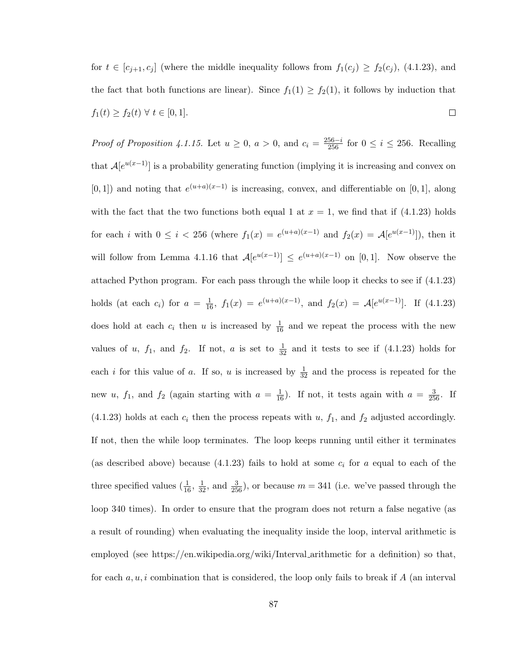for  $t \in [c_{j+1}, c_j]$  (where the middle inequality follows from  $f_1(c_j) \ge f_2(c_j)$ , (4.1.23), and the fact that both functions are linear). Since  $f_1(1) \ge f_2(1)$ , it follows by induction that  $f_1(t) \ge f_2(t) \ \forall \ t \in [0,1].$  $\Box$ 

*Proof of Proposition 4.1.15.* Let  $u \ge 0$ ,  $a > 0$ , and  $c_i = \frac{256-i}{256}$  for  $0 \le i \le 256$ . Recalling that  $A[e^{u(x-1)}]$  is a probability generating function (implying it is increasing and convex on  $[0,1]$  and noting that  $e^{(u+a)(x-1)}$  is increasing, convex, and differentiable on [0, 1], along with the fact that the two functions both equal 1 at  $x = 1$ , we find that if (4.1.23) holds for each i with  $0 \leq i < 256$  (where  $f_1(x) = e^{(u+a)(x-1)}$  and  $f_2(x) = \mathcal{A}[e^{u(x-1)}]$ ), then it will follow from Lemma 4.1.16 that  $\mathcal{A}[e^{u(x-1)}] \leq e^{(u+a)(x-1)}$  on [0,1]. Now observe the attached Python program. For each pass through the while loop it checks to see if (4.1.23) holds (at each  $c_i$ ) for  $a = \frac{1}{16}$ ,  $f_1(x) = e^{(u+a)(x-1)}$ , and  $f_2(x) = \mathcal{A}[e^{u(x-1)}]$ . If (4.1.23) does hold at each  $c_i$  then u is increased by  $\frac{1}{16}$  and we repeat the process with the new values of u,  $f_1$ , and  $f_2$ . If not, a is set to  $\frac{1}{32}$  and it tests to see if  $(4.1.23)$  holds for each *i* for this value of *a*. If so, *u* is increased by  $\frac{1}{32}$  and the process is repeated for the new u,  $f_1$ , and  $f_2$  (again starting with  $a = \frac{1}{16}$ ). If not, it tests again with  $a = \frac{3}{256}$ . If  $(4.1.23)$  holds at each  $c_i$  then the process repeats with u,  $f_1$ , and  $f_2$  adjusted accordingly. If not, then the while loop terminates. The loop keeps running until either it terminates (as described above) because (4.1.23) fails to hold at some  $c_i$  for a equal to each of the three specified values  $(\frac{1}{16}, \frac{1}{32}, \text{ and } \frac{3}{256})$ , or because  $m = 341$  (i.e. we've passed through the loop 340 times). In order to ensure that the program does not return a false negative (as a result of rounding) when evaluating the inequality inside the loop, interval arithmetic is employed (see https://en.wikipedia.org/wiki/Interval arithmetic for a definition) so that, for each  $a, u, i$  combination that is considered, the loop only fails to break if A (an interval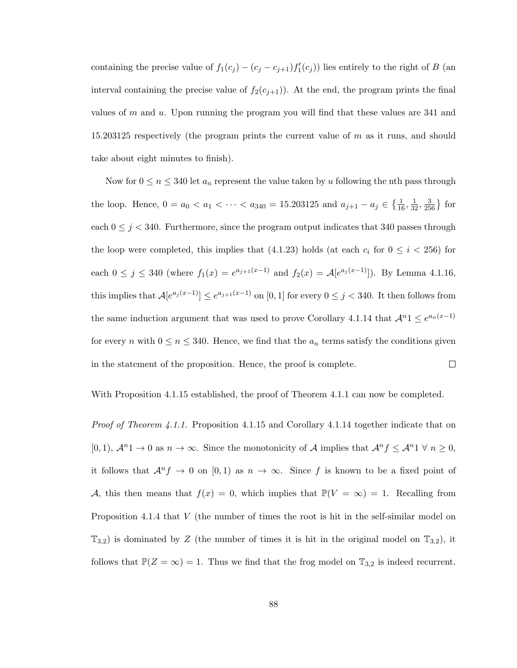containing the precise value of  $f_1(c_j) - (c_j - c_{j+1}) f'_1(c_j)$  lies entirely to the right of B (an interval containing the precise value of  $f_2(c_{j+1})$ . At the end, the program prints the final values of  $m$  and  $u$ . Upon running the program you will find that these values are 341 and 15.203125 respectively (the program prints the current value of m as it runs, and should take about eight minutes to finish).

Now for  $0 \le n \le 340$  let  $a_n$  represent the value taken by u following the nth pass through the loop. Hence,  $0 = a_0 < a_1 < \cdots < a_{340} = 15.203125$  and  $a_{j+1} - a_j \in \left\{\frac{1}{16}, \frac{1}{32}, \frac{3}{256}\right\}$  for each  $0 \leq j < 340$ . Furthermore, since the program output indicates that 340 passes through the loop were completed, this implies that (4.1.23) holds (at each  $c_i$  for  $0 \leq i < 256$ ) for each  $0 \le j \le 340$  (where  $f_1(x) = e^{a_{j+1}(x-1)}$  and  $f_2(x) = \mathcal{A}[e^{a_j(x-1)}]$ ). By Lemma 4.1.16, this implies that  $A[e^{a_j(x-1)}] \leq e^{a_{j+1}(x-1)}$  on [0, 1] for every  $0 \leq j < 340$ . It then follows from the same induction argument that was used to prove Corollary 4.1.14 that  $\mathcal{A}^{n}1 \leq e^{a_n(x-1)}$ for every n with  $0 \le n \le 340$ . Hence, we find that the  $a_n$  terms satisfy the conditions given in the statement of the proposition. Hence, the proof is complete.  $\Box$ 

With Proposition 4.1.15 established, the proof of Theorem 4.1.1 can now be completed.

Proof of Theorem 4.1.1. Proposition 4.1.15 and Corollary 4.1.14 together indicate that on [0, 1],  $\mathcal{A}^{n}$ 1 → 0 as  $n \to \infty$ . Since the monotonicity of  $\mathcal{A}$  implies that  $\mathcal{A}^{n} f \leq \mathcal{A}^{n}$ 1  $\forall n \geq 0$ , it follows that  $\mathcal{A}^n f \to 0$  on  $[0,1)$  as  $n \to \infty$ . Since f is known to be a fixed point of A, this then means that  $f(x) = 0$ , which implies that  $\mathbb{P}(V = \infty) = 1$ . Recalling from Proposition 4.1.4 that V (the number of times the root is hit in the self-similar model on  $\mathbb{T}_{3,2}$ ) is dominated by Z (the number of times it is hit in the original model on  $\mathbb{T}_{3,2}$ ), it follows that  $\mathbb{P}(Z = \infty) = 1$ . Thus we find that the frog model on  $\mathbb{T}_{3,2}$  is indeed recurrent.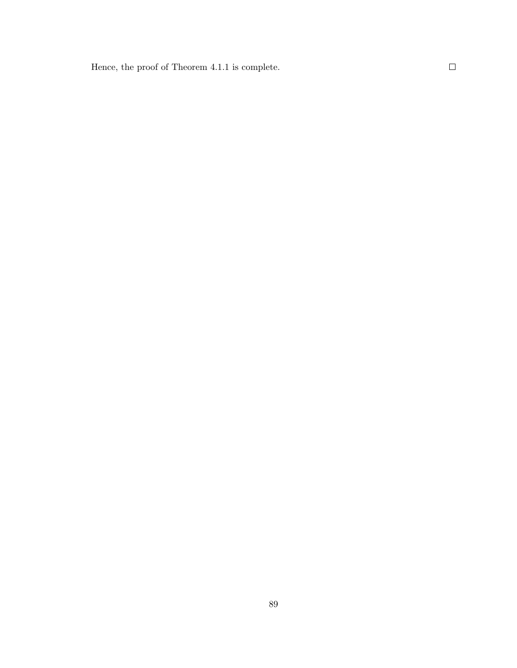Hence, the proof of Theorem 4.1.1 is complete.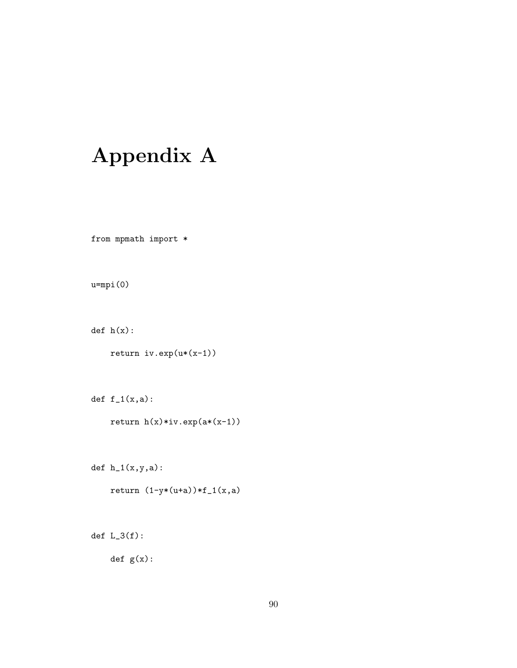## Appendix A

from mpmath import  $*$ 

u=mpi(0)

def h(x):

return iv.exp(u\*(x-1))

def  $f_1(x,a)$ :

return h(x)\*iv.exp(a\*(x-1))

def  $h_1(x,y,a)$ :

return  $(1-y*(u+a))*f_1(x,a)$ 

def  $L_3(f)$ :

def g(x):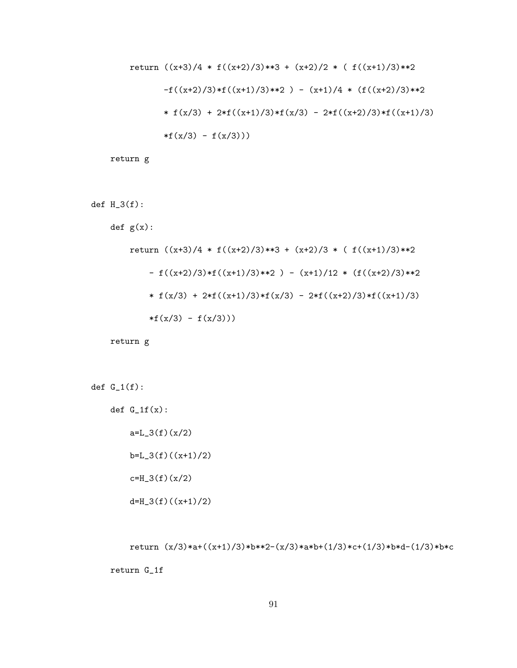return 
$$
((x+3)/4 * f((x+2)/3)**3 + (x+2)/2 * (f((x+1)/3)**2
$$
  
\n $-f((x+2)/3) * f((x+1)/3)**2) - (x+1)/4 * (f((x+2)/3)**2$   
\n $* f(x/3) + 2*f((x+1)/3) * f(x/3) - 2*f((x+2)/3) * f((x+1)/3)$   
\n $*f(x/3) - f(x/3))$ 

return g

def  $H_3(f)$ :

def g(x):

return 
$$
((x+3)/4 * f((x+2)/3)*3 + (x+2)/3 * (f((x+1)/3)*2
$$
  
\n-  $f((x+2)/3)*f((x+1)/3)*2 ) - (x+1)/12 * (f((x+2)/3)*2$   
\n\*  $f(x/3) + 2*f((x+1)/3)*f(x/3) - 2*f((x+2)/3)*f((x+1)/3)$   
\n\* $f(x/3) - f(x/3)))$ 

return g

def  $G_1(f)$ :

def  $G_1(f(x))$ :  $a=L_3(f)(x/2)$ 

 $b=L_3(f)((x+1)/2)$ 

 $c=H_3(f)(x/2)$ 

 $d=H_3(f)((x+1)/2)$ 

return  $(x/3)*a+((x+1)/3)*b**2-(x/3)*a*b+(1/3)*c+(1/3)*b*d-(1/3)*b*c$ 

return G\_1f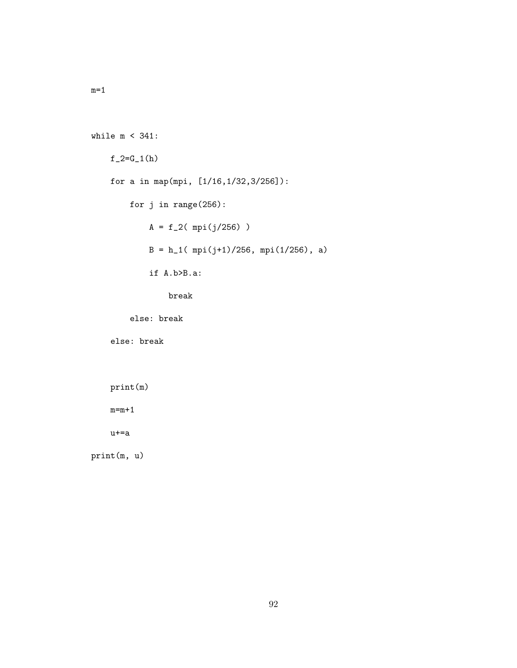```
while m < 341:
f_2=G_1(h)for a in map(mpi, [1/16,1/32,3/256]):
    for j in range(256):
        A = f_2( mpi(j/256) )B = h_1( mpi(j+1)/256, mpi(1/256), a)if A.b>B.a:
            break
```
else: break

else: break

```
print(m)
```
 $m=m+1$ 

u+=a

print(m, u)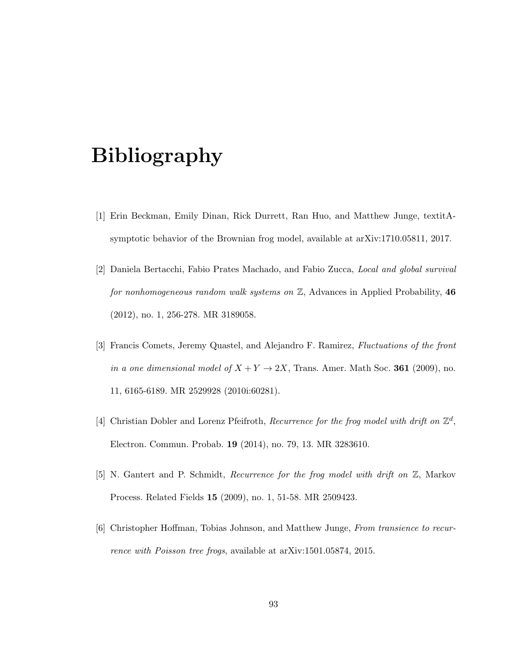## Bibliography

- [1] Erin Beckman, Emily Dinan, Rick Durrett, Ran Huo, and Matthew Junge, textitAsymptotic behavior of the Brownian frog model, available at arXiv:1710.05811, 2017.
- [2] Daniela Bertacchi, Fabio Prates Machado, and Fabio Zucca, Local and global survival for nonhomogeneous random walk systems on  $\mathbb{Z}$ , Advances in Applied Probability, 46 (2012), no. 1, 256-278. MR 3189058.
- [3] Francis Comets, Jeremy Quastel, and Alejandro F. Ramirez, Fluctuations of the front in a one dimensional model of  $X + Y \rightarrow 2X$ , Trans. Amer. Math Soc. 361 (2009), no. 11, 6165-6189. MR 2529928 (2010i:60281).
- [4] Christian Dobler and Lorenz Pfeifroth, Recurrence for the frog model with drift on  $\mathbb{Z}^d$ , Electron. Commun. Probab. 19 (2014), no. 79, 13. MR 3283610.
- [5] N. Gantert and P. Schmidt, Recurrence for the frog model with drift on Z, Markov Process. Related Fields 15 (2009), no. 1, 51-58. MR 2509423.
- [6] Christopher Hoffman, Tobias Johnson, and Matthew Junge, From transience to recurrence with Poisson tree frogs, available at arXiv:1501.05874, 2015.